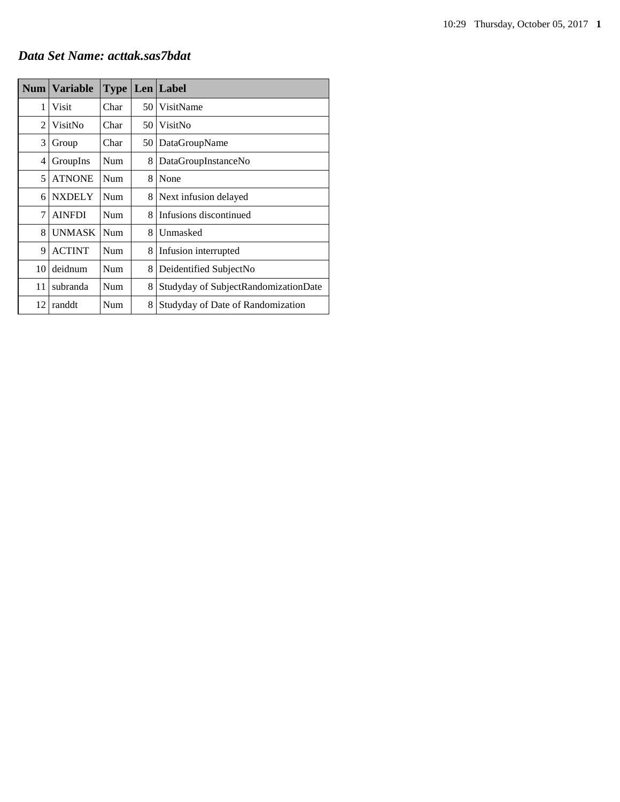# *Data Set Name: acttak.sas7bdat*

|                | Num   Variable | <b>Type</b> |     | Len Label                            |
|----------------|----------------|-------------|-----|--------------------------------------|
| 1              | Visit          | Char        | 50. | VisitName                            |
| $\overline{c}$ | VisitNo        | Char        | 50  | VisitNo                              |
| 3              | Group          | Char        | 50  | DataGroupName                        |
| 4              | GroupIns       | Num         | 8   | DataGroupInstanceNo                  |
| 5              | <b>ATNONE</b>  | Num         | 8   | None                                 |
| 6              | <b>NXDELY</b>  | <b>Num</b>  | 8   | Next infusion delayed                |
| 7              | <b>AINFDI</b>  | <b>Num</b>  | 8   | Infusions discontinued               |
| 8              | <b>UNMASK</b>  | Num         | 8   | Unmasked                             |
| 9              | <b>ACTINT</b>  | <b>Num</b>  | 8   | Infusion interrupted                 |
| 10             | deidnum        | Num         | 8   | Deidentified SubjectNo               |
| 11             | subranda       | Num         | 8   | Studyday of SubjectRandomizationDate |
| 12             | randdt         | Num         | 8   | Studyday of Date of Randomization    |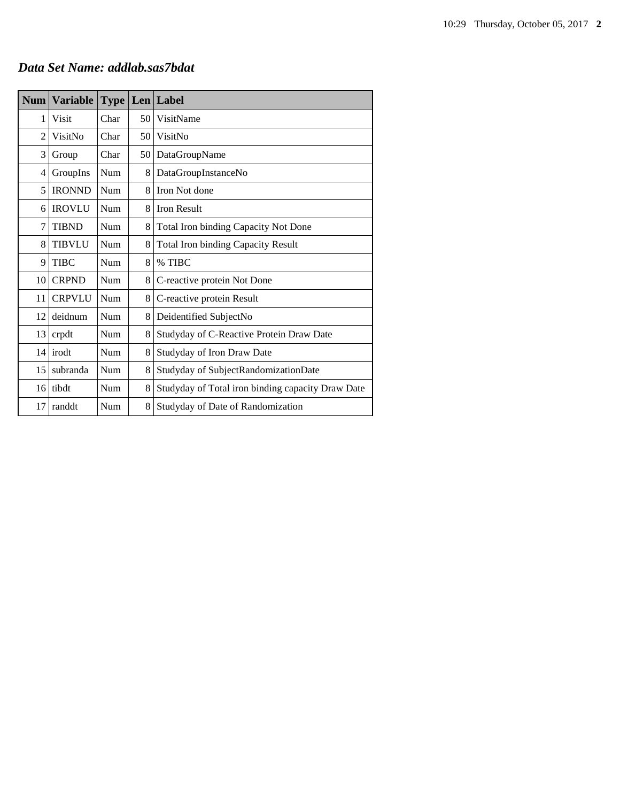# *Data Set Name: addlab.sas7bdat*

| <b>Num</b>     | <b>Variable</b> | <b>Type</b> |      | $Len$ Label                                       |
|----------------|-----------------|-------------|------|---------------------------------------------------|
| 1              | Visit           | Char        | 50   | VisitName                                         |
| $\overline{c}$ | VisitNo         | Char        | 50   | VisitNo                                           |
| 3              | Group           | Char        | 50 l | DataGroupName                                     |
| 4              | GroupIns        | Num         | 8    | DataGroupInstanceNo                               |
| 5              | <b>IRONND</b>   | Num         | 8    | Iron Not done                                     |
| 6              | <b>IROVLU</b>   | Num         | 8    | <b>Iron Result</b>                                |
| 7              | <b>TIBND</b>    | Num         | 8    | Total Iron binding Capacity Not Done              |
| 8              | <b>TIBVLU</b>   | Num         | 8    | <b>Total Iron binding Capacity Result</b>         |
| 9              | <b>TIBC</b>     | Num         | 8    | % TIBC                                            |
| 10             | <b>CRPND</b>    | Num         | 8    | C-reactive protein Not Done                       |
| 11             | <b>CRPVLU</b>   | Num         | 8    | C-reactive protein Result                         |
| 12             | deidnum         | Num         | 8    | Deidentified SubjectNo                            |
| 13             | crpdt           | Num         | 8    | Studyday of C-Reactive Protein Draw Date          |
| 14             | irodt           | Num         | 8    | Studyday of Iron Draw Date                        |
| 15             | subranda        | Num         | 8    | Studyday of SubjectRandomizationDate              |
| 16             | tibdt           | Num         | 8    | Studyday of Total iron binding capacity Draw Date |
| 17             | randdt          | Num         | 8    | Studyday of Date of Randomization                 |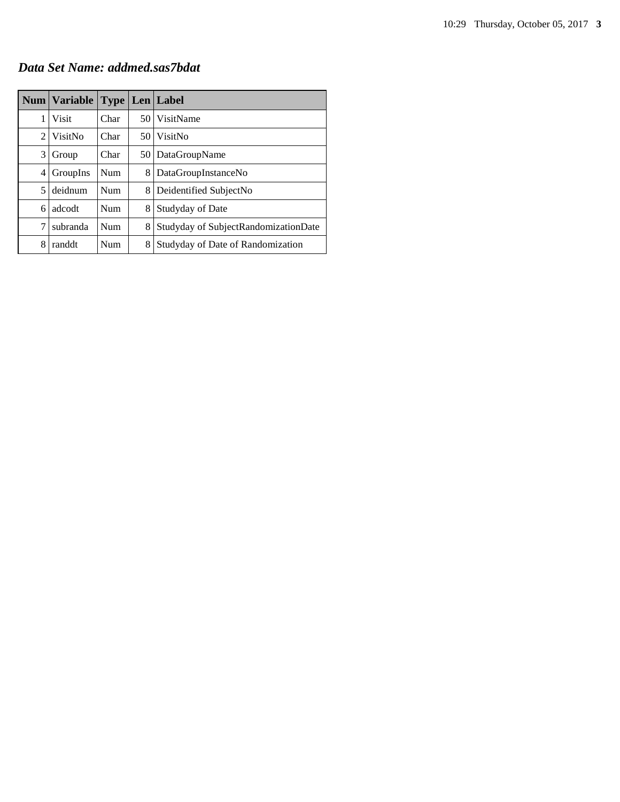*Data Set Name: addmed.sas7bdat*

|   | Num   Variable |      |    | <b>Type   Len   Label</b>            |
|---|----------------|------|----|--------------------------------------|
| 1 | Visit          | Char |    | 50 VisitName                         |
| 2 | VisitNo        | Char | 50 | VisitNo                              |
| 3 | Group          | Char |    | 50   DataGroupName                   |
| 4 | GroupIns       | Num  | 8  | DataGroupInstanceNo                  |
| 5 | deidnum        | Num  | 8  | Deidentified SubjectNo               |
| 6 | adcodt         | Num  | 8  | Studyday of Date                     |
| 7 | subranda       | Num  | 8  | Studyday of SubjectRandomizationDate |
| 8 | randdt         | Num  | 8  | Studyday of Date of Randomization    |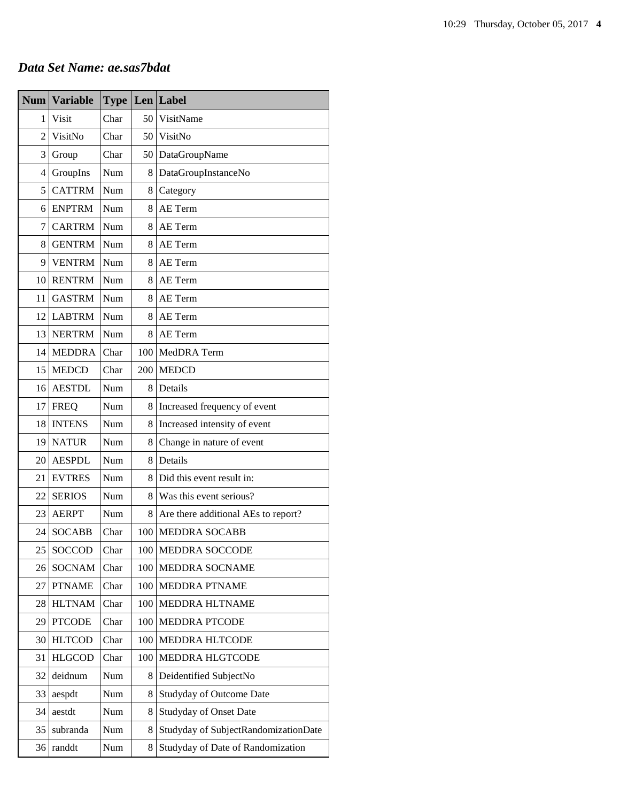# *Data Set Name: ae.sas7bdat*

| <b>Num</b>     | <b>Variable</b> | <b>Type</b> | Len | Label                                |
|----------------|-----------------|-------------|-----|--------------------------------------|
| 1              | Visit           | Char        | 50  | VisitName                            |
| $\overline{2}$ | VisitNo         | Char        | 50  | VisitNo                              |
| 3              | Group           | Char        | 50  | DataGroupName                        |
| 4              | GroupIns        | Num         | 8   | DataGroupInstanceNo                  |
| 5              | <b>CATTRM</b>   | Num         | 8   | Category                             |
| 6              | <b>ENPTRM</b>   | Num         | 8   | AE Term                              |
| 7              | <b>CARTRM</b>   | Num         | 8   | AE Term                              |
| 8              | <b>GENTRM</b>   | Num         | 8   | AE Term                              |
| 9              | <b>VENTRM</b>   | Num         | 8   | AE Term                              |
| 10             | <b>RENTRM</b>   | Num         | 8   | AE Term                              |
| 11             | <b>GASTRM</b>   | Num         | 8   | AE Term                              |
| 12             | <b>LABTRM</b>   | Num         | 8   | AE Term                              |
| 13             | <b>NERTRM</b>   | Num         | 8   | AE Term                              |
| 14             | <b>MEDDRA</b>   | Char        | 100 | MedDRA Term                          |
| 15             | <b>MEDCD</b>    | Char        | 200 | <b>MEDCD</b>                         |
| 16             | <b>AESTDL</b>   | Num         | 8   | Details                              |
| 17             | <b>FREQ</b>     | Num         | 8   | Increased frequency of event         |
| 18             | <b>INTENS</b>   | Num         | 8   | Increased intensity of event         |
| 19             | <b>NATUR</b>    | Num         | 8   | Change in nature of event            |
| 20             | <b>AESPDL</b>   | Num         | 8   | Details                              |
| 21             | <b>EVTRES</b>   | Num         | 8   | Did this event result in:            |
| 22             | <b>SERIOS</b>   | Num         | 8   | Was this event serious?              |
| 23             | <b>AERPT</b>    | Num         | 8   | Are there additional AEs to report?  |
| 24             | <b>SOCABB</b>   | Char        | 100 | <b>MEDDRA SOCABB</b>                 |
| 25             | SOCCOD          | Char        | 100 | MEDDRA SOCCODE                       |
| 26             | <b>SOCNAM</b>   | Char        | 100 | MEDDRA SOCNAME                       |
| 27             | <b>PTNAME</b>   | Char        | 100 | MEDDRA PTNAME                        |
| 28             | <b>HLTNAM</b>   | Char        | 100 | MEDDRA HLTNAME                       |
| 29             | <b>PTCODE</b>   | Char        | 100 | <b>MEDDRA PTCODE</b>                 |
| 30             | <b>HLTCOD</b>   | Char        | 100 | MEDDRA HLTCODE                       |
| 31             | <b>HLGCOD</b>   | Char        | 100 | MEDDRA HLGTCODE                      |
| 32             | deidnum         | Num         | 8   | Deidentified SubjectNo               |
| 33             | aespdt          | Num         | 8   | <b>Studyday of Outcome Date</b>      |
| 34             | aestdt          | Num         | 8   | <b>Studyday of Onset Date</b>        |
| 35             | subranda        | Num         | 8   | Studyday of SubjectRandomizationDate |
| 36             | randdt          | Num         | 8   | Studyday of Date of Randomization    |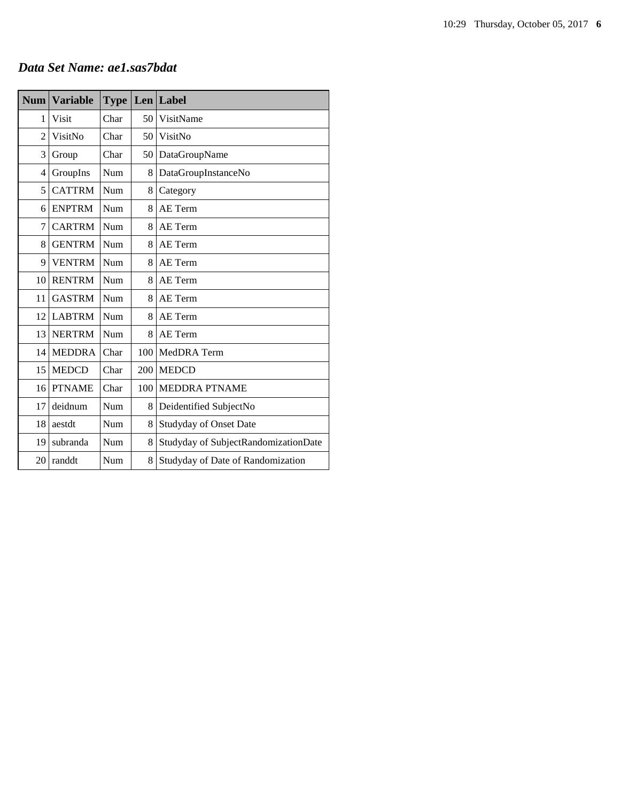# *Data Set Name: ae1.sas7bdat*

| <b>Num</b>     | <b>Variable</b> | <b>Type</b> |     | Len Label                            |
|----------------|-----------------|-------------|-----|--------------------------------------|
| 1              | Visit           | Char        | 50  | VisitName                            |
| $\overline{2}$ | VisitNo         | Char        | 50  | VisitNo                              |
| 3              | Group           | Char        | 50  | DataGroupName                        |
| 4              | GroupIns        | Num         | 8   | DataGroupInstanceNo                  |
| 5              | <b>CATTRM</b>   | Num         | 8   | Category                             |
| 6              | <b>ENPTRM</b>   | Num         | 8   | AE Term                              |
| $\overline{7}$ | <b>CARTRM</b>   | Num         | 8   | AE Term                              |
| 8              | <b>GENTRM</b>   | <b>Num</b>  | 8   | AE Term                              |
| 9              | <b>VENTRM</b>   | Num         | 8   | AE Term                              |
| 10             | <b>RENTRM</b>   | Num         | 8   | AE Term                              |
| 11             | <b>GASTRM</b>   | Num         | 8   | AE Term                              |
| 12             | <b>LABTRM</b>   | Num         | 8   | AE Term                              |
| 13             | <b>NERTRM</b>   | Num         | 8   | AE Term                              |
| 14             | <b>MEDDRA</b>   | Char        | 100 | MedDRA Term                          |
| 15             | <b>MEDCD</b>    | Char        | 200 | <b>MEDCD</b>                         |
| 16             | <b>PTNAME</b>   | Char        | 100 | <b>MEDDRA PTNAME</b>                 |
| 17             | deidnum         | Num         | 8   | Deidentified SubjectNo               |
| 18             | aestdt          | Num         | 8   | <b>Studyday of Onset Date</b>        |
| 19             | subranda        | Num         | 8   | Studyday of SubjectRandomizationDate |
| 20             | randdt          | Num         | 8   | Studyday of Date of Randomization    |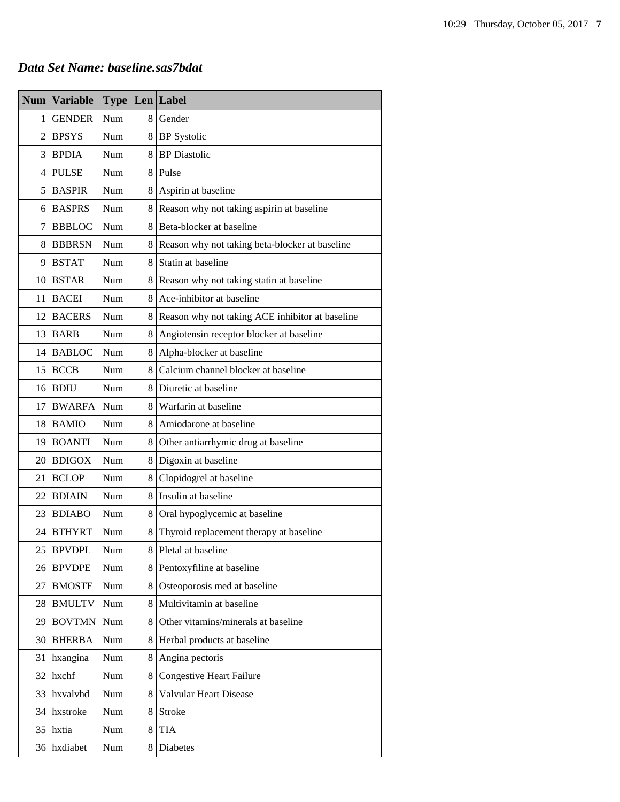# *Data Set Name: baseline.sas7bdat*

| Num             | <b>Variable</b> |     |                | <b>Type Len Label</b>                           |
|-----------------|-----------------|-----|----------------|-------------------------------------------------|
| $\mathbf{1}$    | <b>GENDER</b>   | Num |                | 8 Gender                                        |
| $\overline{2}$  | <b>BPSYS</b>    | Num |                | 8 BP Systolic                                   |
| 3               | <b>BPDIA</b>    | Num | 8              | <b>BP</b> Diastolic                             |
| $\overline{4}$  | <b>PULSE</b>    | Num |                | 8 Pulse                                         |
| 5 <sup>1</sup>  | <b>BASPIR</b>   | Num | 8              | Aspirin at baseline                             |
| 6               | <b>BASPRS</b>   | Num | 8              | Reason why not taking aspirin at baseline       |
| 7               | <b>BBBLOC</b>   | Num | 8              | Beta-blocker at baseline                        |
| 8               | <b>BBBRSN</b>   | Num | 8              | Reason why not taking beta-blocker at baseline  |
| 9               | <b>BSTAT</b>    | Num | 8              | Statin at baseline                              |
|                 | 10 BSTAR        | Num | 8              | Reason why not taking statin at baseline        |
| 11              | <b>BACEI</b>    | Num | 8              | Ace-inhibitor at baseline                       |
| 12              | <b>BACERS</b>   | Num | 8              | Reason why not taking ACE inhibitor at baseline |
|                 | 13 BARB         | Num | 8              | Angiotensin receptor blocker at baseline        |
| 14              | <b>BABLOC</b>   | Num | 8              | Alpha-blocker at baseline                       |
| 15 <sub>1</sub> | <b>BCCB</b>     | Num | 8              | Calcium channel blocker at baseline             |
|                 | $16$ BDIU       | Num |                | 8 Diuretic at baseline                          |
| 17              | <b>BWARFA</b>   | Num | 8 <sup>1</sup> | Warfarin at baseline                            |
| 18              | <b>BAMIO</b>    | Num | 8 <sup>1</sup> | Amiodarone at baseline                          |
| 19              | <b>BOANTI</b>   | Num | 8 <sup>1</sup> | Other antiarrhymic drug at baseline             |
|                 | 20 BDIGOX       | Num |                | 8 Digoxin at baseline                           |
|                 | 21 BCLOP        | Num | 8              | Clopidogrel at baseline                         |
|                 | 22 BDIAIN       | Num | 81             | Insulin at baseline                             |
|                 | 23 BDIABO       | Num | 8              | Oral hypoglycemic at baseline                   |
| 24 <sub>1</sub> | <b>BTHYRT</b>   | Num | 8              | Thyroid replacement therapy at baseline         |
| 25              | <b>BPVDPL</b>   | Num | 8              | Pletal at baseline                              |
| 26              | <b>BPVDPE</b>   | Num | 8              | Pentoxyfiline at baseline                       |
| 27              | <b>BMOSTE</b>   | Num | 8              | Osteoporosis med at baseline                    |
| 28              | <b>BMULTV</b>   | Num | 8              | Multivitamin at baseline                        |
| 29              | <b>BOVTMN</b>   | Num | 8              | Other vitamins/minerals at baseline             |
| 30              | <b>BHERBA</b>   | Num | 8              | Herbal products at baseline                     |
| 31              | hxangina        | Num | 8              | Angina pectoris                                 |
| 32              | hxchf           | Num | 8              | <b>Congestive Heart Failure</b>                 |
| 33              | hxvalvhd        | Num | 8              | Valvular Heart Disease                          |
| 34              | hxstroke        | Num | 8              | Stroke                                          |
| 35              | hxtia           | Num | 8              | <b>TIA</b>                                      |
| 36              | hxdiabet        | Num | 8              | Diabetes                                        |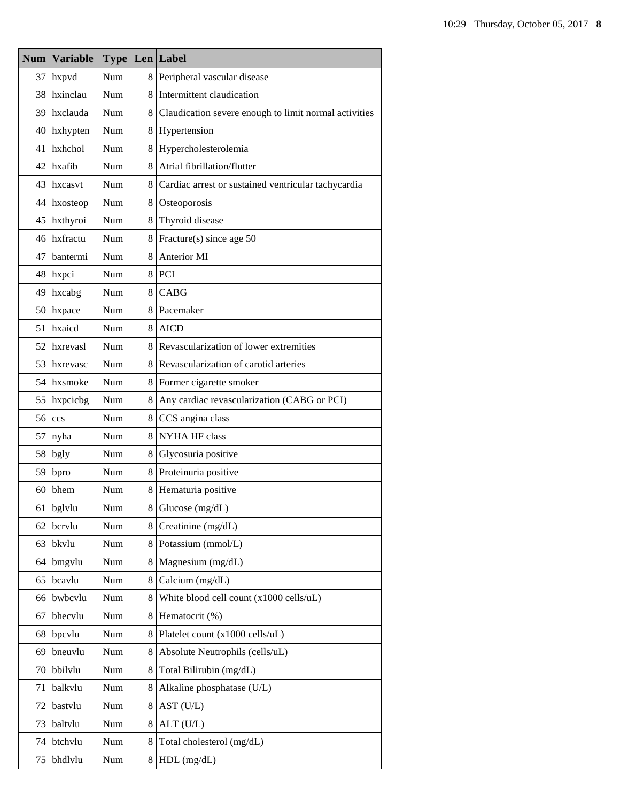|    | Num   Variable |            |   | <b>Type   Len   Label</b>                             |
|----|----------------|------------|---|-------------------------------------------------------|
| 37 | hxpvd          | Num        | 8 | Peripheral vascular disease                           |
|    | 38 hxinclau    | Num        | 8 | Intermittent claudication                             |
|    | 39 hxclauda    | Num        | 8 | Claudication severe enough to limit normal activities |
|    | 40 hxhypten    | Num        | 8 | Hypertension                                          |
| 41 | hxhchol        | Num        | 8 | Hypercholesterolemia                                  |
|    | $42$ hxafib    | Num        | 8 | Atrial fibrillation/flutter                           |
|    | 43 hxcasvt     | Num        | 8 | Cardiac arrest or sustained ventricular tachycardia   |
| 44 | hxosteop       | Num        | 8 | Osteoporosis                                          |
|    | 45 hxthyroi    | Num        | 8 | Thyroid disease                                       |
| 46 | hxfractu       | Num        | 8 | Fracture(s) since age 50                              |
| 47 | bantermi       | Num        | 8 | Anterior MI                                           |
|    | 48 hxpci       | Num        | 8 | PCI                                                   |
| 49 | hxcabg         | Num        | 8 | <b>CABG</b>                                           |
|    | 50 hxpace      | Num        | 8 | Pacemaker                                             |
| 51 | hxaicd         | Num        | 8 | <b>AICD</b>                                           |
| 52 | hxrevasl       | Num        | 8 | Revascularization of lower extremities                |
|    | 53 hxrevasc    | Num        | 8 | Revascularization of carotid arteries                 |
|    | 54 hxsmoke     | Num        | 8 | Former cigarette smoker                               |
| 55 | hxpcicbg       | Num        | 8 | Any cardiac revascularization (CABG or PCI)           |
| 56 | ccs            | Num        | 8 | CCS angina class                                      |
| 57 | nyha           | Num        | 8 | <b>NYHA HF class</b>                                  |
| 58 | bgly           | <b>Num</b> | 8 | Glycosuria positive                                   |
| 59 | bpro           | Num        | 8 | Proteinuria positive                                  |
| 60 | bhem           | Num        | 8 | Hematuria positive                                    |
| 61 | bglvlu         | Num        | 8 | Glucose $(mg/dL)$                                     |
| 62 | bcrvlu         | Num        | 8 | Creatinine (mg/dL)                                    |
| 63 | bkvlu          | Num        | 8 | Potassium (mmol/L)                                    |
| 64 | bmgylu         | Num        | 8 | Magnesium (mg/dL)                                     |
| 65 | bcavlu         | Num        | 8 | Calcium (mg/dL)                                       |
| 66 | bwbcvlu        | Num        | 8 | White blood cell count (x1000 cells/uL)               |
| 67 | bhecvlu        | Num        | 8 | Hematocrit (%)                                        |
| 68 | bpcvlu         | Num        | 8 | Platelet count (x1000 cells/uL)                       |
| 69 | bneuvlu        | Num        | 8 | Absolute Neutrophils (cells/uL)                       |
| 70 | bbilvlu        | Num        | 8 | Total Bilirubin (mg/dL)                               |
| 71 | balkvlu        | Num        | 8 | Alkaline phosphatase (U/L)                            |
| 72 | bastvlu        | Num        | 8 | AST (U/L)                                             |
| 73 | baltvlu        | Num        | 8 | ALT (U/L)                                             |
| 74 | btchvlu        | Num        | 8 | Total cholesterol (mg/dL)                             |
| 75 | bhdlvlu        | Num        | 8 | $HDL$ (mg/dL)                                         |

т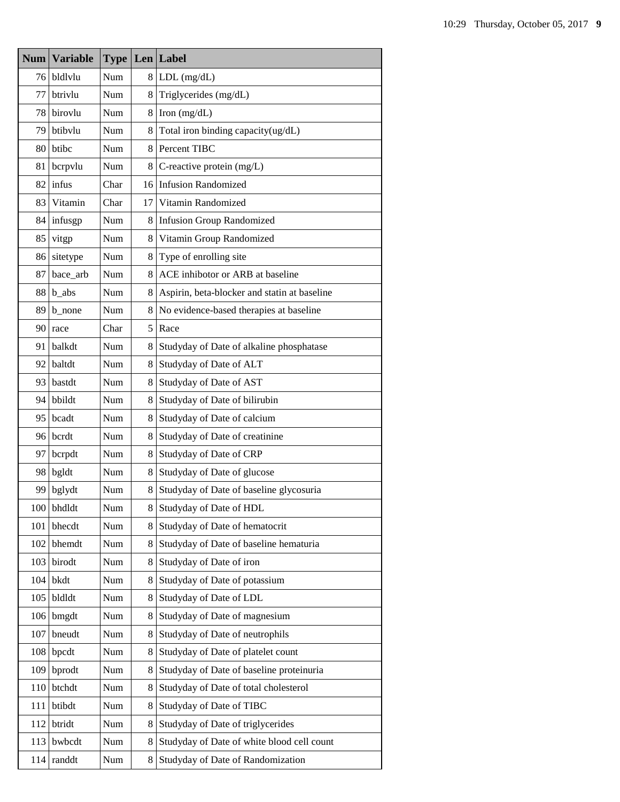| <b>Num</b> | <b>Variable</b> |      |    | <b>Type Len Label</b>                        |
|------------|-----------------|------|----|----------------------------------------------|
| 76         | bldlvlu         | Num  | 8  | $LDL$ (mg/dL)                                |
| 77         | btrivlu         | Num  | 8  | Triglycerides (mg/dL)                        |
| 78.        | birovlu         | Num  | 8  | Iron $(mg/dL)$                               |
| 79         | btibylu         | Num  | 8  | Total iron binding capacity(ug/dL)           |
| 80         | btibc           | Num  | 8  | Percent TIBC                                 |
| 81         | bcrpvlu         | Num  | 8  | C-reactive protein $(mg/L)$                  |
| 82         | infus           | Char |    | 16 Infusion Randomized                       |
| 83         | Vitamin         | Char | 17 | Vitamin Randomized                           |
| 84         | infusgp         | Num  | 8  | <b>Infusion Group Randomized</b>             |
| 85         | vitgp           | Num  | 8  | Vitamin Group Randomized                     |
| 86         | sitetype        | Num  | 8  | Type of enrolling site                       |
| 87         | bace_arb        | Num  | 8  | ACE inhibotor or ARB at baseline             |
| 88         | $b_$ abs        | Num  | 8  | Aspirin, beta-blocker and statin at baseline |
| 89         | b_none          | Num  | 8  | No evidence-based therapies at baseline      |
| 90         | race            | Char | 5  | Race                                         |
| 91         | balkdt          | Num  | 8  | Studyday of Date of alkaline phosphatase     |
| 92         | baltdt          | Num  | 8  | Studyday of Date of ALT                      |
| 93.        | bastdt          | Num  | 8  | Studyday of Date of AST                      |
| 94         | bbildt          | Num  | 8  | Studyday of Date of bilirubin                |
| 95         | bcadt           | Num  | 8  | Studyday of Date of calcium                  |
|            | 96 bcrdt        | Num  | 8  | Studyday of Date of creatinine               |
| 97         | bcrpdt          | Num  | 8  | Studyday of Date of CRP                      |
| 98         | bgldt           | Num  | 8  | Studyday of Date of glucose                  |
| 99         | bglydt          | Num  | 8  | Studyday of Date of baseline glycosuria      |
| 100        | bhdldt          | Num  | 8  | Studyday of Date of HDL                      |
| 101        | bhecdt          | Num  | 8  | Studyday of Date of hematocrit               |
| 102        | bhemdt          | Num  | 8  | Studyday of Date of baseline hematuria       |
| 103        | birodt          | Num  | 8  | Studyday of Date of iron                     |
| 104        | bkdt            | Num  | 8  | Studyday of Date of potassium                |
| 105        | bldldt          | Num  | 8  | Studyday of Date of LDL                      |
| 106        | bmgdt           | Num  | 8  | Studyday of Date of magnesium                |
| 107        | bneudt          | Num  | 8  | Studyday of Date of neutrophils              |
| 108        | bpcdt           | Num  | 8  | Studyday of Date of platelet count           |
| 109        | bprodt          | Num  | 8  | Studyday of Date of baseline proteinuria     |
| 110        | btchdt          | Num  | 8  | Studyday of Date of total cholesterol        |
| 111        | btibdt          | Num  | 8  | Studyday of Date of TIBC                     |
| 112        | btridt          | Num  | 8  | Studyday of Date of triglycerides            |
| 113        | bwbcdt          | Num  | 8  | Studyday of Date of white blood cell count   |
| 114        | randdt          | Num  | 8  | Studyday of Date of Randomization            |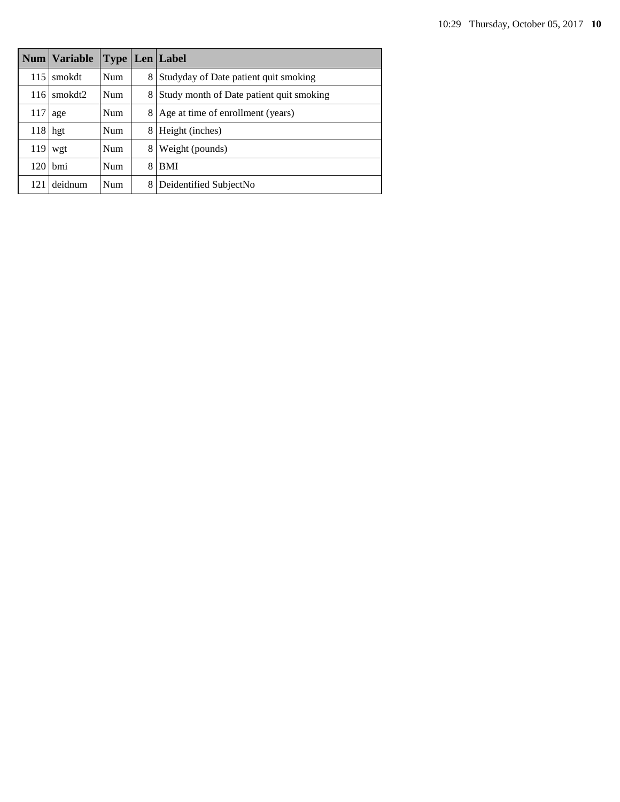|     | Num   Variable |            |   | <b>Type   Len   Label</b>                |
|-----|----------------|------------|---|------------------------------------------|
| 115 | smokdt         | <b>Num</b> | 8 | Studyday of Date patient quit smoking    |
| 116 | smokdt2        | Num        | 8 | Study month of Date patient quit smoking |
| 117 | age            | Num        | 8 | Age at time of enrollment (years)        |
| 118 | hgt            | Num        | 8 | Height (inches)                          |
| 119 | wgt            | <b>Num</b> | 8 | Weight (pounds)                          |
| 120 | <b>bmi</b>     | Num        | 8 | <b>BMI</b>                               |
| 121 | deidnum        | Num        | 8 | Deidentified SubjectNo                   |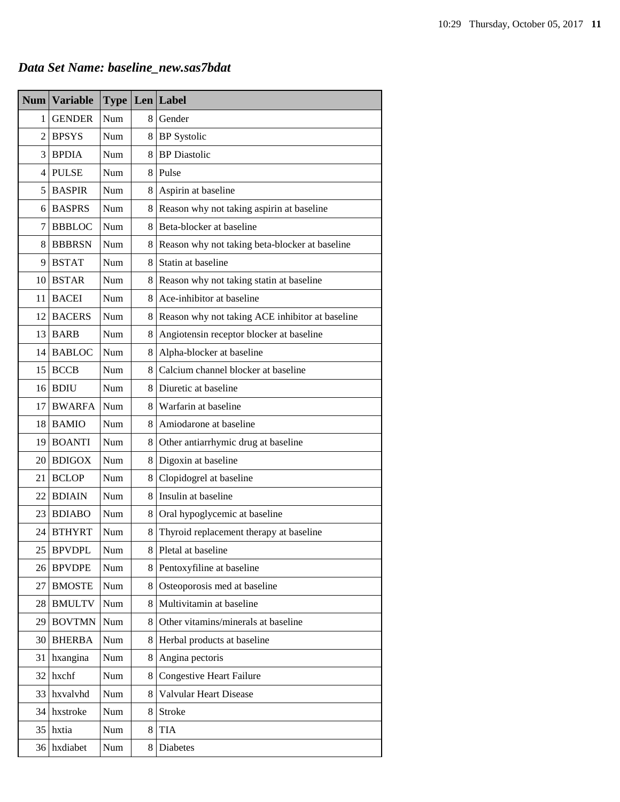# *Data Set Name: baseline\_new.sas7bdat*

|                | Num   Variable | <b>Type</b> |                | Len Label                                         |
|----------------|----------------|-------------|----------------|---------------------------------------------------|
| 1 <sup>1</sup> | <b>GENDER</b>  | Num         |                | 8 Gender                                          |
|                | $2$ BPSYS      | Num         |                | 8 BP Systolic                                     |
|                | $3$ BPDIA      | Num         |                | 8 BP Diastolic                                    |
|                | 4 PULSE        | Num         |                | 8 Pulse                                           |
|                | 5 BASPIR       | Num         | 8 <sup>1</sup> | Aspirin at baseline                               |
|                | 6 BASPRS       | Num         | 8              | Reason why not taking aspirin at baseline         |
| 7              | <b>BBBLOC</b>  | Num         | 8              | Beta-blocker at baseline                          |
|                | 8 BBBRSN       | Num         | 8              | Reason why not taking beta-blocker at baseline    |
|                | $9$ BSTAT      | Num         | 8              | Statin at baseline                                |
|                | 10 BSTAR       | Num         |                | 8 Reason why not taking statin at baseline        |
| 11             | <b>BACEI</b>   | Num         | 8              | Ace-inhibitor at baseline                         |
|                | 12 BACERS      | Num         |                | 8 Reason why not taking ACE inhibitor at baseline |
|                | 13 BARB        | Num         | 8              | Angiotensin receptor blocker at baseline          |
|                | 14 BABLOC      | Num         | 8              | Alpha-blocker at baseline                         |
|                | $15$ BCCB      | Num         |                | 8 Calcium channel blocker at baseline             |
|                | 16 BDIU        | Num         |                | 8 Diuretic at baseline                            |
| 17             | <b>BWARFA</b>  | Num         |                | 8 Warfarin at baseline                            |
|                | 18 BAMIO       | Num         |                | 8 Amiodarone at baseline                          |
|                | 19 BOANTI      | Num         | 8              | Other antiarrhymic drug at baseline               |
|                | 20 BDIGOX      | Num         |                | 8 Digoxin at baseline                             |
| 21             | <b>BCLOP</b>   | Num         | 8              | Clopidogrel at baseline                           |
|                | 22 BDIAIN      | Num         | 8              | Insulin at baseline                               |
|                | 23 BDIABO      | Num         | 8              | Oral hypoglycemic at baseline                     |
|                | 24 BTHYRT      | Num         | 8              | Thyroid replacement therapy at baseline           |
| 25             | <b>BPVDPL</b>  | Num         | 8              | Pletal at baseline                                |
|                | 26 BPVDPE      | Num         | 8              | Pentoxyfiline at baseline                         |
| 27             | <b>BMOSTE</b>  | Num         | 8              | Osteoporosis med at baseline                      |
| 28             | <b>BMULTV</b>  | Num         |                | 8 Multivitamin at baseline                        |
| 29             | <b>BOVTMN</b>  | Num         | 8              | Other vitamins/minerals at baseline               |
| 30             | <b>BHERBA</b>  | Num         | 8              | Herbal products at baseline                       |
| 31             | hxangina       | Num         | 8              | Angina pectoris                                   |
| 32             | hxchf          | Num         | 8              | <b>Congestive Heart Failure</b>                   |
| 33             | hxvalvhd       | Num         | 8              | Valvular Heart Disease                            |
| 34             | hxstroke       | Num         | 8              | Stroke                                            |
| 35             | hxtia          | Num         | 8              | <b>TIA</b>                                        |
| 36             | hxdiabet       | Num         | 8              | Diabetes                                          |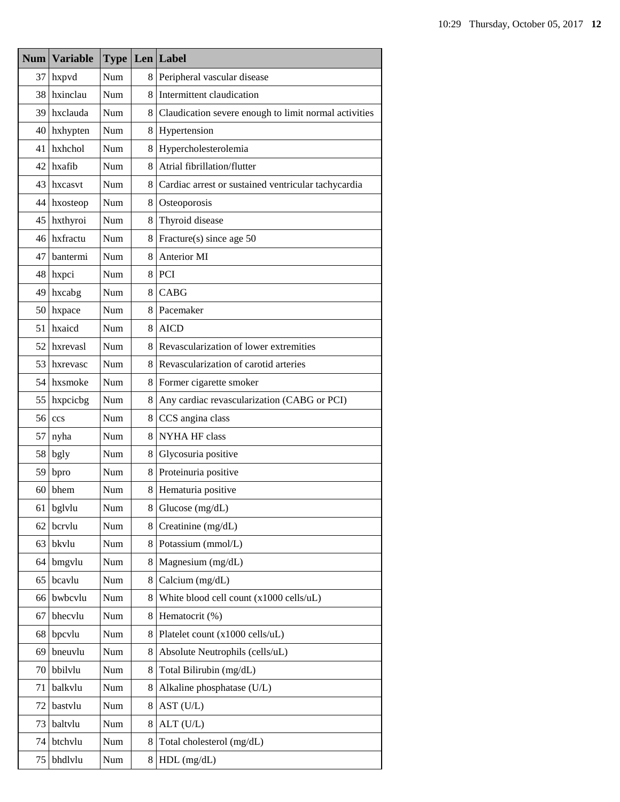| Num | <b>Variable</b> | <b>Type</b> |    | Len Label                                             |
|-----|-----------------|-------------|----|-------------------------------------------------------|
| 37  | hxpvd           | Num         | 8  | Peripheral vascular disease                           |
| 38  | hxinclau        | Num         | 8  | Intermittent claudication                             |
| 39  | hxclauda        | Num         | 8  | Claudication severe enough to limit normal activities |
| 40  | hxhypten        | Num         | 8  | Hypertension                                          |
| 41  | hxhchol         | Num         | 8  | Hypercholesterolemia                                  |
| 42  | hxafib          | Num         | 8  | Atrial fibrillation/flutter                           |
| 43  | hxcasvt         | Num         | 8  | Cardiac arrest or sustained ventricular tachycardia   |
| 44  | hxosteop        | Num         | 8  | Osteoporosis                                          |
| 45  | hxthyroi        | Num         | 8  | Thyroid disease                                       |
|     | 46 hxfractu     | Num         | 8  | Fracture(s) since age 50                              |
| 47  | bantermi        | Num         | 8  | Anterior MI                                           |
|     | 48 hxpci        | Num         | 8  | PCI                                                   |
| 49  | hxcabg          | Num         | 8  | CABG                                                  |
| 50  | hxpace          | Num         | 8  | Pacemaker                                             |
| 51  | hxaicd          | Num         | 8  | <b>AICD</b>                                           |
| 52  | hxrevasl        | Num         | 8  | Revascularization of lower extremities                |
| 53  | hxrevasc        | Num         | 8. | Revascularization of carotid arteries                 |
| 54  | hxsmoke         | Num         | 8  | Former cigarette smoker                               |
| 55  | hxpcicbg        | Num         | 8  | Any cardiac revascularization (CABG or PCI)           |
| 56  | ccs             | Num         | 8  | CCS angina class                                      |
| 57  | nyha            | Num         | 8  | NYHA HF class                                         |
| 58  | bgly            | Num         | 8  | Glycosuria positive                                   |
| 59  | bpro            | Num         | 8  | Proteinuria positive                                  |
| 60  | bhem            | Num         | 8  | Hematuria positive                                    |
| 61  | bglvlu          | Num         | 8  | Glucose (mg/dL)                                       |
| 62  | bcrvlu          | Num         | 8  | Creatinine (mg/dL)                                    |
| 63  | bkvlu           | Num         | 8  | Potassium (mmol/L)                                    |
| 64  | bmgvlu          | Num         | 8  | Magnesium (mg/dL)                                     |
| 65  | bcavlu          | Num         | 8  | Calcium (mg/dL)                                       |
| 66  | bwbcvlu         | Num         | 8  | White blood cell count (x1000 cells/uL)               |
| 67  | bhecvlu         | Num         | 8  | Hematocrit (%)                                        |
| 68  | bpcvlu          | Num         | 8  | Platelet count (x1000 cells/uL)                       |
| 69  | bneuvlu         | Num         | 8  | Absolute Neutrophils (cells/uL)                       |
| 70  | bbilvlu         | Num         | 8  | Total Bilirubin (mg/dL)                               |
| 71  | balkvlu         | Num         | 8  | Alkaline phosphatase (U/L)                            |
| 72  | bastvlu         | Num         | 8  | AST (U/L)                                             |
| 73  | baltvlu         | Num         | 8  | ALT (U/L)                                             |
| 74  | btchvlu         | Num         | 8  | Total cholesterol (mg/dL)                             |
| 75  | bhdlvlu         | Num         | 8  | $HDL$ (mg/dL)                                         |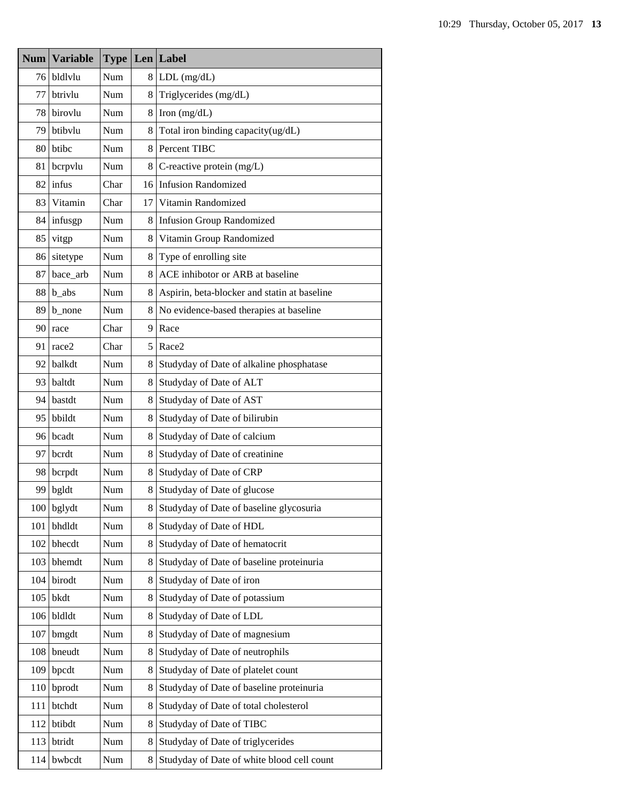| Num | <b>Variable</b> | <b>Type</b> |    | $Len$ Label                                  |
|-----|-----------------|-------------|----|----------------------------------------------|
| 76  | bldlvlu         | Num         | 8. | $LDL$ (mg/dL)                                |
| 77  | btrivlu         | Num         | 8  | Triglycerides (mg/dL)                        |
| 78  | birovlu         | Num         | 8  | Iron $(mg/dL)$                               |
| 79  | btibylu         | Num         | 8  | Total iron binding capacity(ug/dL)           |
| 80  | btibc           | Num         | 8  | Percent TIBC                                 |
| 81  | bcrpvlu         | Num         | 8  | C-reactive protein $(mg/L)$                  |
| 82  | infus           | Char        |    | 16 Infusion Randomized                       |
| 83  | Vitamin         | Char        | 17 | Vitamin Randomized                           |
| 84  | infusgp         | Num         | 8  | <b>Infusion Group Randomized</b>             |
| 85  | vitgp           | Num         | 8  | Vitamin Group Randomized                     |
| 86  | sitetype        | Num         | 8  | Type of enrolling site                       |
| 87  | bace_arb        | Num         | 8  | ACE inhibotor or ARB at baseline             |
| 88  | $b_$ abs        | Num         | 8  | Aspirin, beta-blocker and statin at baseline |
| 89  | b_none          | Num         | 8  | No evidence-based therapies at baseline      |
| 90  | race            | Char        | 9  | Race                                         |
| 91  | race2           | Char        | 5  | Race2                                        |
| 92  | balkdt          | Num         | 8  | Studyday of Date of alkaline phosphatase     |
| 93  | baltdt          | Num         | 8  | Studyday of Date of ALT                      |
| 94  | bastdt          | Num         | 8  | Studyday of Date of AST                      |
| 95  | bbildt          | Num         | 8  | Studyday of Date of bilirubin                |
| 96  | bcadt           | Num         | 8  | Studyday of Date of calcium                  |
| 97  | bcrdt           | Num         | 8  | Studyday of Date of creatinine               |
| 98  | bcrpdt          | Num         | 8  | Studyday of Date of CRP                      |
| 99  | bgldt           | Num         | 8  | Studyday of Date of glucose                  |
| 100 | bglydt          | Num         | 8  | Studyday of Date of baseline glycosuria      |
| 101 | bhdldt          | Num         | 8  | Studyday of Date of HDL                      |
| 102 | bhecdt          | Num         | 8  | Studyday of Date of hematocrit               |
| 103 | bhemdt          | Num         | 8  | Studyday of Date of baseline proteinuria     |
| 104 | birodt          | Num         | 8  | Studyday of Date of iron                     |
| 105 | bkdt            | Num         | 8  | Studyday of Date of potassium                |
| 106 | bldldt          | Num         | 8  | Studyday of Date of LDL                      |
| 107 | bmgdt           | Num         | 8  | Studyday of Date of magnesium                |
| 108 | bneudt          | Num         | 8  | Studyday of Date of neutrophils              |
| 109 | bpcdt           | Num         | 8  | Studyday of Date of platelet count           |
| 110 | bprodt          | Num         | 8  | Studyday of Date of baseline proteinuria     |
| 111 | btchdt          | Num         | 8  | Studyday of Date of total cholesterol        |
| 112 | btibdt          | Num         | 8  | Studyday of Date of TIBC                     |
| 113 | btridt          | Num         | 8  | Studyday of Date of triglycerides            |
| 114 | bwbcdt          | Num         | 8  | Studyday of Date of white blood cell count   |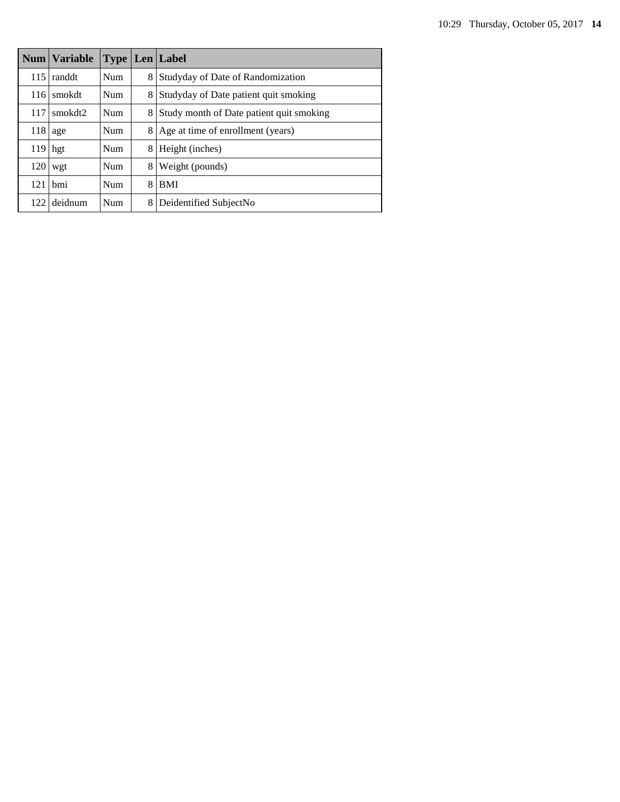|     | Num   Variable |            |   | <b>Type Len Label</b>                    |
|-----|----------------|------------|---|------------------------------------------|
| 115 | randdt         | Num        | 8 | Studyday of Date of Randomization        |
| 116 | smokdt         | <b>Num</b> | 8 | Studyday of Date patient quit smoking    |
| 117 | smokdt2        | Num        | 8 | Study month of Date patient quit smoking |
| 118 | age            | Num        | 8 | Age at time of enrollment (years)        |
| 119 | hgt            | Num        | 8 | Height (inches)                          |
| 120 | wgt            | Num        | 8 | Weight (pounds)                          |
| 121 | hmi            | <b>Num</b> | 8 | <b>BMI</b>                               |
| 122 | deidnum        | Num        | 8 | Deidentified SubjectNo                   |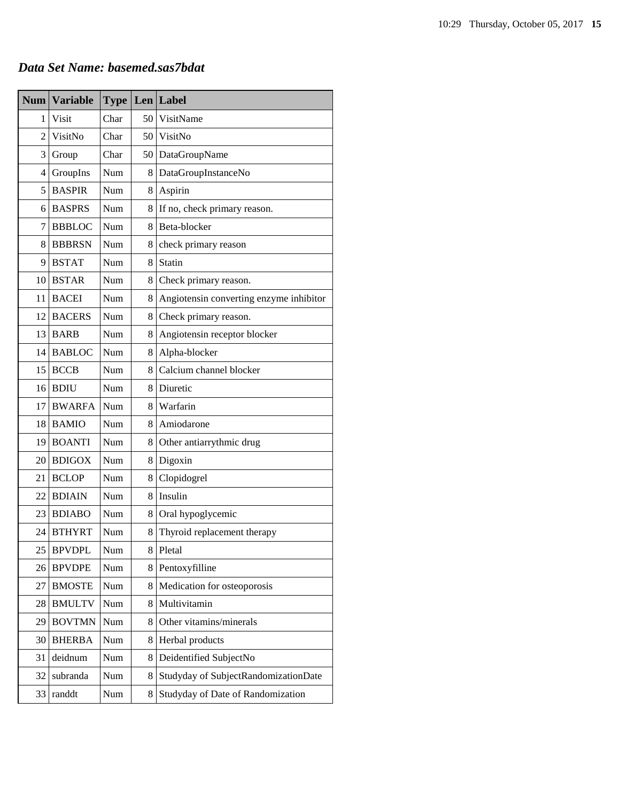# *Data Set Name: basemed.sas7bdat*

| <b>Num</b>     | <b>Variable</b> | <b>Type</b> |    | Len Label                               |
|----------------|-----------------|-------------|----|-----------------------------------------|
| 1              | Visit           | Char        | 50 | VisitName                               |
| $\overline{c}$ | VisitNo         | Char        | 50 | VisitNo                                 |
| 3              | Group           | Char        | 50 | DataGroupName                           |
| 4              | GroupIns        | Num         | 8  | DataGroupInstanceNo                     |
| 5              | <b>BASPIR</b>   | Num         | 8  | Aspirin                                 |
| 6              | <b>BASPRS</b>   | Num         | 8  | If no, check primary reason.            |
| 7              | <b>BBBLOC</b>   | Num         | 8  | Beta-blocker                            |
| 8              | <b>BBBRSN</b>   | Num         | 8  | check primary reason                    |
| 9              | <b>BSTAT</b>    | Num         | 8  | Statin                                  |
| 10             | <b>BSTAR</b>    | Num         | 8  | Check primary reason.                   |
| 11             | <b>BACEI</b>    | Num         | 8  | Angiotensin converting enzyme inhibitor |
| 12             | <b>BACERS</b>   | Num         | 8  | Check primary reason.                   |
| 13             | <b>BARB</b>     | Num         | 8  | Angiotensin receptor blocker            |
| 14             | <b>BABLOC</b>   | Num         | 8  | Alpha-blocker                           |
| 15             | <b>BCCB</b>     | Num         | 8  | Calcium channel blocker                 |
| 16             | <b>BDIU</b>     | Num         | 8  | Diuretic                                |
| 17             | <b>BWARFA</b>   | Num         | 8  | Warfarin                                |
| 18             | <b>BAMIO</b>    | Num         | 8  | Amiodarone                              |
| 19             | <b>BOANTI</b>   | <b>Num</b>  | 8  | Other antiarrythmic drug                |
| 20             | <b>BDIGOX</b>   | Num         | 8  | Digoxin                                 |
| 21             | <b>BCLOP</b>    | <b>Num</b>  | 8  | Clopidogrel                             |
| 22             | <b>BDIAIN</b>   | Num         | 8  | Insulin                                 |
| 23             | <b>BDIABO</b>   | Num         | 8  | Oral hypoglycemic                       |
| 24             | <b>BTHYRT</b>   | Num         | 8  | Thyroid replacement therapy             |
| 25             | <b>BPVDPL</b>   | Num         | 8  | Pletal                                  |
| 26             | <b>BPVDPE</b>   | Num         | 8  | Pentoxyfilline                          |
| 27             | <b>BMOSTE</b>   | Num         | 8  | Medication for osteoporosis             |
| 28             | <b>BMULTV</b>   | Num         | 8  | Multivitamin                            |
| 29             | <b>BOVTMN</b>   | Num         | 8  | Other vitamins/minerals                 |
| 30             | <b>BHERBA</b>   | Num         | 8  | Herbal products                         |
| 31             | deidnum         | Num         | 8  | Deidentified SubjectNo                  |
| 32             | subranda        | Num         | 8  | Studyday of SubjectRandomizationDate    |
| 33             | randdt          | Num         | 8  | Studyday of Date of Randomization       |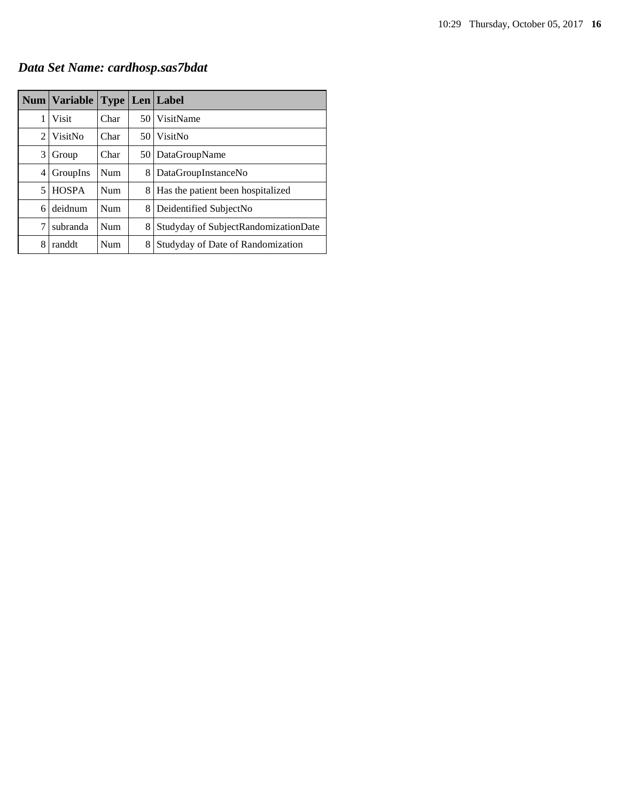*Data Set Name: cardhosp.sas7bdat*

|   | Num Variable |            |      | <b>Type   Len   Label</b>            |
|---|--------------|------------|------|--------------------------------------|
| 1 | Visit        | Char       |      | 50 VisitName                         |
| 2 | VisitNo      | Char       | 50 I | VisitNo                              |
| 3 | Group        | Char       | 50 l | DataGroupName                        |
| 4 | GroupIns     | <b>Num</b> | 8    | DataGroupInstanceNo                  |
| 5 | <b>HOSPA</b> | Num        | 8    | Has the patient been hospitalized    |
| 6 | deidnum      | Num        | 8    | Deidentified SubjectNo               |
| 7 | subranda     | Num        | 8    | Studyday of SubjectRandomizationDate |
| 8 | randdt       | Num        | 8    | Studyday of Date of Randomization    |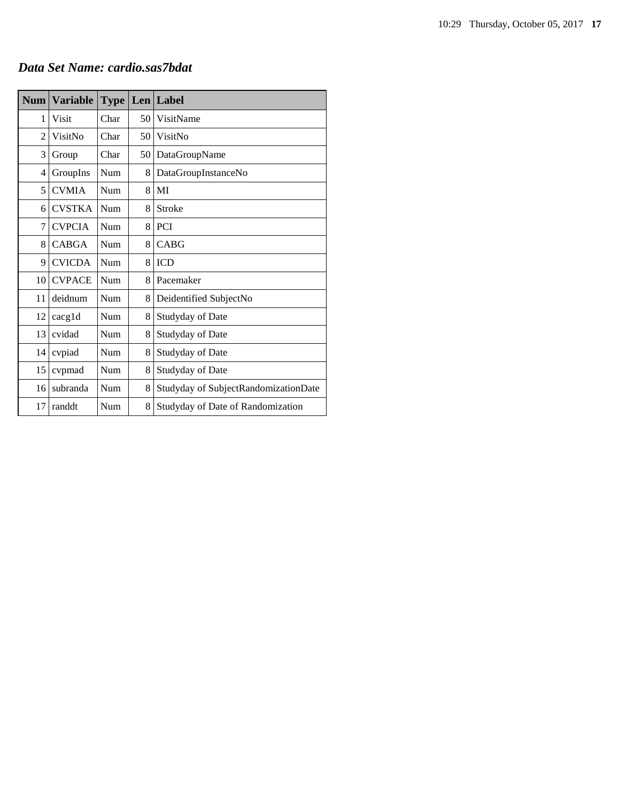## *Data Set Name: cardio.sas7bdat*

| <b>Num</b>     | <b>Variable</b> | <b>Type</b> | Len | Label                                |
|----------------|-----------------|-------------|-----|--------------------------------------|
| 1              | Visit           | Char        | 50  | VisitName                            |
| $\overline{2}$ | VisitNo         | Char        | 50  | VisitNo                              |
| 3              | Group           | Char        | 50  | DataGroupName                        |
| 4              | GroupIns        | Num         | 8   | DataGroupInstanceNo                  |
| 5              | <b>CVMIA</b>    | Num         | 8   | MI                                   |
| 6              | <b>CVSTKA</b>   | Num         | 8   | Stroke                               |
| 7              | <b>CVPCIA</b>   | Num         | 8   | PCI                                  |
| 8              | <b>CABGA</b>    | Num         | 8   | CABG                                 |
| 9              | <b>CVICDA</b>   | Num         | 8   | <b>ICD</b>                           |
| 10             | <b>CVPACE</b>   | Num         | 8   | Pacemaker                            |
| 11             | deidnum         | Num         | 8   | Deidentified SubjectNo               |
| 12             | cacgld          | Num         | 8   | Studyday of Date                     |
| 13             | cvidad          | Num         | 8   | Studyday of Date                     |
| 14             | cvpiad          | Num         | 8   | <b>Studyday of Date</b>              |
| 15             | cvpmad          | Num         | 8   | Studyday of Date                     |
| 16             | subranda        | Num         | 8   | Studyday of SubjectRandomizationDate |
| 17             | randdt          | Num         | 8   | Studyday of Date of Randomization    |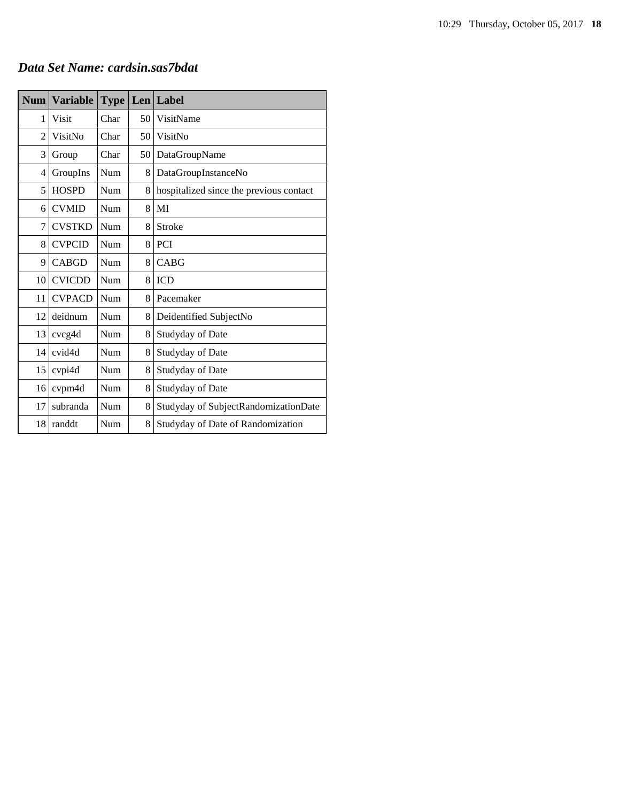# *Data Set Name: cardsin.sas7bdat*

| <b>Num</b>     | <b>Variable</b> | <b>Type</b> |    | Len Label                               |
|----------------|-----------------|-------------|----|-----------------------------------------|
| 1              | <b>Visit</b>    | Char        | 50 | VisitName                               |
| $\overline{c}$ | VisitNo         | Char        | 50 | VisitNo                                 |
| 3              | Group           | Char        | 50 | DataGroupName                           |
| 4              | GroupIns        | Num         | 8  | DataGroupInstanceNo                     |
| 5              | <b>HOSPD</b>    | Num         | 8  | hospitalized since the previous contact |
| 6              | <b>CVMID</b>    | Num         | 8  | MI                                      |
| 7              | <b>CVSTKD</b>   | Num         | 8  | Stroke                                  |
| 8              | <b>CVPCID</b>   | Num         | 8  | PCI                                     |
| 9              | <b>CABGD</b>    | Num         | 8  | <b>CABG</b>                             |
| 10             | <b>CVICDD</b>   | Num         | 8  | <b>ICD</b>                              |
| 11             | <b>CVPACD</b>   | Num         | 8  | Pacemaker                               |
| 12             | deidnum         | Num         | 8  | Deidentified SubjectNo                  |
| 13             | cvcg4d          | Num         | 8  | Studyday of Date                        |
| 14             | cvid4d          | Num         | 8  | Studyday of Date                        |
| 15             | cvpi4d          | Num         | 8  | Studyday of Date                        |
| 16             | cvpm4d          | Num         | 8  | Studyday of Date                        |
| 17             | subranda        | Num         | 8  | Studyday of SubjectRandomizationDate    |
| 18             | randdt          | Num         | 8  | Studyday of Date of Randomization       |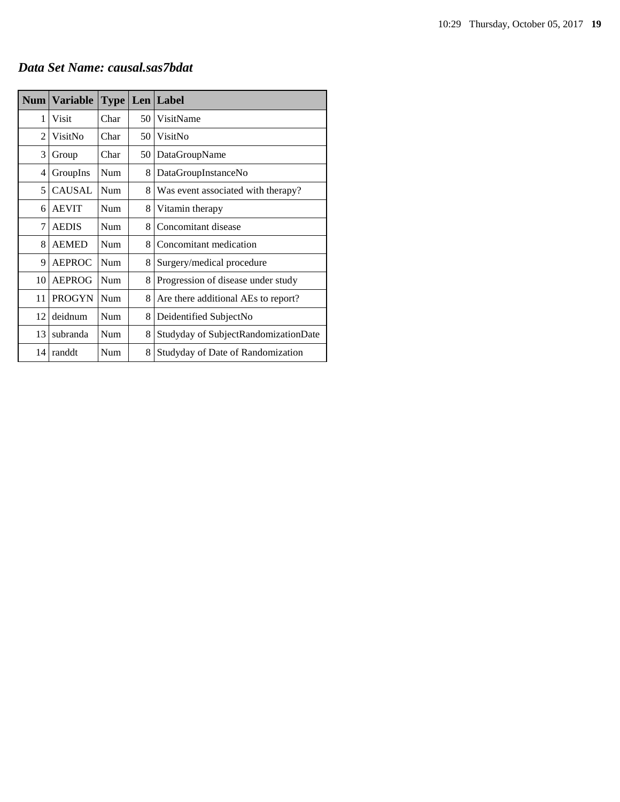# *Data Set Name: causal.sas7bdat*

| Num            | <b>Variable</b> | <b>Type</b> |    | Len Label                            |
|----------------|-----------------|-------------|----|--------------------------------------|
| 1              | Visit           | Char        | 50 | VisitName                            |
| $\overline{c}$ | VisitNo         | Char        | 50 | VisitNo                              |
| 3              | Group           | Char        | 50 | DataGroupName                        |
| 4              | GroupIns        | Num         | 8  | DataGroupInstanceNo                  |
| 5              | <b>CAUSAL</b>   | Num         | 8  | Was event associated with therapy?   |
| 6              | <b>AEVIT</b>    | Num         | 8  | Vitamin therapy                      |
| 7              | <b>AEDIS</b>    | Num         | 8  | Concomitant disease                  |
| 8              | <b>AEMED</b>    | Num         | 8  | Concomitant medication               |
| 9              | AEPROC          | Num         | 8  | Surgery/medical procedure            |
| 10             | <b>AEPROG</b>   | <b>Num</b>  | 8  | Progression of disease under study   |
| 11             | <b>PROGYN</b>   | Num         | 8  | Are there additional AEs to report?  |
| 12             | deidnum         | Num         | 8  | Deidentified SubjectNo               |
| 13             | subranda        | Num         | 8  | Studyday of SubjectRandomizationDate |
| 14             | randdt          | Num         | 8  | Studyday of Date of Randomization    |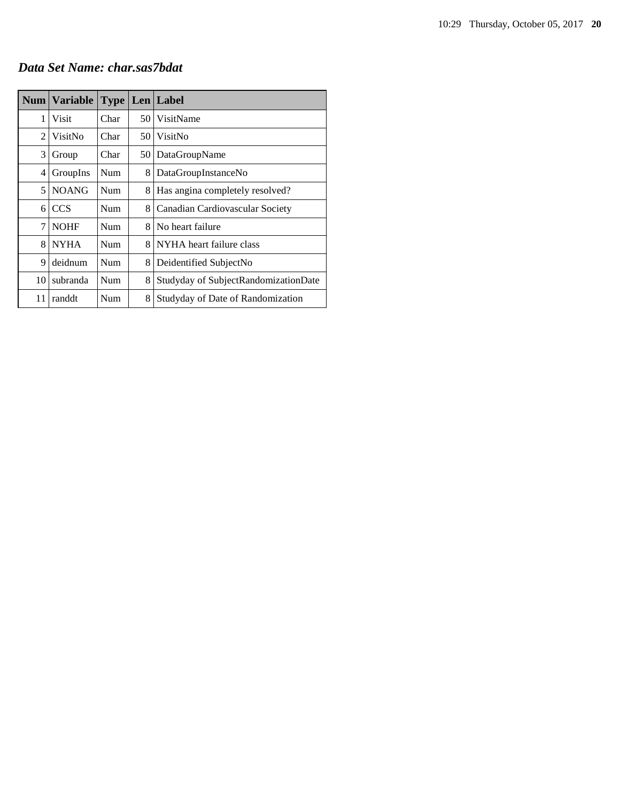#### *Data Set Name: char.sas7bdat*

|                | Num   Variable | <b>Type</b> |    | Len   Label                          |
|----------------|----------------|-------------|----|--------------------------------------|
| 1              | Visit          | Char        | 50 | VisitName                            |
| $\overline{c}$ | VisitNo        | Char        | 50 | VisitNo                              |
| 3              | Group          | Char        | 50 | DataGroupName                        |
| 4              | GroupIns       | Num         | 8  | DataGroupInstanceNo                  |
| 5              | <b>NOANG</b>   | Num         | 8  | Has angina completely resolved?      |
| 6              | <b>CCS</b>     | Num         | 8  | Canadian Cardiovascular Society      |
| 7              | <b>NOHF</b>    | <b>Num</b>  | 8  | No heart failure                     |
| 8              | <b>NYHA</b>    | Num         | 8  | NYHA heart failure class             |
| 9              | deidnum        | Num         | 8  | Deidentified SubjectNo               |
| 10             | subranda       | Num         | 8  | Studyday of SubjectRandomizationDate |
| 11             | randdt         | Num         | 8  | Studyday of Date of Randomization    |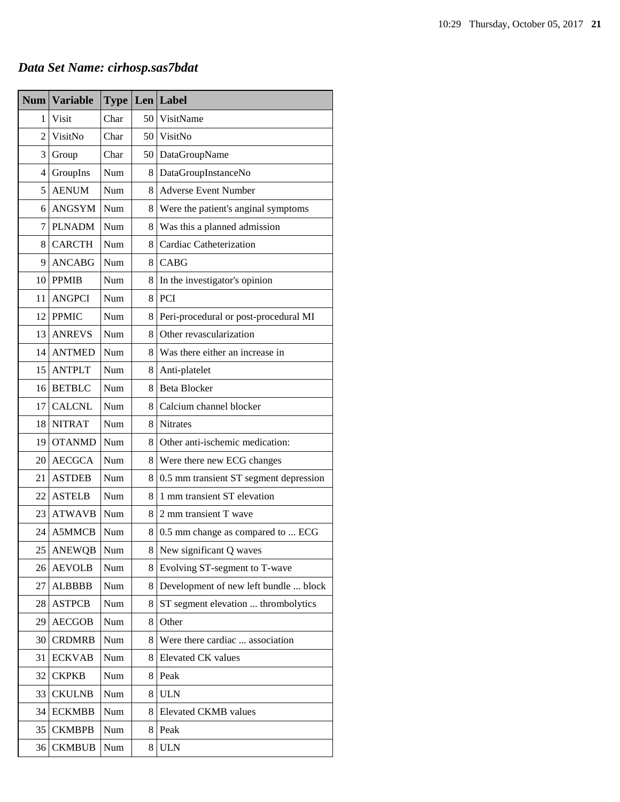# *Data Set Name: cirhosp.sas7bdat*

| <b>Num</b> | <b>Variable</b> | <b>Type</b> | Len | Label                                  |
|------------|-----------------|-------------|-----|----------------------------------------|
| 1          | <b>Visit</b>    | Char        | 50  | VisitName                              |
| 2          | VisitNo         | Char        | 50  | VisitNo                                |
| 3          | Group           | Char        | 50  | DataGroupName                          |
| 4          | GroupIns        | Num         | 8   | DataGroupInstanceNo                    |
| 5          | <b>AENUM</b>    | Num         | 8   | <b>Adverse Event Number</b>            |
| 6          | <b>ANGSYM</b>   | Num         | 8   | Were the patient's anginal symptoms    |
| 7          | <b>PLNADM</b>   | Num         | 8   | Was this a planned admission           |
| 8          | <b>CARCTH</b>   | Num         | 8   | Cardiac Catheterization                |
| 9          | <b>ANCABG</b>   | Num         | 8   | CABG                                   |
| 10         | <b>PPMIB</b>    | Num         | 8   | In the investigator's opinion          |
| 11         | <b>ANGPCI</b>   | Num         | 8   | <b>PCI</b>                             |
| 12         | <b>PPMIC</b>    | Num         | 8   | Peri-procedural or post-procedural MI  |
| 13         | <b>ANREVS</b>   | Num         | 8   | Other revascularization                |
| 14         | <b>ANTMED</b>   | Num         | 8   | Was there either an increase in        |
| 15         | <b>ANTPLT</b>   | Num         | 8   | Anti-platelet                          |
| 16         | <b>BETBLC</b>   | Num         | 8   | <b>Beta Blocker</b>                    |
| 17         | <b>CALCNL</b>   | Num         | 8   | Calcium channel blocker                |
| 18         | <b>NITRAT</b>   | Num         | 8   | <b>Nitrates</b>                        |
| 19         | <b>OTANMD</b>   | Num         | 8   | Other anti-ischemic medication:        |
| 20         | <b>AECGCA</b>   | Num         | 8   | Were there new ECG changes             |
| 21         | <b>ASTDEB</b>   | Num         | 8   | 0.5 mm transient ST segment depression |
| 22         | <b>ASTELB</b>   | Num         | 8   | 1 mm transient ST elevation            |
| 23         | <b>ATWAVB</b>   | Num         | 8   | 2 mm transient T wave                  |
| 24         | A5MMCB          | Num         | 8.  | 0.5 mm change as compared to  ECG      |
| 25         | <b>ANEWQB</b>   | Num         | 8   | New significant Q waves                |
| 26         | <b>AEVOLB</b>   | Num         | 8   | Evolving ST-segment to T-wave          |
| 27         | <b>ALBBBB</b>   | Num         | 8   | Development of new left bundle  block  |
| 28         | <b>ASTPCB</b>   | Num         | 8   | ST segment elevation  thrombolytics    |
| 29         | <b>AECGOB</b>   | Num         | 8   | Other                                  |
| 30         | <b>CRDMRB</b>   | Num         | 8   | Were there cardiac  association        |
| 31         | <b>ECKVAB</b>   | Num         | 8   | <b>Elevated CK</b> values              |
| 32         | <b>CKPKB</b>    | Num         | 8   | Peak                                   |
| 33         | <b>CKULNB</b>   | Num         | 8   | <b>ULN</b>                             |
| 34         | <b>ECKMBB</b>   | Num         | 8   | Elevated CKMB values                   |
| 35         | <b>CKMBPB</b>   | Num         | 8   | Peak                                   |
| 36         | <b>CKMBUB</b>   | Num         | 8   | <b>ULN</b>                             |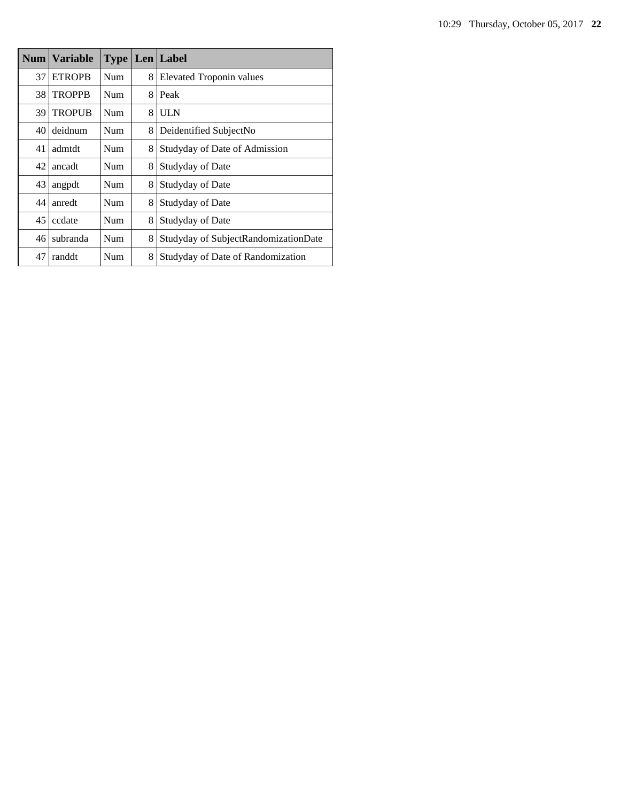|    | Num   Variable | <b>Type</b> |   | Len Label                            |
|----|----------------|-------------|---|--------------------------------------|
| 37 | <b>ETROPB</b>  | Num         | 8 | Elevated Troponin values             |
| 38 | <b>TROPPB</b>  | Num         | 8 | Peak                                 |
| 39 | <b>TROPUB</b>  | Num         | 8 | <b>ULN</b>                           |
| 40 | deidnum        | Num         | 8 | Deidentified SubjectNo               |
| 41 | admtdt         | Num         | 8 | Studyday of Date of Admission        |
| 42 | ancadt         | Num         | 8 | Studyday of Date                     |
| 43 | angpdt         | Num         | 8 | Studyday of Date                     |
| 44 | anredt         | Num         | 8 | Studyday of Date                     |
| 45 | ccdate         | Num         | 8 | Studyday of Date                     |
| 46 | subranda       | Num         | 8 | Studyday of SubjectRandomizationDate |
| 47 | randdt         | Num         | 8 | Studyday of Date of Randomization    |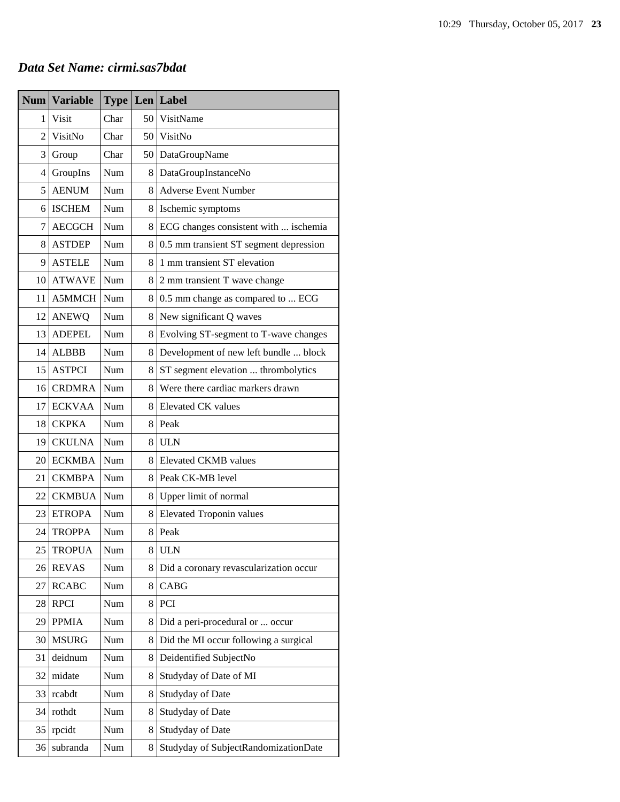## *Data Set Name: cirmi.sas7bdat*

| <b>Num</b>     | <b>Variable</b> | <b>Type</b> |                 | Len Label                              |
|----------------|-----------------|-------------|-----------------|----------------------------------------|
| 1              | Visit           | Char        | 50 <sup>1</sup> | VisitName                              |
| $\overline{2}$ | VisitNo         | Char        | 50              | VisitNo                                |
| 3              | Group           | Char        | 50              | DataGroupName                          |
| 4              | GroupIns        | Num         | 8               | DataGroupInstanceNo                    |
| 5              | <b>AENUM</b>    | Num         | 8               | <b>Adverse Event Number</b>            |
| 6              | <b>ISCHEM</b>   | Num         | 8               | Ischemic symptoms                      |
| 7              | <b>AECGCH</b>   | Num         | 8               | ECG changes consistent with  ischemia  |
| 8              | <b>ASTDEP</b>   | Num         | 8               | 0.5 mm transient ST segment depression |
| 9              | <b>ASTELE</b>   | Num         | 8               | 1 mm transient ST elevation            |
| 10             | <b>ATWAVE</b>   | Num         | 8               | 2 mm transient T wave change           |
| 11             | A5MMCH          | Num         | 8               | 0.5 mm change as compared to  ECG      |
| 12             | <b>ANEWQ</b>    | Num         | 8               | New significant Q waves                |
| 13             | <b>ADEPEL</b>   | Num         | 8               | Evolving ST-segment to T-wave changes  |
| 14             | <b>ALBBB</b>    | Num         | 8               | Development of new left bundle  block  |
| 15             | <b>ASTPCI</b>   | Num         | 8               | ST segment elevation  thrombolytics    |
| 16             | <b>CRDMRA</b>   | Num         | 8               | Were there cardiac markers drawn       |
| 17             | <b>ECKVAA</b>   | Num         | 8               | <b>Elevated CK</b> values              |
| 18             | <b>CKPKA</b>    | Num         | 8               | Peak                                   |
| 19             | <b>CKULNA</b>   | Num         | 8               | <b>ULN</b>                             |
| 20             | <b>ECKMBA</b>   | Num         | 8               | <b>Elevated CKMB</b> values            |
| 21             | <b>CKMBPA</b>   | Num         | 8               | Peak CK-MB level                       |
| 22             | <b>CKMBUA</b>   | Num         | 8               | Upper limit of normal                  |
| 23             | <b>ETROPA</b>   | Num         | 8               | <b>Elevated Troponin values</b>        |
| 24             | <b>TROPPA</b>   | Num         | 8               | Peak                                   |
| 25             | <b>TROPUA</b>   | Num         | 8               | <b>ULN</b>                             |
| 26             | <b>REVAS</b>    | Num         | 8               | Did a coronary revascularization occur |
| 27             | <b>RCABC</b>    | Num         | 8               | CABG                                   |
| 28             | <b>RPCI</b>     | Num         | 8               | PCI                                    |
| 29             | <b>PPMIA</b>    | Num         | 8               | Did a peri-procedural or  occur        |
| 30             | <b>MSURG</b>    | Num         | 8               | Did the MI occur following a surgical  |
| 31             | deidnum         | Num         | 8               | Deidentified SubjectNo                 |
| 32             | midate          | Num         | 8               | Studyday of Date of MI                 |
| 33             | rcabdt          | Num         | 8               | Studyday of Date                       |
| 34             | rothdt          | Num         | 8               | Studyday of Date                       |
| 35             | rpcidt          | Num         | 8               | Studyday of Date                       |
| 36             | subranda        | Num         | 8               | Studyday of SubjectRandomizationDate   |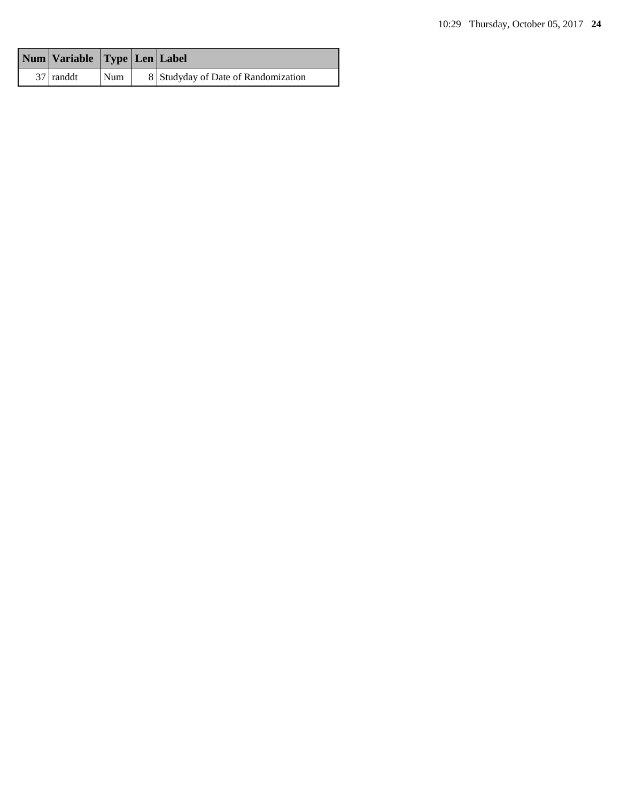| Num Variable Type Len Label |     |                                     |
|-----------------------------|-----|-------------------------------------|
| 37 randdt                   | Num | 8 Studyday of Date of Randomization |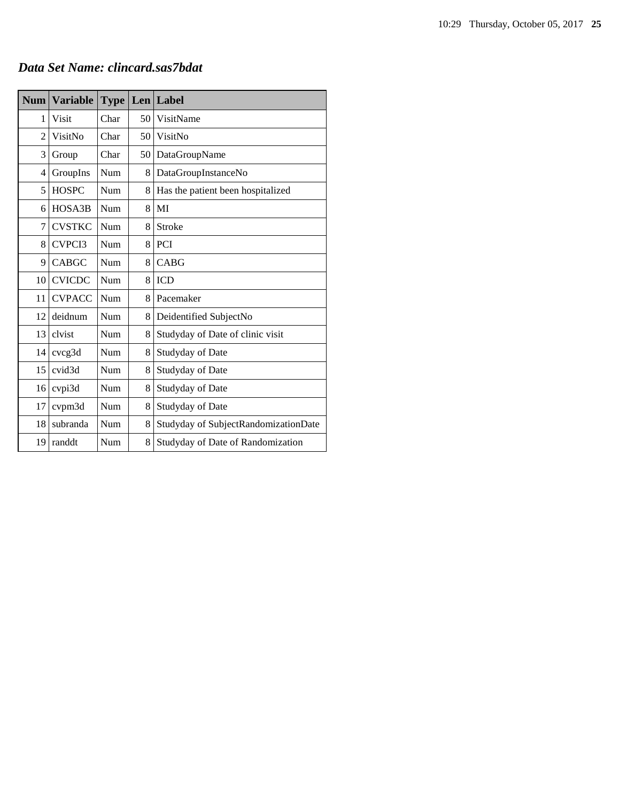# *Data Set Name: clincard.sas7bdat*

| <b>Num</b>     | <b>Variable</b>    | <b>Type</b> |    | Len Label                            |
|----------------|--------------------|-------------|----|--------------------------------------|
| 1              | <b>Visit</b>       | Char        | 50 | VisitName                            |
| $\overline{2}$ | VisitNo            | Char        | 50 | VisitNo                              |
| 3              | Group              | Char        | 50 | DataGroupName                        |
| 4              | GroupIns           | Num         | 8  | DataGroupInstanceNo                  |
| 5              | <b>HOSPC</b>       | Num         | 8  | Has the patient been hospitalized    |
| 6              | HOSA3B             | Num         | 8  | MI                                   |
| 7              | <b>CVSTKC</b>      | Num         | 8  | Stroke                               |
| 8              | CVPCI3             | Num         | 8  | PCI                                  |
| 9              | <b>CABGC</b>       | Num         | 8  | <b>CABG</b>                          |
| 10             | <b>CVICDC</b>      | Num         | 8  | <b>ICD</b>                           |
| 11             | <b>CVPACC</b>      | Num         | 8  | Pacemaker                            |
| 12             | deidnum            | Num         | 8  | Deidentified SubjectNo               |
| 13             | clvist             | Num         | 8  | Studyday of Date of clinic visit     |
| 14             | cvcg3d             | Num         | 8  | Studyday of Date                     |
| 15             | cvid <sub>3d</sub> | Num         | 8  | Studyday of Date                     |
| 16             | cvpi3d             | Num         | 8  | Studyday of Date                     |
| 17             | cvpm3d             | Num         | 8  | Studyday of Date                     |
| 18             | subranda           | Num         | 8  | Studyday of SubjectRandomizationDate |
| 19             | randdt             | Num         | 8  | Studyday of Date of Randomization    |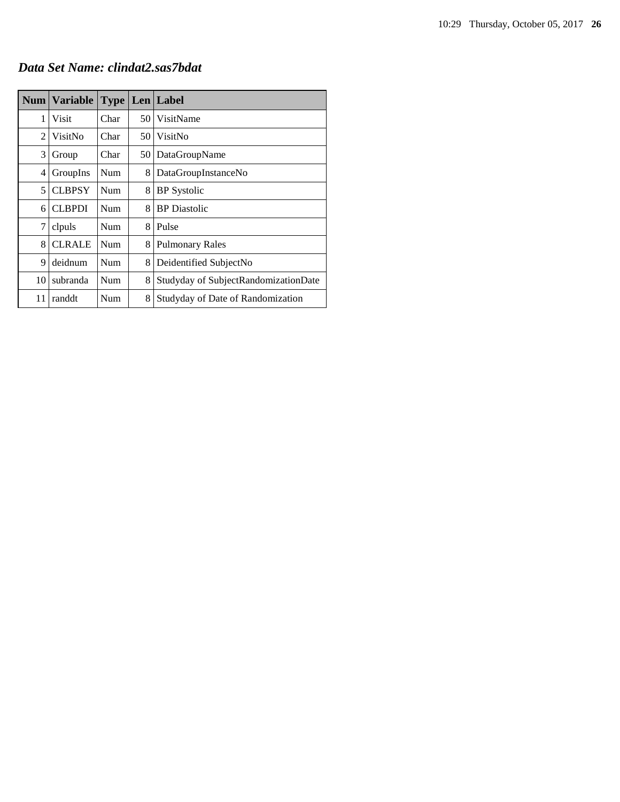*Data Set Name: clindat2.sas7bdat*

|    | Num   Variable | <b>Type</b> |    | Len Label                            |
|----|----------------|-------------|----|--------------------------------------|
| 1  | Visit          | Char        | 50 | VisitName                            |
| 2  | VisitNo        | Char        | 50 | VisitNo                              |
| 3  | Group          | Char        | 50 | DataGroupName                        |
| 4  | GroupIns       | Num         | 8  | DataGroupInstanceNo                  |
| 5  | <b>CLBPSY</b>  | Num         | 8  | <b>BP</b> Systolic                   |
| 6  | <b>CLBPDI</b>  | Num         | 8  | <b>BP</b> Diastolic                  |
| 7  | clpuls         | Num         | 8  | Pulse                                |
| 8  | <b>CLRALE</b>  | Num         | 8  | <b>Pulmonary Rales</b>               |
| 9  | deidnum        | Num         | 8  | Deidentified SubjectNo               |
| 10 | subranda       | Num         | 8  | Studyday of SubjectRandomizationDate |
| 11 | randdt         | Num         | 8  | Studyday of Date of Randomization    |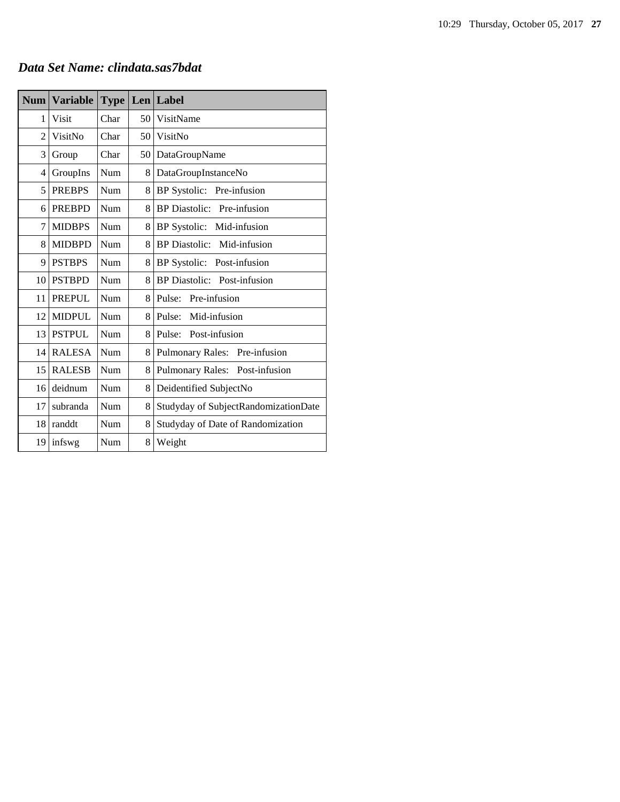| Data Set Name: clindata.sas7bdat |  |
|----------------------------------|--|
|----------------------------------|--|

| <b>Num</b>     | <b>Variable</b> | <b>Type</b> |      | Len Label                            |
|----------------|-----------------|-------------|------|--------------------------------------|
| 1              | <b>Visit</b>    | Char        | 50   | VisitName                            |
| $\overline{2}$ | VisitNo         | Char        | 50 l | VisitNo                              |
| 3              | Group           | Char        | 50   | DataGroupName                        |
| 4              | GroupIns        | Num         | 8    | DataGroupInstanceNo                  |
| 5              | <b>PREBPS</b>   | Num         | 8    | BP Systolic: Pre-infusion            |
| 6              | <b>PREBPD</b>   | Num         | 8    | BP Diastolic: Pre-infusion           |
| 7              | <b>MIDBPS</b>   | Num         | 8    | BP Systolic: Mid-infusion            |
| 8              | <b>MIDBPD</b>   | Num         | 8    | BP Diastolic: Mid-infusion           |
| 9              | <b>PSTBPS</b>   | Num         | 8    | BP Systolic: Post-infusion           |
| 10             | <b>PSTBPD</b>   | Num         | 8    | <b>BP</b> Diastolic: Post-infusion   |
| 11             | <b>PREPUL</b>   | Num         | 8    | Pulse:<br>Pre-infusion               |
| 12             | <b>MIDPUL</b>   | Num         | 8    | Pulse: Mid-infusion                  |
| 13             | <b>PSTPUL</b>   | Num         | 8    | Pulse: Post-infusion                 |
| 14             | <b>RALESA</b>   | Num         | 8    | Pulmonary Rales: Pre-infusion        |
| 15             | <b>RALESB</b>   | Num         | 8    | Pulmonary Rales: Post-infusion       |
| 16             | deidnum         | Num         | 8    | Deidentified SubjectNo               |
| 17             | subranda        | Num         | 8    | Studyday of SubjectRandomizationDate |
| 18             | randdt          | Num         | 8    | Studyday of Date of Randomization    |
| 19             | infswg          | Num         | 8    | Weight                               |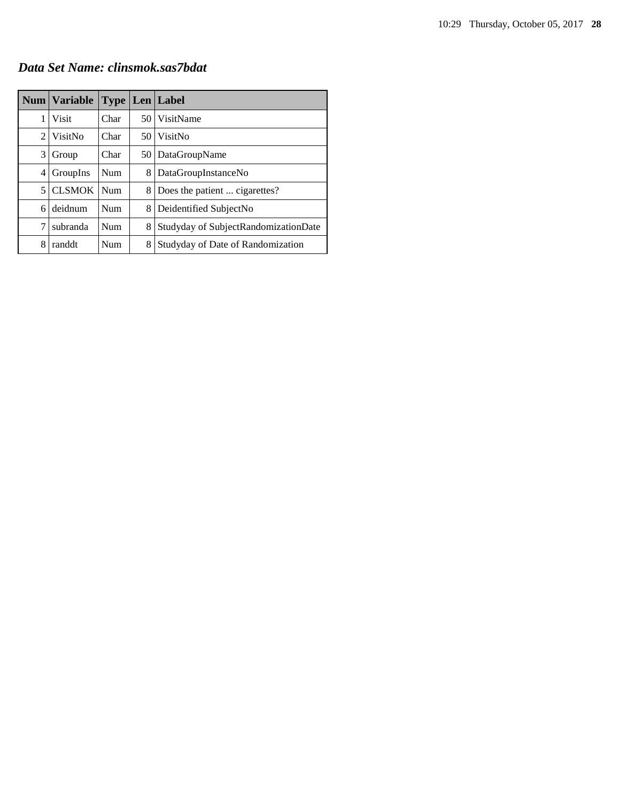*Data Set Name: clinsmok.sas7bdat*

|   | Num   Variable | <b>Type</b> |      | Len Label                            |
|---|----------------|-------------|------|--------------------------------------|
| 1 | Visit          | Char        | 50 I | VisitName                            |
| 2 | VisitNo        | Char        | 50.  | VisitNo                              |
| 3 | Group          | Char        | 50   | DataGroupName                        |
| 4 | GroupIns       | <b>Num</b>  | 8    | DataGroupInstanceNo                  |
| 5 | <b>CLSMOK</b>  | <b>Num</b>  | 8    | Does the patient  cigarettes?        |
| 6 | deidnum        | <b>Num</b>  | 8    | Deidentified SubjectNo               |
| 7 | subranda       | Num         | 8    | Studyday of SubjectRandomizationDate |
| 8 | randdt         | Num         | 8    | Studyday of Date of Randomization    |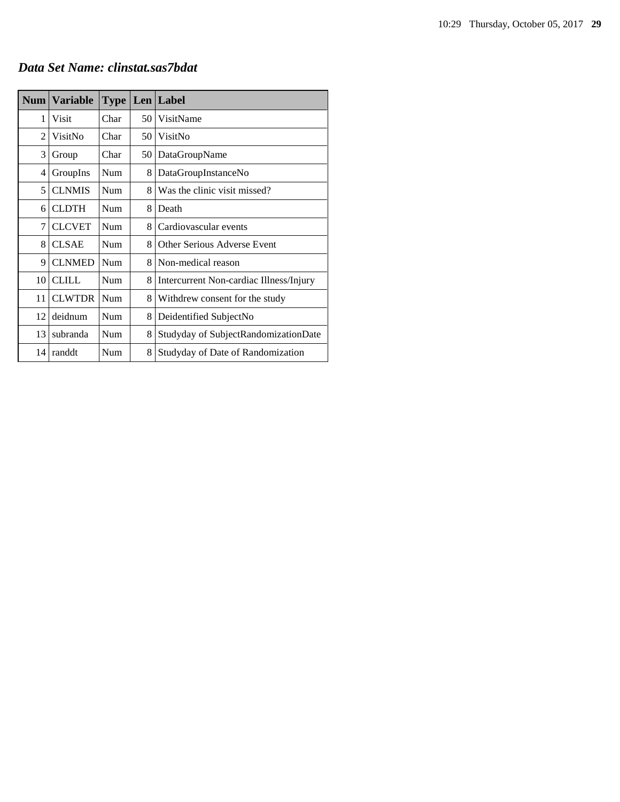|  | Data Set Name: clinstat.sas7bdat |  |
|--|----------------------------------|--|
|  |                                  |  |

| Num            | <b>Variable</b> | <b>Type</b> |    | Len Label                               |
|----------------|-----------------|-------------|----|-----------------------------------------|
| 1              | Visit           | Char        | 50 | VisitName                               |
| $\overline{c}$ | VisitNo         | Char        | 50 | VisitNo                                 |
| 3              | Group           | Char        | 50 | DataGroupName                           |
| 4              | GroupIns        | Num         | 8  | DataGroupInstanceNo                     |
| 5              | <b>CLNMIS</b>   | Num         | 8  | Was the clinic visit missed?            |
| 6              | <b>CLDTH</b>    | Num         | 8  | Death                                   |
| 7              | <b>CLCVET</b>   | Num         | 8  | Cardiovascular events                   |
| 8              | <b>CLSAE</b>    | Num         | 8  | Other Serious Adverse Event             |
| 9              | <b>CLNMED</b>   | Num         | 8  | Non-medical reason                      |
| 10             | <b>CLILL</b>    | Num         | 8  | Intercurrent Non-cardiac Illness/Injury |
| 11             | <b>CLWTDR</b>   | Num         | 8  | Withdrew consent for the study          |
| 12             | deidnum         | Num         | 8  | Deidentified SubjectNo                  |
| 13             | subranda        | Num         | 8  | Studyday of SubjectRandomizationDate    |
| 14             | randdt          | Num         | 8  | Studyday of Date of Randomization       |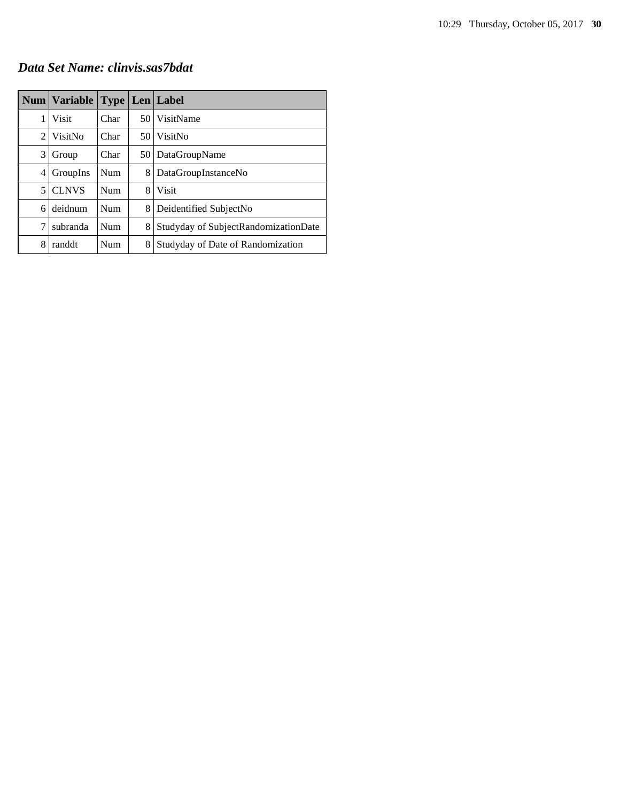## *Data Set Name: clinvis.sas7bdat*

|                | Num   Variable   Type   Len   Label |            |                 |                                      |
|----------------|-------------------------------------|------------|-----------------|--------------------------------------|
| 1              | Visit                               | Char       |                 | 50 VisitName                         |
| $\mathfrak{D}$ | VisitNo                             | Char       | 50 <sup>1</sup> | VisitNo                              |
| 3              | Group                               | Char       |                 | 50   DataGroupName                   |
| 4              | GroupIns                            | <b>Num</b> | 8               | DataGroupInstanceNo                  |
| 5              | <b>CLNVS</b>                        | Num        | 8               | <b>Visit</b>                         |
| 6              | deidnum                             | Num        | 8               | Deidentified SubjectNo               |
| 7              | subranda                            | Num        | 8               | Studyday of SubjectRandomizationDate |
| 8              | randdt                              | Num        | 8               | Studyday of Date of Randomization    |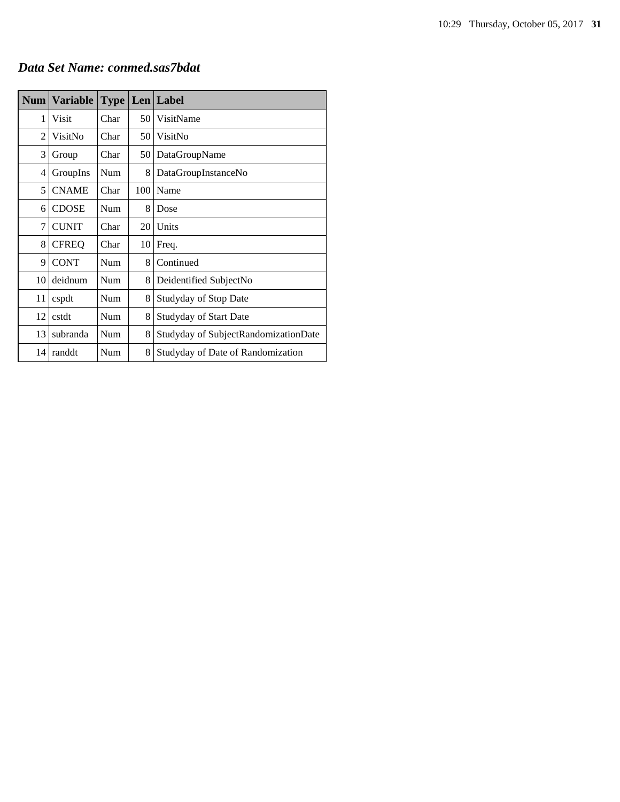# *Data Set Name: conmed.sas7bdat*

| Num            | <b>Variable</b> | <b>Type</b> | Len | Label                                |
|----------------|-----------------|-------------|-----|--------------------------------------|
| 1              | Visit           | Char        | 50  | VisitName                            |
| $\overline{c}$ | VisitNo         | Char        | 50  | VisitNo                              |
| 3              | Group           | Char        | 50  | DataGroupName                        |
| 4              | GroupIns        | Num         | 8   | DataGroupInstanceNo                  |
| 5              | <b>CNAME</b>    | Char        | 100 | Name                                 |
| 6              | <b>CDOSE</b>    | Num         | 8   | Dose                                 |
| 7              | <b>CUNIT</b>    | Char        | 20  | Units                                |
| 8              | <b>CFREQ</b>    | Char        | 10  | Freq.                                |
| 9              | <b>CONT</b>     | Num         | 8   | Continued                            |
| 10             | deidnum         | Num         | 8   | Deidentified SubjectNo               |
| 11             | cspdt           | Num         | 8   | <b>Studyday of Stop Date</b>         |
| 12             | cstdt           | Num         | 8   | <b>Studyday of Start Date</b>        |
| 13             | subranda        | Num         | 8   | Studyday of SubjectRandomizationDate |
| 14             | randdt          | Num         | 8   | Studyday of Date of Randomization    |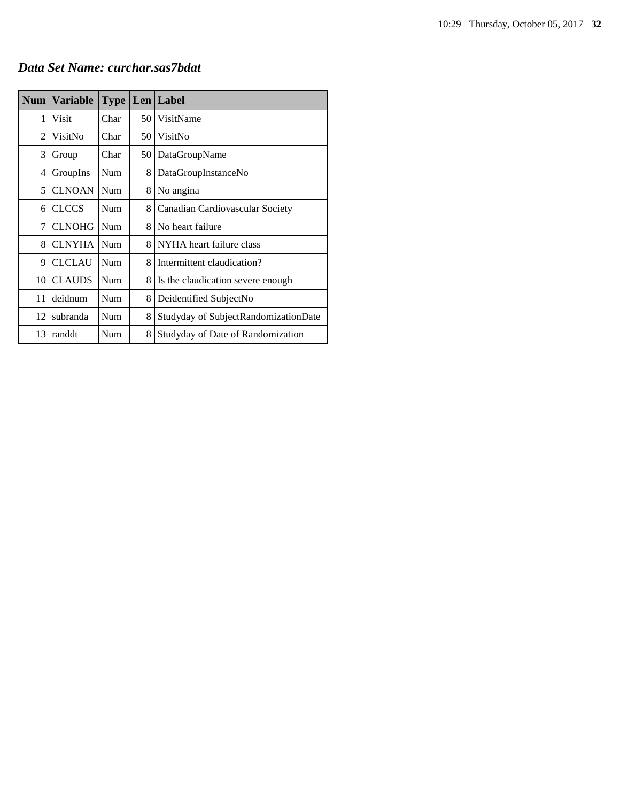|  |  | Data Set Name: curchar.sas7bdat |
|--|--|---------------------------------|
|--|--|---------------------------------|

|                | Num   Variable | <b>Type</b> |    | Len   Label                          |
|----------------|----------------|-------------|----|--------------------------------------|
| 1              | Visit          | Char        | 50 | VisitName                            |
| $\overline{c}$ | VisitNo        | Char        | 50 | VisitNo                              |
| 3              | Group          | Char        | 50 | DataGroupName                        |
| 4              | GroupIns       | <b>Num</b>  | 8  | DataGroupInstanceNo                  |
| 5              | <b>CLNOAN</b>  | Num         | 8  | No angina                            |
| 6              | <b>CLCCS</b>   | Num         | 8  | Canadian Cardiovascular Society      |
| 7              | <b>CLNOHG</b>  | Num         | 8  | No heart failure                     |
| 8              | <b>CLNYHA</b>  | Num         | 8  | NYHA heart failure class             |
| 9              | <b>CLCLAU</b>  | Num         | 8  | Intermittent claudication?           |
| 10             | <b>CLAUDS</b>  | Num         | 8  | Is the claudication severe enough.   |
| 11             | deidnum        | Num         | 8  | Deidentified SubjectNo               |
| 12             | subranda       | Num         | 8  | Studyday of SubjectRandomizationDate |
| 13             | randdt         | Num         | 8  | Studyday of Date of Randomization    |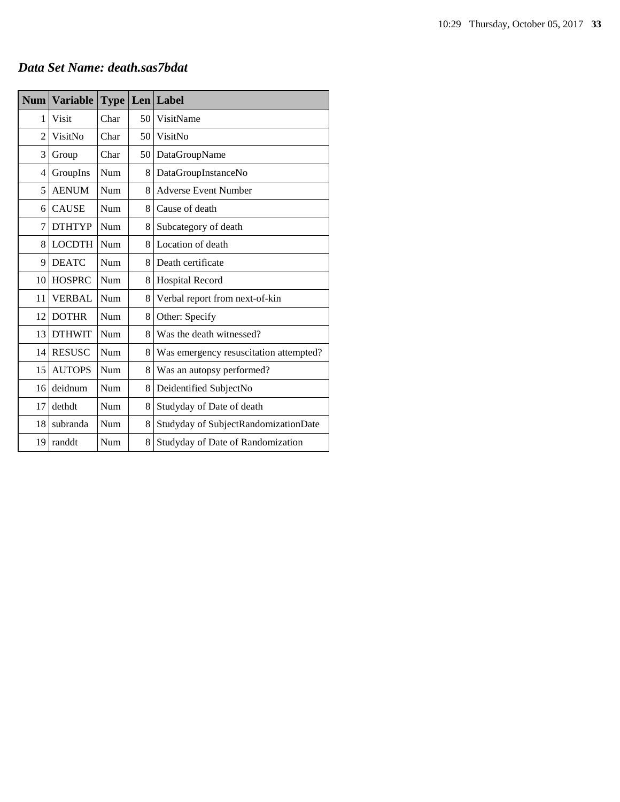#### *Data Set Name: death.sas7bdat*

| <b>Num</b> | <b>Variable</b> | <b>Type</b> |    | Len Label                              |
|------------|-----------------|-------------|----|----------------------------------------|
| 1          | <b>Visit</b>    | Char        | 50 | VisitName                              |
| 2          | VisitNo         | Char        | 50 | VisitNo                                |
| 3          | Group           | Char        | 50 | DataGroupName                          |
| 4          | GroupIns        | Num         | 8  | DataGroupInstanceNo                    |
| 5          | <b>AENUM</b>    | Num         | 8  | <b>Adverse Event Number</b>            |
| 6          | <b>CAUSE</b>    | Num         | 8  | Cause of death                         |
| 7          | <b>DTHTYP</b>   | Num         | 8  | Subcategory of death                   |
| 8          | <b>LOCDTH</b>   | Num         | 8  | Location of death                      |
| 9          | <b>DEATC</b>    | Num         | 8  | Death certificate                      |
| 10         | <b>HOSPRC</b>   | Num         | 8  | <b>Hospital Record</b>                 |
| 11         | <b>VERBAL</b>   | Num         | 8  | Verbal report from next-of-kin         |
| 12         | <b>DOTHR</b>    | Num         | 8  | Other: Specify                         |
| 13         | <b>DTHWIT</b>   | Num         | 8  | Was the death witnessed?               |
| 14         | <b>RESUSC</b>   | Num         | 8  | Was emergency resuscitation attempted? |
| 15         | <b>AUTOPS</b>   | Num         | 8  | Was an autopsy performed?              |
| 16         | deidnum         | Num         | 8  | Deidentified SubjectNo                 |
| 17         | dethdt          | Num         | 8  | Studyday of Date of death              |
| 18         | subranda        | Num         | 8  | Studyday of SubjectRandomizationDate   |
| 19         | randdt          | Num         | 8  | Studyday of Date of Randomization      |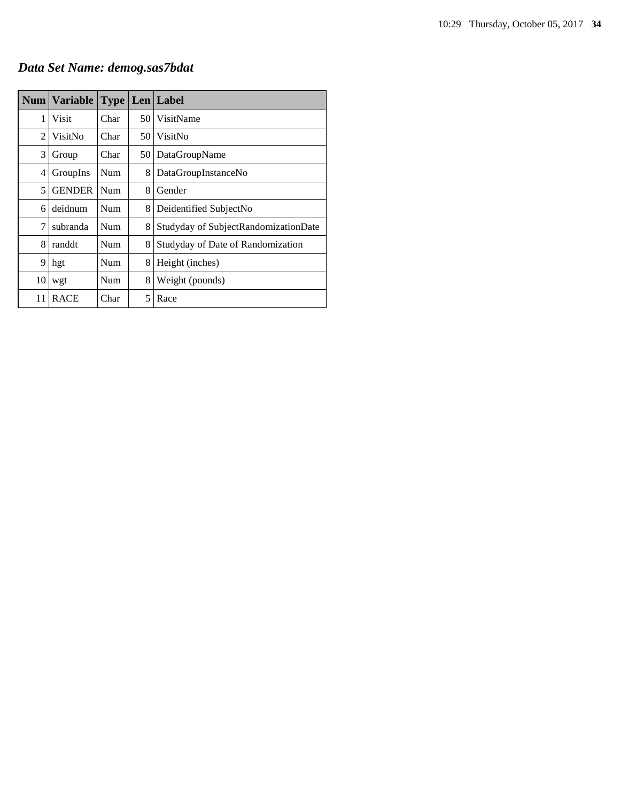# *Data Set Name: demog.sas7bdat*

|    | Num   Variable   Type   Len   Label |      |    |                                      |
|----|-------------------------------------|------|----|--------------------------------------|
| 1  | Visit                               | Char | 50 | VisitName                            |
| 2  | VisitNo                             | Char | 50 | VisitNo                              |
| 3  | Group                               | Char | 50 | DataGroupName                        |
| 4  | GroupIns                            | Num  | 8  | DataGroupInstanceNo                  |
| 5  | <b>GENDER</b>                       | Num  | 8  | Gender                               |
| 6  | deidnum                             | Num  | 8  | Deidentified SubjectNo               |
| 7  | subranda                            | Num  | 8  | Studyday of SubjectRandomizationDate |
| 8  | randdt                              | Num  | 8  | Studyday of Date of Randomization    |
| 9  | hgt                                 | Num  | 8  | Height (inches)                      |
| 10 | wgt                                 | Num  | 8  | Weight (pounds)                      |
| 11 | <b>RACE</b>                         | Char | 5  | Race                                 |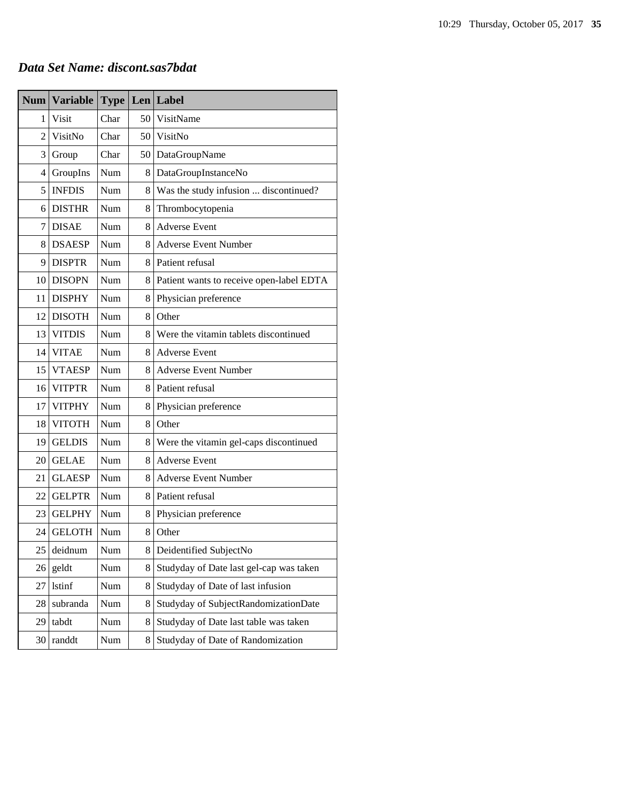# *Data Set Name: discont.sas7bdat*

| <b>Num</b> | <b>Variable</b> |      |    | <b>Type Len Label</b>                    |
|------------|-----------------|------|----|------------------------------------------|
| 1          | Visit           | Char | 50 | VisitName                                |
| 2          | VisitNo         | Char | 50 | VisitNo                                  |
| 3          | Group           | Char |    | 50 DataGroupName                         |
| 4          | GroupIns        | Num  | 8  | DataGroupInstanceNo                      |
| 5          | <b>INFDIS</b>   | Num  | 8  | Was the study infusion  discontinued?    |
| 6          | <b>DISTHR</b>   | Num  | 8  | Thrombocytopenia                         |
| 7          | <b>DISAE</b>    | Num  | 8  | <b>Adverse Event</b>                     |
| 8          | <b>DSAESP</b>   | Num  | 8  | <b>Adverse Event Number</b>              |
| 9          | <b>DISPTR</b>   | Num  | 8  | Patient refusal                          |
| 10         | <b>DISOPN</b>   | Num  | 8  | Patient wants to receive open-label EDTA |
| 11         | <b>DISPHY</b>   | Num  | 8  | Physician preference                     |
| 12         | <b>DISOTH</b>   | Num  | 8  | Other                                    |
| 13         | <b>VITDIS</b>   | Num  | 8  | Were the vitamin tablets discontinued    |
| 14         | <b>VITAE</b>    | Num  | 8  | <b>Adverse Event</b>                     |
| 15         | <b>VTAESP</b>   | Num  | 8  | <b>Adverse Event Number</b>              |
| 16         | <b>VITPTR</b>   | Num  | 8  | Patient refusal                          |
| 17         | <b>VITPHY</b>   | Num  | 8  | Physician preference                     |
| 18         | <b>VITOTH</b>   | Num  | 8  | Other                                    |
| 19         | <b>GELDIS</b>   | Num  | 8  | Were the vitamin gel-caps discontinued   |
| 20         | <b>GELAE</b>    | Num  | 8  | <b>Adverse Event</b>                     |
| 21         | <b>GLAESP</b>   | Num  | 8  | <b>Adverse Event Number</b>              |
| 22         | <b>GELPTR</b>   | Num  | 8  | Patient refusal                          |
| 23         | <b>GELPHY</b>   | Num  | 8  | Physician preference                     |
| 24         | <b>GELOTH</b>   | Num  | 8  | Other                                    |
| 25         | deidnum         | Num  | 8  | Deidentified SubjectNo                   |
| 26         | geldt           | Num  | 8  | Studyday of Date last gel-cap was taken  |
| 27         | <b>lstinf</b>   | Num  | 8  | Studyday of Date of last infusion        |
| 28         | subranda        | Num  | 8  | Studyday of SubjectRandomizationDate     |
| 29         | tabdt           | Num  | 8  | Studyday of Date last table was taken    |
| 30         | randdt          | Num  | 8  | Studyday of Date of Randomization        |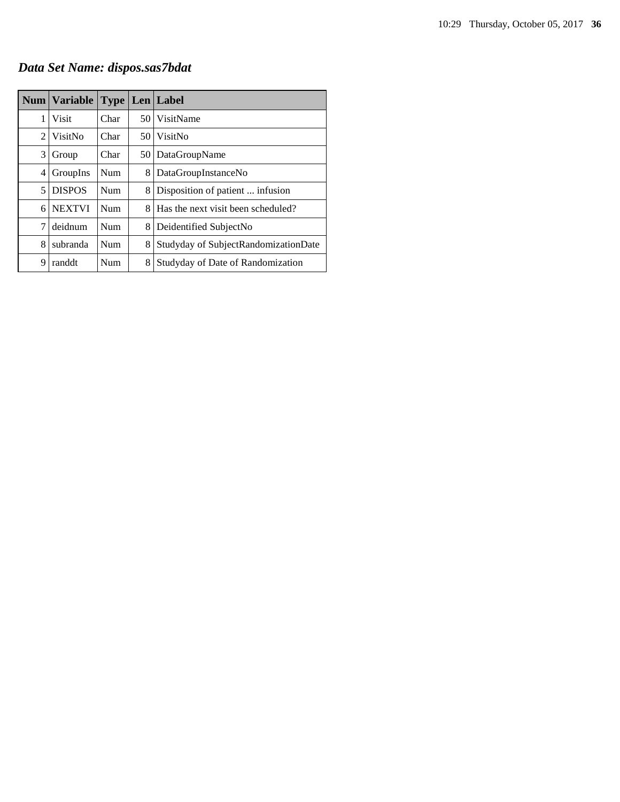# *Data Set Name: dispos.sas7bdat*

|   | Num   Variable | <b>Type Len Label</b> |      |                                      |
|---|----------------|-----------------------|------|--------------------------------------|
| 1 | <b>Visit</b>   | Char                  | 50 I | VisitName                            |
| 2 | VisitNo        | Char                  | 50 I | VisitNo                              |
| 3 | Group          | Char                  | 50   | DataGroupName                        |
| 4 | GroupIns       | Num                   | 8    | DataGroupInstanceNo                  |
| 5 | <b>DISPOS</b>  | <b>Num</b>            | 8    | Disposition of patient  infusion     |
| 6 | <b>NEXTVI</b>  | Num                   | 8.   | Has the next visit been scheduled?   |
| 7 | deidnum        | Num                   | 8    | Deidentified SubjectNo               |
| 8 | subranda       | Num                   | 8    | Studyday of SubjectRandomizationDate |
| 9 | randdt         | Num                   | 8    | Studyday of Date of Randomization    |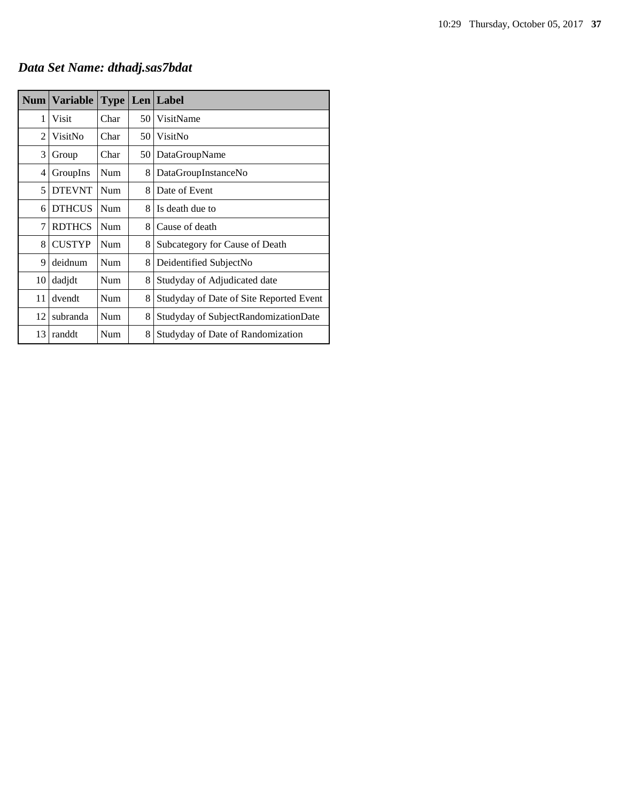# *Data Set Name: dthadj.sas7bdat*

| Num            | <b>Variable</b> | <b>Type</b> |      | Len Label                               |
|----------------|-----------------|-------------|------|-----------------------------------------|
| 1              | Visit           | Char        | 50 l | VisitName                               |
| $\overline{c}$ | VisitNo         | Char        | 50   | VisitNo                                 |
| 3              | Group           | Char        | 50   | DataGroupName                           |
| 4              | GroupIns        | Num         | 8    | DataGroupInstanceNo                     |
| 5              | <b>DTEVNT</b>   | Num         | 8    | Date of Event                           |
| 6              | <b>DTHCUS</b>   | Num         | 8    | Is death due to                         |
| 7              | <b>RDTHCS</b>   | Num         | 8    | Cause of death                          |
| 8              | <b>CUSTYP</b>   | Num         | 8    | Subcategory for Cause of Death          |
| 9              | deidnum         | Num         | 8    | Deidentified SubjectNo                  |
| 10             | dadjdt          | Num         | 8    | Studyday of Adjudicated date            |
| 11             | dvendt          | Num         | 8    | Studyday of Date of Site Reported Event |
| 12             | subranda        | Num         | 8    | Studyday of SubjectRandomizationDate    |
| 13             | randdt          | Num         | 8    | Studyday of Date of Randomization       |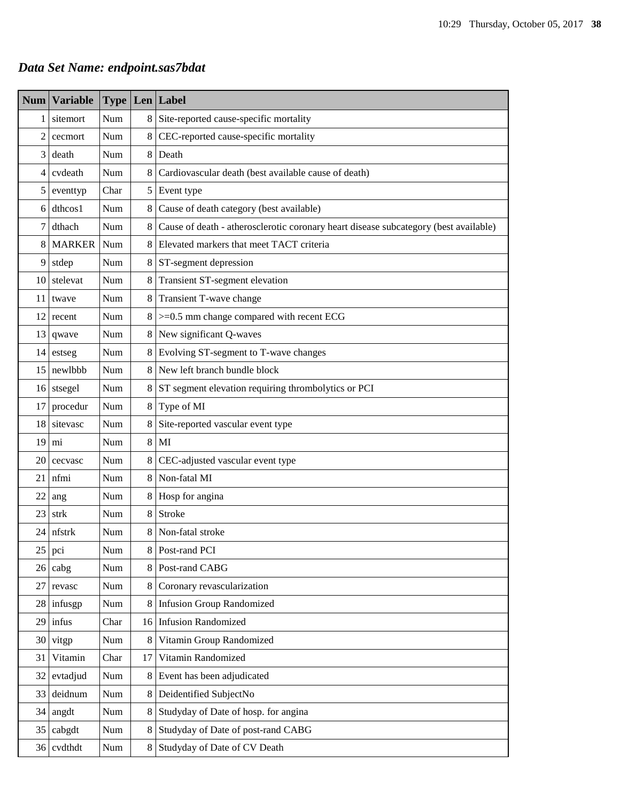# *Data Set Name: endpoint.sas7bdat*

| $Num \mid$      | <b>Variable</b> |      |         | <b>Type Len Label</b>                                                                |  |  |  |
|-----------------|-----------------|------|---------|--------------------------------------------------------------------------------------|--|--|--|
| 1               | sitemort        | Num  | 8       | Site-reported cause-specific mortality                                               |  |  |  |
| 2               | cecmort         | Num  | 8       | CEC-reported cause-specific mortality                                                |  |  |  |
| 3               | death           | Num  | 8       | Death                                                                                |  |  |  |
| $\overline{4}$  | cvdeath         | Num  | 8       | Cardiovascular death (best available cause of death)                                 |  |  |  |
| 5               | eventtyp        | Char | 5       | Event type                                                                           |  |  |  |
| 6               | dthcos1         | Num  | 8       | Cause of death category (best available)                                             |  |  |  |
| 7               | dthach          | Num  | 8       | Cause of death - atherosclerotic coronary heart disease subcategory (best available) |  |  |  |
| 8               | <b>MARKER</b>   | Num  | 8       | Elevated markers that meet TACT criteria                                             |  |  |  |
| 9               | stdep           | Num  | 8       | ST-segment depression                                                                |  |  |  |
| 10              | stelevat        | Num  | 8       | Transient ST-segment elevation                                                       |  |  |  |
| 11              | twave           | Num  | $\,8\,$ | Transient T-wave change                                                              |  |  |  |
| 12              | recent          | Num  | 8       | $>=0.5$ mm change compared with recent ECG                                           |  |  |  |
| 13              | qwave           | Num  | 8       | New significant Q-waves                                                              |  |  |  |
| 14              | estseg          | Num  | 8       | Evolving ST-segment to T-wave changes                                                |  |  |  |
| 15              | newlbbb         | Num  | 8       | New left branch bundle block                                                         |  |  |  |
| 16              | stsegel         | Num  | 8       | ST segment elevation requiring thrombolytics or PCI                                  |  |  |  |
| 17              | procedur        | Num  | 8       | Type of MI                                                                           |  |  |  |
| 18              | sitevasc        | Num  | 8       | Site-reported vascular event type                                                    |  |  |  |
| 19              | mi              | Num  | 8       | MI                                                                                   |  |  |  |
| 20              | cecvasc         | Num  | 8       | CEC-adjusted vascular event type                                                     |  |  |  |
| 21              | nfmi            | Num  | 8       | Non-fatal MI                                                                         |  |  |  |
| 22              | ang             | Num  | 8       | Hosp for angina                                                                      |  |  |  |
| 23              | strk            | Num  | 8       | Stroke                                                                               |  |  |  |
| 24              | nfstrk          | Num  | 8       | Non-fatal stroke                                                                     |  |  |  |
| 25              | pci             | Num  | 8       | Post-rand PCI                                                                        |  |  |  |
| 26 <sup>1</sup> | cabg            | Num  | $\,8\,$ | Post-rand CABG                                                                       |  |  |  |
| 27              | revasc          | Num  | $\,8\,$ | Coronary revascularization                                                           |  |  |  |
| 28              | infusgp         | Num  | 8       | <b>Infusion Group Randomized</b>                                                     |  |  |  |
| 29 <sup>1</sup> | infus           | Char | 16      | <b>Infusion Randomized</b>                                                           |  |  |  |
| 30              | vitgp           | Num  | $\,8\,$ | Vitamin Group Randomized                                                             |  |  |  |
| 31              | Vitamin         | Char | 17      | Vitamin Randomized                                                                   |  |  |  |
| 32              | evtadjud        | Num  | $\,8\,$ | Event has been adjudicated                                                           |  |  |  |
| 33              | deidnum         | Num  | $\,8\,$ | Deidentified SubjectNo                                                               |  |  |  |
| 34              | angdt           | Num  | $\,8\,$ | Studyday of Date of hosp. for angina                                                 |  |  |  |
| 35              | cabgdt          | Num  | $\,8\,$ | Studyday of Date of post-rand CABG                                                   |  |  |  |
| 36              | cvdthdt         | Num  | 8       | Studyday of Date of CV Death                                                         |  |  |  |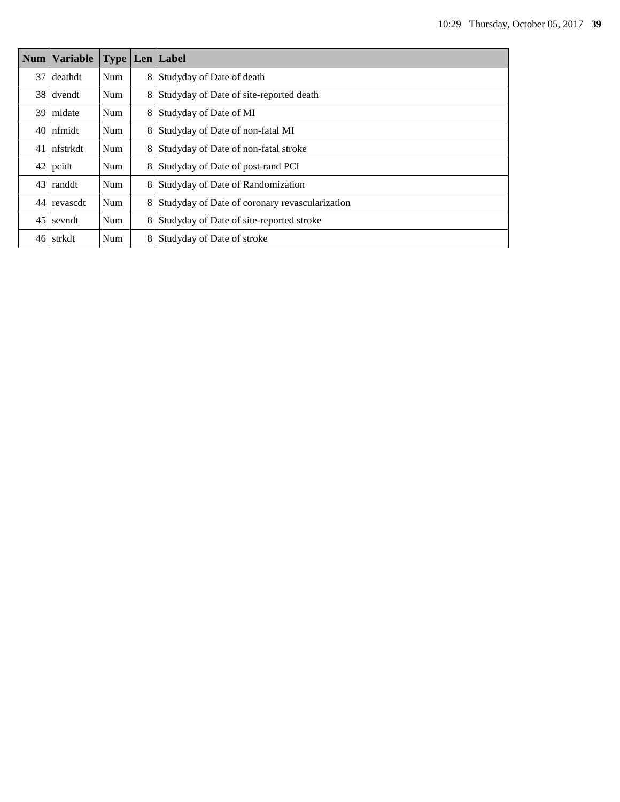|                 | <b>Num Variable</b> |            |   | <b>Type Len Label</b>                          |  |
|-----------------|---------------------|------------|---|------------------------------------------------|--|
| 37              | deathdt             | Num        | 8 | Studyday of Date of death                      |  |
|                 | 38 dvendt           | Num        | 8 | Studyday of Date of site-reported death        |  |
| 391             | midate              | Num        | 8 | Studyday of Date of MI                         |  |
|                 | $40$ nfmidt         | Num        | 8 | Studyday of Date of non-fatal MI               |  |
|                 | 41   nfstrkdt       | Num        | 8 | Studyday of Date of non-fatal stroke           |  |
|                 | $42$ pcidt          | Num        | 8 | Studyday of Date of post-rand PCI              |  |
|                 | $43$ randdt         | Num        | 8 | Studyday of Date of Randomization              |  |
|                 | 44 revascdt         | Num        | 8 | Studyday of Date of coronary revascularization |  |
| 45 <sup>1</sup> | sevndt              | <b>Num</b> | 8 | Studyday of Date of site-reported stroke       |  |
|                 | 46 strkdt           | Num        | 8 | Studyday of Date of stroke                     |  |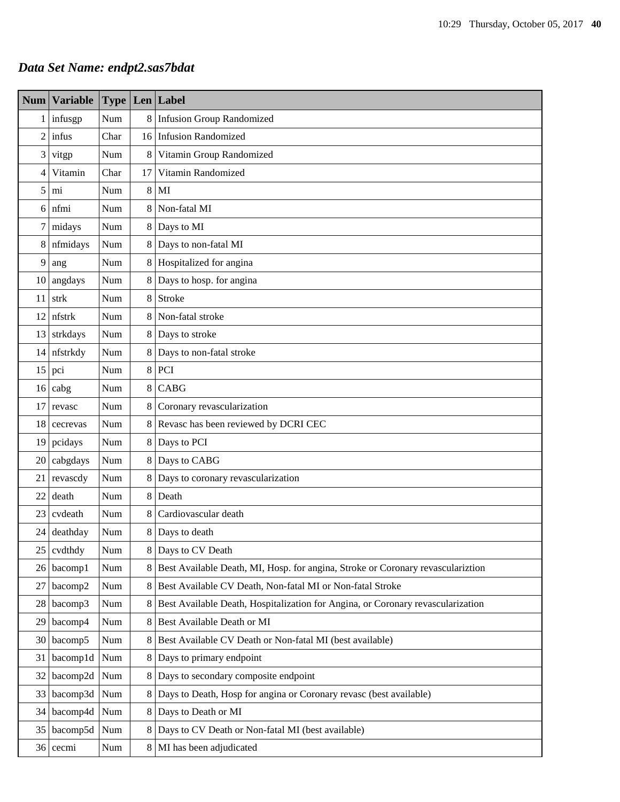# *Data Set Name: endpt2.sas7bdat*

| <b>Num</b>     | <b>Variable</b> | <b>Type</b>                 |         | Len Label                                                                       |  |  |  |
|----------------|-----------------|-----------------------------|---------|---------------------------------------------------------------------------------|--|--|--|
| $\mathbf{1}$   | infusgp         | Num                         | 8       | <b>Infusion Group Randomized</b>                                                |  |  |  |
| $\overline{c}$ | infus           | Char                        | 16      | <b>Infusion Randomized</b>                                                      |  |  |  |
| 3              | vitgp           | Num                         | 8       | Vitamin Group Randomized                                                        |  |  |  |
| 4              | Vitamin         | Char                        | 17      | Vitamin Randomized                                                              |  |  |  |
| 5              | mi              | Num                         | 8       | MI                                                                              |  |  |  |
| 6              | nfmi            | Num                         | 8       | Non-fatal MI                                                                    |  |  |  |
| 7              | midays          | Num                         | 8       | Days to MI                                                                      |  |  |  |
| 8              | nfmidays        | Num                         | $\,8\,$ | Days to non-fatal MI                                                            |  |  |  |
| 9              | ang             | Num                         | 8       | Hospitalized for angina                                                         |  |  |  |
| 10             | angdays         | Num                         | $\,8\,$ | Days to hosp. for angina                                                        |  |  |  |
| 11             | strk            | Num                         | 8       | Stroke                                                                          |  |  |  |
| 12             | nfstrk          | Num                         | 8       | Non-fatal stroke                                                                |  |  |  |
| 13             | strkdays        | Num                         | 8       | Days to stroke                                                                  |  |  |  |
| 14             | nfstrkdy        | Num                         | 8       | Days to non-fatal stroke                                                        |  |  |  |
| 15             | pci             | Num                         | $\,8$   | PCI                                                                             |  |  |  |
| 16             | cabg            | Num                         | 8       | CABG                                                                            |  |  |  |
| 17             | revasc          | Num                         | 8       | Coronary revascularization                                                      |  |  |  |
| 18             | cecrevas        | Num                         | 8       | Revasc has been reviewed by DCRI CEC                                            |  |  |  |
| 19             | pcidays         | Num                         | 8       | Days to PCI                                                                     |  |  |  |
| 20             | cabgdays        | Num                         | 8       | Days to CABG                                                                    |  |  |  |
| 21             | revascdy        | Num                         | 8       | Days to coronary revascularization                                              |  |  |  |
| 22             | death           | Num                         | $\,8$   | Death                                                                           |  |  |  |
| 23             | cvdeath         | Num                         | 8       | Cardiovascular death                                                            |  |  |  |
| 24             | deathday        | $\mathop{\rm Num}\nolimits$ | 8       | Days to death                                                                   |  |  |  |
| 25             | cvdthdy         | Num                         | 8       | Days to CV Death                                                                |  |  |  |
| 26             | bacomp1         | Num                         | 8       | Best Available Death, MI, Hosp. for angina, Stroke or Coronary revasculariztion |  |  |  |
| 27             | bacomp2         | Num                         | $\,8\,$ | Best Available CV Death, Non-fatal MI or Non-fatal Stroke                       |  |  |  |
| 28             | bacomp3         | Num                         | 8       | Best Available Death, Hospitalization for Angina, or Coronary revascularization |  |  |  |
| 29             | bacomp4         | Num                         | 8       | Best Available Death or MI                                                      |  |  |  |
| 30             | bacomp5         | Num                         | 8       | Best Available CV Death or Non-fatal MI (best available)                        |  |  |  |
| 31             | bacomp1d        | Num                         | 8       | Days to primary endpoint                                                        |  |  |  |
| 32             | bacomp2d        | Num                         | 8       | Days to secondary composite endpoint                                            |  |  |  |
| 33             | bacomp3d        | Num                         | 8       | Days to Death, Hosp for angina or Coronary revasc (best available)              |  |  |  |
| 34             | bacomp4d        | Num                         | 8       | Days to Death or MI                                                             |  |  |  |
| 35             | bacomp5d        | Num                         | 8       | Days to CV Death or Non-fatal MI (best available)                               |  |  |  |
| 36             | cecmi           | Num                         | 8       | MI has been adjudicated                                                         |  |  |  |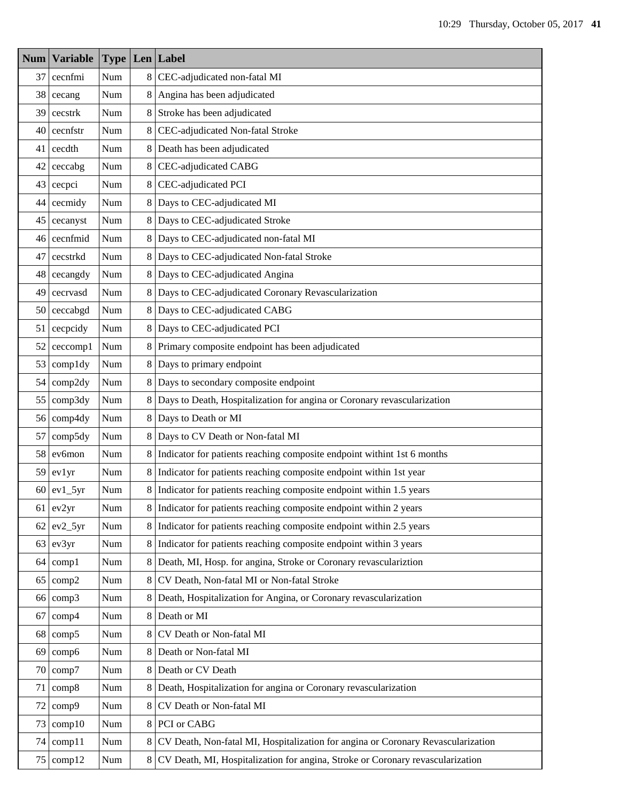| <b>Num</b> | <b>Variable</b> |                             |                | <b>Type Len Label</b>                                                            |  |  |  |
|------------|-----------------|-----------------------------|----------------|----------------------------------------------------------------------------------|--|--|--|
| 37         | cecnfmi         | Num                         | 8              | CEC-adjudicated non-fatal MI                                                     |  |  |  |
| 38         | cecang          | Num                         | 8              | Angina has been adjudicated                                                      |  |  |  |
| 39         | cecstrk         | Num                         | 8 <sup>1</sup> | Stroke has been adjudicated                                                      |  |  |  |
| 40         | cecnfstr        | Num                         | 8              | CEC-adjudicated Non-fatal Stroke                                                 |  |  |  |
| 41         | cecdth          | Num                         | 8              | Death has been adjudicated                                                       |  |  |  |
| 42         | ceccabg         | Num                         | 8              | CEC-adjudicated CABG                                                             |  |  |  |
| 43         | cecpci          | Num                         | 8              | CEC-adjudicated PCI                                                              |  |  |  |
| 44         | cecmidy         | Num                         | 8              | Days to CEC-adjudicated MI                                                       |  |  |  |
| 45         | cecanyst        | Num                         | 8              | Days to CEC-adjudicated Stroke                                                   |  |  |  |
| 46         | cecnfmid        | Num                         | 8              | Days to CEC-adjudicated non-fatal MI                                             |  |  |  |
| 47         | cecstrkd        | Num                         | 8              | Days to CEC-adjudicated Non-fatal Stroke                                         |  |  |  |
| 48         | cecangdy        | $\mathbf{Num}$              | 8              | Days to CEC-adjudicated Angina                                                   |  |  |  |
| 49         | cecrvasd        | Num                         | 8              | Days to CEC-adjudicated Coronary Revascularization                               |  |  |  |
| 50         | ceccabgd        | Num                         | 8              | Days to CEC-adjudicated CABG                                                     |  |  |  |
| 51         | cecpcidy        | Num                         | 8              | Days to CEC-adjudicated PCI                                                      |  |  |  |
| 52         | ceccomp1        | Num                         | 8              | Primary composite endpoint has been adjudicated                                  |  |  |  |
| 53         | compldy         | $\mathbf{Num}$              | 8              | Days to primary endpoint                                                         |  |  |  |
| 54         | comp2dy         | Num                         | 8              | Days to secondary composite endpoint                                             |  |  |  |
| 55         | comp3dy         | $\mathbf{Num}$              | 8              | Days to Death, Hospitalization for angina or Coronary revascularization          |  |  |  |
| 56         | comp4dy         | Num                         | 8              | Days to Death or MI                                                              |  |  |  |
| 57         | comp5dy         | Num                         | 8              | Days to CV Death or Non-fatal MI                                                 |  |  |  |
| 58         | ev6mon          | Num                         | 8              | Indicator for patients reaching composite endpoint withint 1st 6 months          |  |  |  |
| 59         | evlyr           | Num                         | 8 <sup>1</sup> | Indicator for patients reaching composite endpoint within 1st year               |  |  |  |
| 60         | $ev1_5yr$       | Num                         | 8 <sup>1</sup> | Indicator for patients reaching composite endpoint within 1.5 years              |  |  |  |
|            | $61$ ev $2yr$   | Num                         |                | 8 Indicator for patients reaching composite endpoint within 2 years              |  |  |  |
| 62         | $ev2_5yr$       | Num                         | 8              | Indicator for patients reaching composite endpoint within 2.5 years              |  |  |  |
| 63         | ev3yr           | Num                         | 8              | Indicator for patients reaching composite endpoint within 3 years                |  |  |  |
| 64         | comp1           | Num                         | 8              | Death, MI, Hosp. for angina, Stroke or Coronary revasculariztion                 |  |  |  |
| 65         | comp2           | Num                         | 8              | CV Death, Non-fatal MI or Non-fatal Stroke                                       |  |  |  |
| 66         | comp3           | Num                         | 8              | Death, Hospitalization for Angina, or Coronary revascularization                 |  |  |  |
| 67         | comp4           | Num                         | 8              | Death or MI                                                                      |  |  |  |
| 68         | comp5           | Num                         | 8              | CV Death or Non-fatal MI                                                         |  |  |  |
| 69         | comp6           | Num                         | 8              | Death or Non-fatal MI                                                            |  |  |  |
| 70         | comp7           | Num                         | 8              | Death or CV Death                                                                |  |  |  |
| 71         | comp8           | Num                         | 8              | Death, Hospitalization for angina or Coronary revascularization                  |  |  |  |
| 72         | comp9           | Num                         | 8              | CV Death or Non-fatal MI                                                         |  |  |  |
| 73         | comp10          | Num                         | 8              | PCI or CABG                                                                      |  |  |  |
| 74         | comp11          | Num                         | 8              | CV Death, Non-fatal MI, Hospitalization for angina or Coronary Revascularization |  |  |  |
| 75         | comp12          | $\mathop{\rm Num}\nolimits$ | 8              | CV Death, MI, Hospitalization for angina, Stroke or Coronary revascularization   |  |  |  |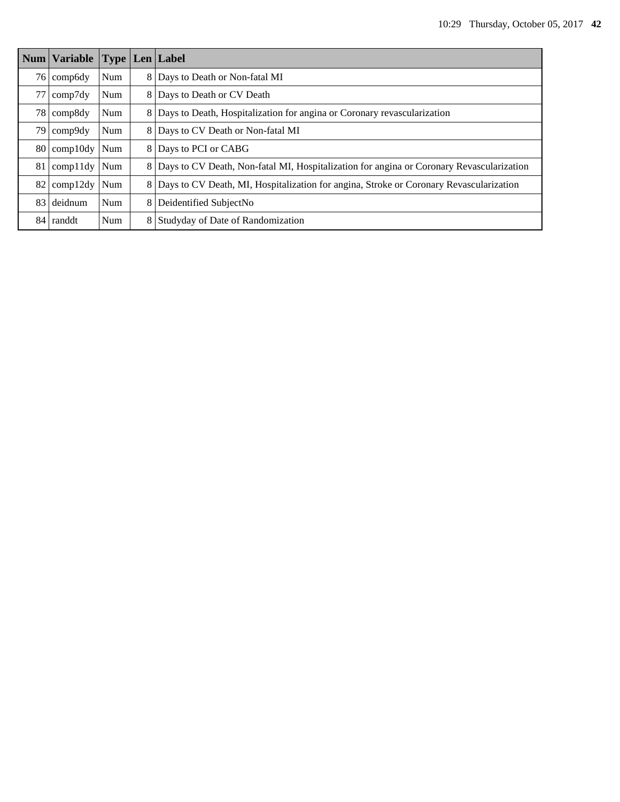| <b>Num</b>      | <b>Variable</b>  | Type       |   | $Len$ Label                                                                              |
|-----------------|------------------|------------|---|------------------------------------------------------------------------------------------|
| 761             | comp6dy          | Num        | 8 | Days to Death or Non-fatal MI                                                            |
| 77              | comp7dy          | Num        | 8 | Days to Death or CV Death                                                                |
|                 | 78 comp8dy       | Num        | 8 | Days to Death, Hospitalization for angina or Coronary revascularization                  |
|                 | 79 comp9dy       | Num        | 8 | Days to CV Death or Non-fatal MI                                                         |
|                 | 80 comp10dy      | Num        | 8 | Days to PCI or CABG                                                                      |
|                 | $81$ comp $11dy$ | Num        | 8 | Days to CV Death, Non-fatal MI, Hospitalization for angina or Coronary Revascularization |
| 82              | comp12dy         | Num        | 8 | Days to CV Death, MI, Hospitalization for angina, Stroke or Coronary Revascularization   |
| 831             | deidnum          | <b>Num</b> | 8 | Deidentified SubjectNo                                                                   |
| 84 <sup>1</sup> | randdt           | <b>Num</b> | 8 | Studyday of Date of Randomization                                                        |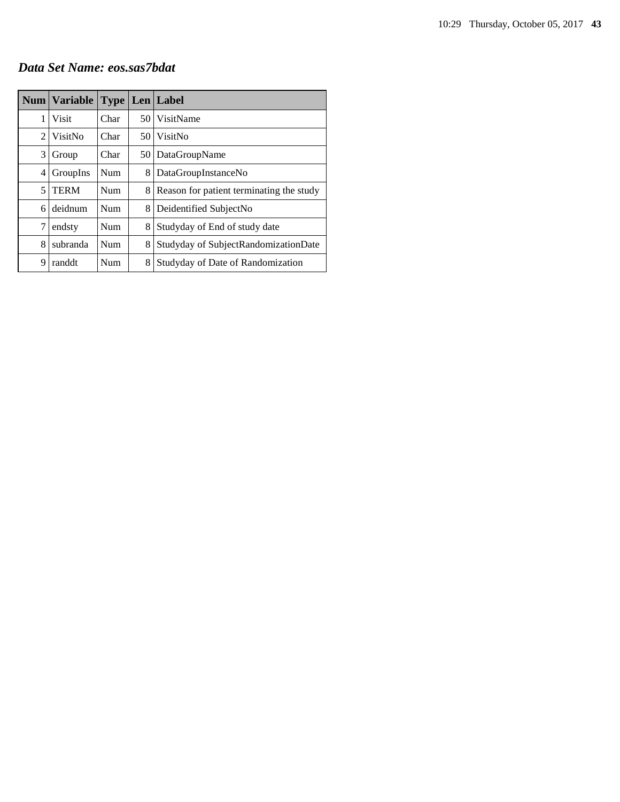#### *Data Set Name: eos.sas7bdat*

|   | Num   Variable |            |      | <b>Type   Len   Label</b>                |
|---|----------------|------------|------|------------------------------------------|
| 1 | <b>Visit</b>   | Char       | 50 I | VisitName                                |
| 2 | VisitNo        | Char       | 50 I | VisitNo                                  |
| 3 | Group          | Char       | 50   | DataGroupName                            |
| 4 | GroupIns       | Num        | 8    | DataGroupInstanceNo                      |
| 5 | <b>TERM</b>    | <b>Num</b> | 8    | Reason for patient terminating the study |
| 6 | deidnum        | Num        | 8.   | Deidentified SubjectNo                   |
| 7 | endsty         | Num        | 8    | Studyday of End of study date            |
| 8 | subranda       | Num        | 8    | Studyday of SubjectRandomizationDate     |
| 9 | randdt         | Num        | 8    | Studyday of Date of Randomization        |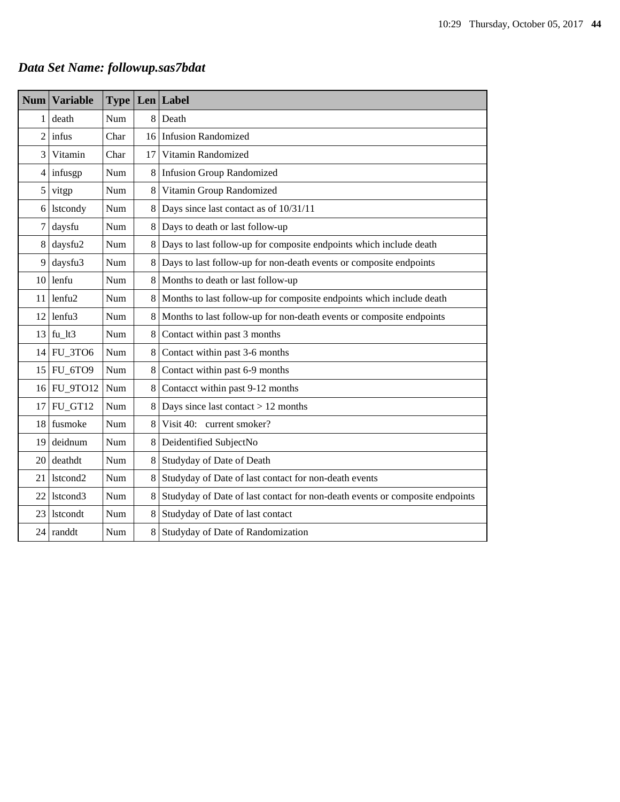# *Data Set Name: followup.sas7bdat*

| <b>Num</b>       | <b>Variable</b>      | <b>Type</b> | Len | Label                                                                        |  |
|------------------|----------------------|-------------|-----|------------------------------------------------------------------------------|--|
| 1                | death                | Num         | 8   | Death                                                                        |  |
| $\overline{c}$   | infus                | Char        | 16  | <b>Infusion Randomized</b>                                                   |  |
| 3                | Vitamin              | Char        | 17  | Vitamin Randomized                                                           |  |
| $\overline{4}$   | infusgp              | Num         | 8   | <b>Infusion Group Randomized</b>                                             |  |
| 5                | vitgp                | Num         | 8   | Vitamin Group Randomized                                                     |  |
| 6                | <b>lstcondy</b>      | Num         | 8   | Days since last contact as of 10/31/11                                       |  |
| $\boldsymbol{7}$ | daysfu               | Num         | 8   | Days to death or last follow-up                                              |  |
| 8                | daysfu2              | Num         | 8   | Days to last follow-up for composite endpoints which include death           |  |
| 9                | daysfu3              | Num         | 8   | Days to last follow-up for non-death events or composite endpoints           |  |
| 10               | lenfu                | Num         | 8   | Months to death or last follow-up                                            |  |
| 11               | lenfu <sub>2</sub>   | Num         | 8   | Months to last follow-up for composite endpoints which include death         |  |
| 12               | lenfu <sub>3</sub>   | Num         | 8   | Months to last follow-up for non-death events or composite endpoints         |  |
| 13               | $fu_l$ 1t3           | Num         | 8   | Contact within past 3 months                                                 |  |
| 14               | FU_3TO6              | Num         | 8   | Contact within past 3-6 months                                               |  |
| 15               | FU_6TO9              | Num         | 8   | Contact within past 6-9 months                                               |  |
| 16               | <b>FU_9TO12</b>      | Num         | 8   | Contacct within past 9-12 months                                             |  |
| 17               | FU GT12              | Num         | 8   | Days since last contact $> 12$ months                                        |  |
| 18               | fusmoke              | <b>Num</b>  | 8   | Visit 40: current smoker?                                                    |  |
| 19               | deidnum              | Num         | 8   | Deidentified SubjectNo                                                       |  |
| 20               | deathdt              | Num         | 8   | Studyday of Date of Death                                                    |  |
| 21               | lstcond <sub>2</sub> | Num         | 8   | Studyday of Date of last contact for non-death events                        |  |
| 22               | lstcond3             | Num         | 8   | Studyday of Date of last contact for non-death events or composite endpoints |  |
| 23               | <b>lstcondt</b>      | Num         | 8   | Studyday of Date of last contact                                             |  |
| 24               | randdt               | Num         | 8   | Studyday of Date of Randomization                                            |  |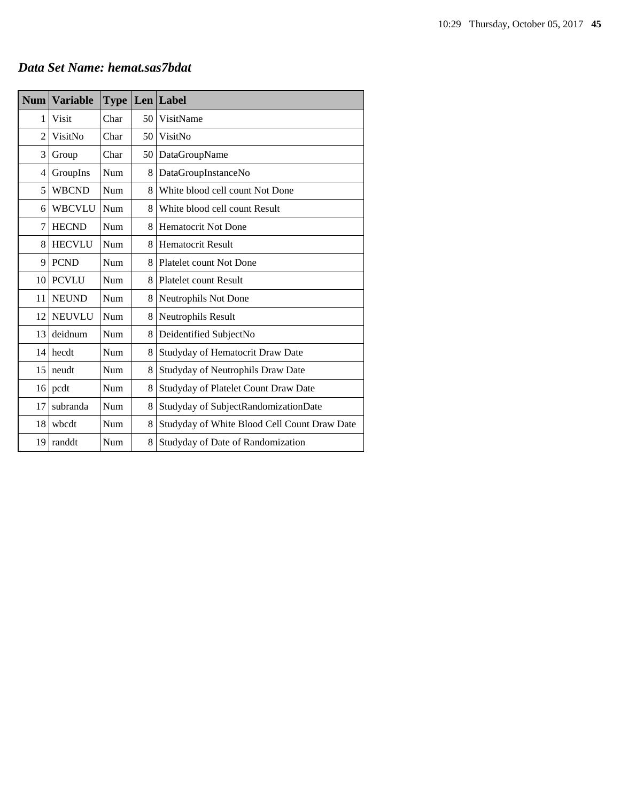#### *Data Set Name: hemat.sas7bdat*

| <b>Num</b>     | <b>Variable</b> | <b>Type</b> |    | <b>Len</b> Label                             |
|----------------|-----------------|-------------|----|----------------------------------------------|
| 1              | Visit           | Char        | 50 | VisitName                                    |
| $\overline{c}$ | VisitNo         | Char        | 50 | VisitNo                                      |
| 3              | Group           | Char        | 50 | DataGroupName                                |
| 4              | GroupIns        | Num         | 8  | DataGroupInstanceNo                          |
| 5              | <b>WBCND</b>    | Num         | 8  | White blood cell count Not Done              |
| 6              | <b>WBCVLU</b>   | Num         | 8  | White blood cell count Result                |
| 7              | <b>HECND</b>    | Num         | 8  | <b>Hematocrit Not Done</b>                   |
| 8              | <b>HECVLU</b>   | Num         | 8  | <b>Hematocrit Result</b>                     |
| 9              | <b>PCND</b>     | Num         | 8  | Platelet count Not Done                      |
| 10             | <b>PCVLU</b>    | Num         | 8  | <b>Platelet count Result</b>                 |
| 11             | <b>NEUND</b>    | Num         | 8  | Neutrophils Not Done                         |
| 12             | <b>NEUVLU</b>   | Num         | 8  | Neutrophils Result                           |
| 13             | deidnum         | Num         | 8  | Deidentified SubjectNo                       |
| 14             | hecdt           | Num         | 8  | Studyday of Hematocrit Draw Date             |
| 15             | neudt           | Num         | 8  | Studyday of Neutrophils Draw Date            |
| 16             | pcdt            | Num         | 8  | Studyday of Platelet Count Draw Date         |
| 17             | subranda        | Num         | 8  | Studyday of SubjectRandomizationDate         |
| 18             | wbcdt           | Num         | 8  | Studyday of White Blood Cell Count Draw Date |
| 19             | randdt          | Num         | 8  | Studyday of Date of Randomization            |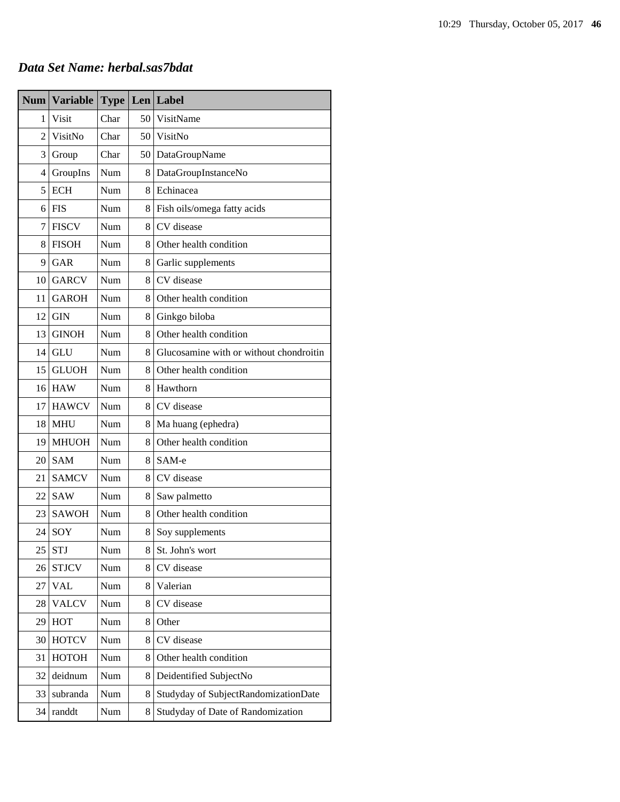| <b>Num</b>     | <b>Variable</b> | <b>Type</b> |   | $Len$ Label                             |
|----------------|-----------------|-------------|---|-----------------------------------------|
| 1              | Visit           | Char        |   | 50 VisitName                            |
| $\overline{2}$ | VisitNo         | Char        |   | 50 VisitNo                              |
| 3              | Group           | Char        |   | 50 DataGroupName                        |
| $\overline{4}$ | GroupIns        | Num         | 8 | DataGroupInstanceNo                     |
| 5              | <b>ECH</b>      | Num         | 8 | Echinacea                               |
| 6              | <b>FIS</b>      | Num         | 8 | Fish oils/omega fatty acids             |
| 7              | <b>FISCV</b>    | Num         | 8 | CV disease                              |
| 8              | <b>FISOH</b>    | Num         | 8 | Other health condition                  |
| 9              | GAR             | Num         | 8 | Garlic supplements                      |
| 10             | <b>GARCV</b>    | Num         | 8 | CV disease                              |
| 11             | <b>GAROH</b>    | Num         | 8 | Other health condition                  |
| 12             | <b>GIN</b>      | Num         | 8 | Ginkgo biloba                           |
| 13             | <b>GINOH</b>    | Num         | 8 | Other health condition                  |
| 14             | <b>GLU</b>      | Num         | 8 | Glucosamine with or without chondroitin |
| 15             | <b>GLUOH</b>    | Num         | 8 | Other health condition                  |
| 16             | <b>HAW</b>      | Num         |   | 8 Hawthorn                              |
| 17             | <b>HAWCV</b>    | Num         | 8 | CV disease                              |
| 18             | <b>MHU</b>      | Num         | 8 | Ma huang (ephedra)                      |
| 19             | <b>MHUOH</b>    | Num         | 8 | Other health condition                  |
| 20             | <b>SAM</b>      | Num         | 8 | SAM-e                                   |
| 21             | <b>SAMCV</b>    | Num         | 8 | CV disease                              |
| 22             | <b>SAW</b>      | Num         | 8 | Saw palmetto                            |
| 23             | <b>SAWOH</b>    | Num         | 8 | Other health condition                  |
| 24             | SOY             | Num         | 8 | Soy supplements                         |
| 25             | <b>STJ</b>      | Num         | 8 | St. John's wort                         |
| 26             | <b>STJCV</b>    | Num         | 8 | CV disease                              |
| 27             | <b>VAL</b>      | Num         | 8 | Valerian                                |
| 28             | <b>VALCV</b>    | Num         | 8 | CV disease                              |
| 29             | <b>HOT</b>      | Num         | 8 | Other                                   |
| 30             | <b>HOTCV</b>    | Num         | 8 | CV disease                              |
| 31             | <b>НОТОН</b>    | Num         | 8 | Other health condition                  |
| 32             | deidnum         | Num         | 8 | Deidentified SubjectNo                  |
| 33             | subranda        | Num         | 8 | Studyday of SubjectRandomizationDate    |
| 34             | randdt          | Num         | 8 | Studyday of Date of Randomization       |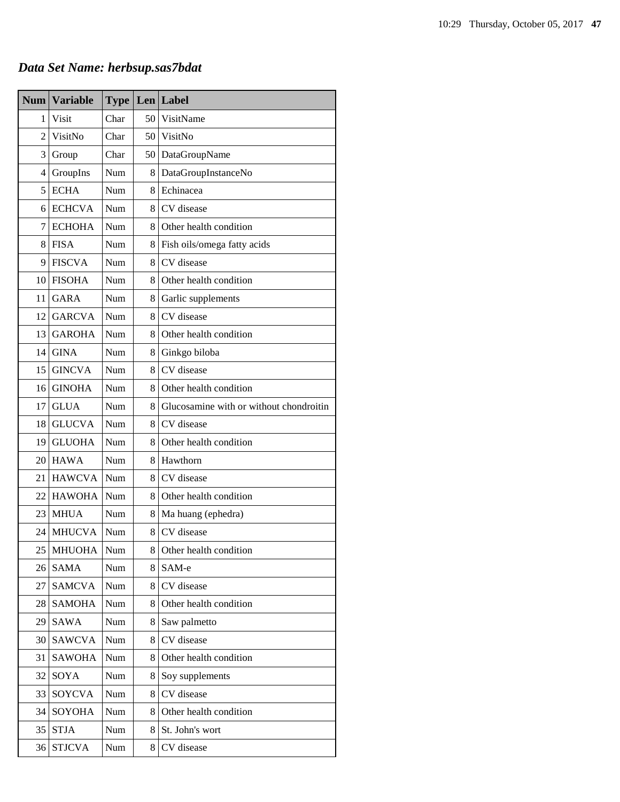# *Data Set Name: herbsup.sas7bdat*

| <b>Num</b>     | <b>Variable</b> | <b>Type</b> |    | $Len$ Label                             |
|----------------|-----------------|-------------|----|-----------------------------------------|
| 1              | Visit           | Char        | 50 | VisitName                               |
| $\overline{2}$ | VisitNo         | Char        | 50 | VisitNo                                 |
| 3              | Group           | Char        | 50 | DataGroupName                           |
| 4              | GroupIns        | Num         | 8  | DataGroupInstanceNo                     |
| 5              | <b>ECHA</b>     | Num         | 8. | Echinacea                               |
| 6              | <b>ECHCVA</b>   | Num         | 8. | CV disease                              |
| 7              | <b>ECHOHA</b>   | Num         | 8  | Other health condition                  |
| 8              | <b>FISA</b>     | Num         | 8  | Fish oils/omega fatty acids             |
| 9              | <b>FISCVA</b>   | Num         | 8  | CV disease                              |
| 10             | <b>FISOHA</b>   | Num         | 8  | Other health condition                  |
| 11             | <b>GARA</b>     | Num         | 8  | Garlic supplements                      |
| 12             | <b>GARCVA</b>   | Num         | 8  | CV disease                              |
| 13             | <b>GAROHA</b>   | Num         | 8  | Other health condition                  |
| 14             | <b>GINA</b>     | Num         | 8  | Ginkgo biloba                           |
| 15             | <b>GINCVA</b>   | Num         | 8. | CV disease                              |
| 16             | <b>GINOHA</b>   | Num         | 8  | Other health condition                  |
| 17             | <b>GLUA</b>     | Num         | 8  | Glucosamine with or without chondroitin |
| 18             | <b>GLUCVA</b>   | Num         | 8  | CV disease                              |
| 19             | <b>GLUOHA</b>   | Num         | 8  | Other health condition                  |
| 20             | <b>HAWA</b>     | Num         | 8  | Hawthorn                                |
| 21             | <b>HAWCVA</b>   | Num         | 8  | CV disease                              |
| 22             | <b>HAWOHA</b>   | Num         | 8  | Other health condition                  |
| 23             | <b>MHUA</b>     | Num         | 8  | Ma huang (ephedra)                      |
| 24             | <b>MHUCVA</b>   | Num         | 8  | CV disease                              |
| 25             | <b>MHUOHA</b>   | Num         | 8  | Other health condition                  |
| 26             | <b>SAMA</b>     | Num         | 8  | SAM-e                                   |
| 27             | <b>SAMCVA</b>   | Num         | 8  | CV disease                              |
| 28             | <b>SAMOHA</b>   | Num         | 8  | Other health condition                  |
| 29             | SAWA            | Num         | 8  | Saw palmetto                            |
| 30             | <b>SAWCVA</b>   | Num         | 8  | CV disease                              |
| 31             | <b>SAWOHA</b>   | Num         | 8  | Other health condition                  |
| 32             | SOYA            | Num         | 8  | Soy supplements                         |
| 33             | SOYCVA          | Num         | 8  | CV disease                              |
| 34             | <b>SOYOHA</b>   | Num         | 8  | Other health condition                  |
| 35             | <b>STJA</b>     | Num         | 8  | St. John's wort                         |
| 36             | <b>STJCVA</b>   | Num         | 8  | CV disease                              |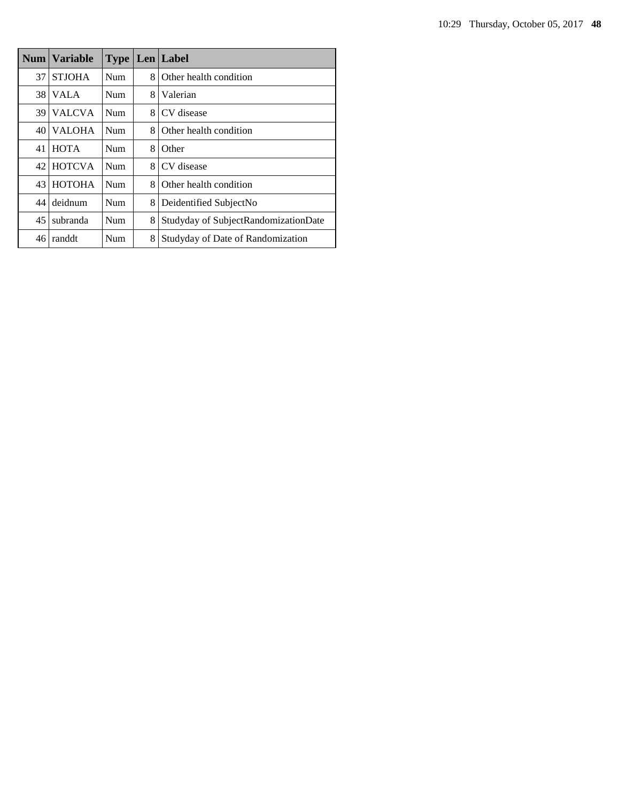|    | <b>Num   Variable</b> | <b>Type</b> |   | Len Label                            |
|----|-----------------------|-------------|---|--------------------------------------|
| 37 | <b>STJOHA</b>         | <b>Num</b>  | 8 | Other health condition               |
| 38 | <b>VALA</b>           | <b>Num</b>  | 8 | Valerian                             |
| 39 | <b>VALCVA</b>         | Num         | 8 | CV disease                           |
| 40 | <b>VALOHA</b>         | Num         | 8 | Other health condition               |
| 41 | <b>HOTA</b>           | Num         | 8 | Other                                |
| 42 | <b>HOTCVA</b>         | Num         | 8 | CV disease                           |
| 43 | <b>HOTOHA</b>         | Num         | 8 | Other health condition               |
| 44 | deidnum               | Num         | 8 | Deidentified SubjectNo               |
| 45 | subranda              | Num         | 8 | Studyday of SubjectRandomizationDate |
| 46 | randdt                | Num         | 8 | Studyday of Date of Randomization    |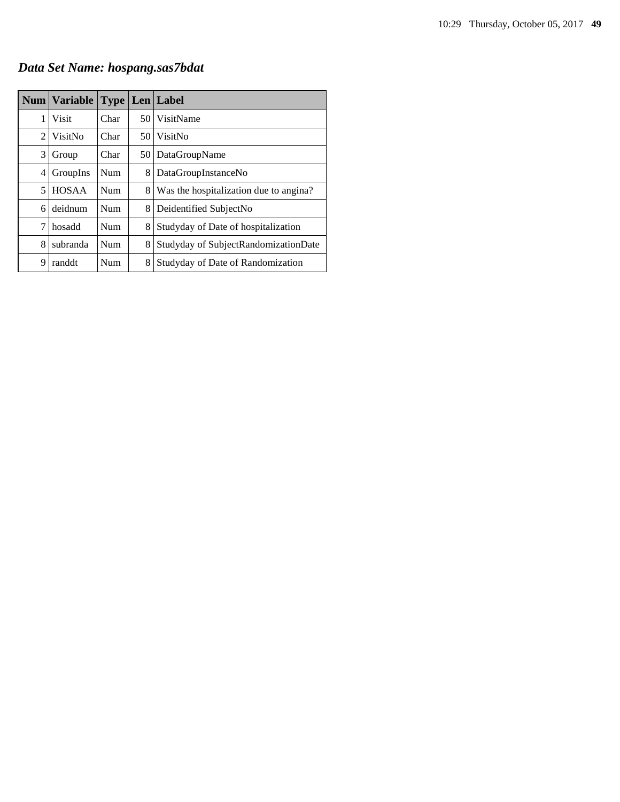*Data Set Name: hospang.sas7bdat*

|   | Num   Variable | <b>Type</b> |      | Len   Label                            |
|---|----------------|-------------|------|----------------------------------------|
| 1 | Visit          | Char        |      | 50 VisitName                           |
| 2 | VisitNo        | Char        | 50 I | VisitNo                                |
| 3 | Group          | Char        | 50 l | DataGroupName                          |
| 4 | GroupIns       | <b>Num</b>  | 8    | DataGroupInstanceNo                    |
| 5 | <b>HOSAA</b>   | <b>Num</b>  | 8    | Was the hospitalization due to angina? |
| 6 | deidnum        | <b>Num</b>  | 8    | Deidentified SubjectNo                 |
| 7 | hosadd         | Num         | 8    | Studyday of Date of hospitalization    |
| 8 | subranda       | <b>Num</b>  | 8    | Studyday of SubjectRandomizationDate   |
| 9 | randdt         | Num         | 8    | Studyday of Date of Randomization      |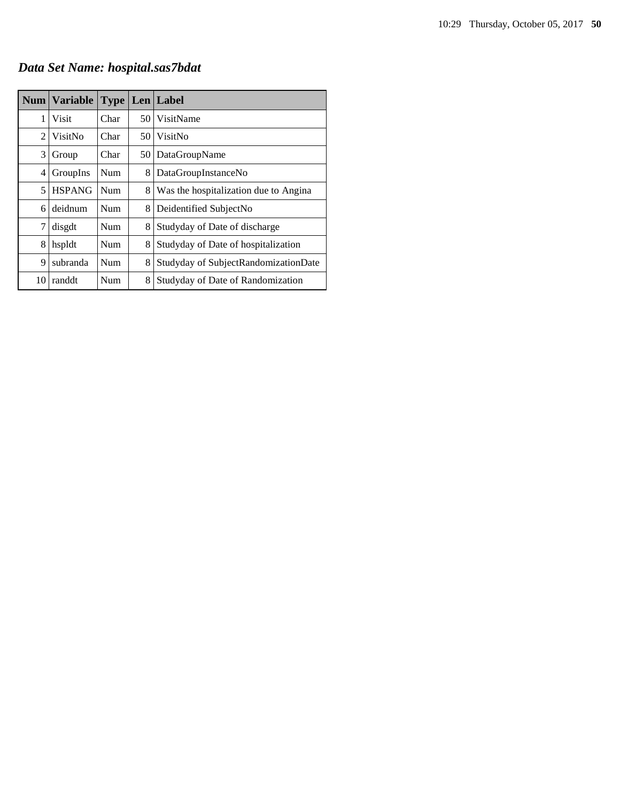*Data Set Name: hospital.sas7bdat*

|    | Num   Variable | <b>Type</b> |      | Len Label                             |
|----|----------------|-------------|------|---------------------------------------|
| 1  | Visit          | Char        | 50   | VisitName                             |
| 2  | VisitNo        | Char        | 50 I | VisitNo                               |
| 3  | Group          | Char        | 50   | DataGroupName                         |
| 4  | GroupIns       | Num         | 8    | DataGroupInstanceNo                   |
| 5  | <b>HSPANG</b>  | Num         | 8    | Was the hospitalization due to Angina |
| 6  | deidnum        | <b>Num</b>  | 8    | Deidentified SubjectNo                |
| 7  | disgdt         | Num         | 8    | Studyday of Date of discharge         |
| 8  | hspldt         | Num         | 8    | Studyday of Date of hospitalization   |
| 9  | subranda       | Num         | 8    | Studyday of SubjectRandomizationDate  |
| 10 | randdt         | Num         | 8    | Studyday of Date of Randomization     |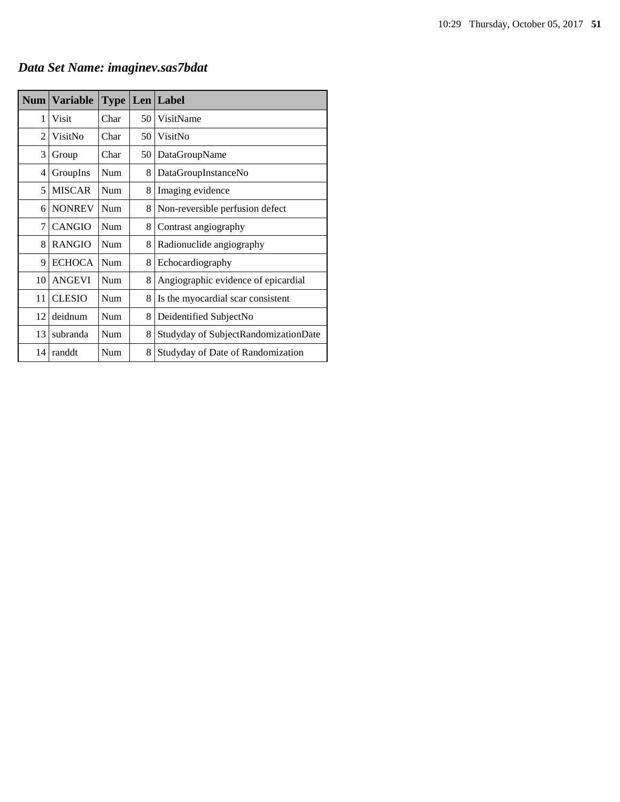| <b>Num</b> | <b>Variable</b> | <b>Type</b> |    | Len Label                            |
|------------|-----------------|-------------|----|--------------------------------------|
| 1          | Visit           | Char        | 50 | VisitName                            |
| 2          | VisitNo         | Char        | 50 | VisitNo                              |
| 3          | Group           | Char        | 50 | DataGroupName                        |
| 4          | GroupIns        | <b>Num</b>  | 8  | DataGroupInstanceNo                  |
| 5          | <b>MISCAR</b>   | Num         | 8  | Imaging evidence                     |
| 6          | <b>NONREV</b>   | <b>Num</b>  | 8  | Non-reversible perfusion defect      |
| 7          | <b>CANGIO</b>   | <b>Num</b>  | 8  | Contrast angiography                 |
| 8          | <b>RANGIO</b>   | Num         | 8  | Radionuclide angiography             |
| 9          | <b>ECHOCA</b>   | Num         | 8  | Echocardiography                     |
| 10         | <b>ANGEVI</b>   | Num         | 8  | Angiographic evidence of epicardial  |
| 11         | <b>CLESIO</b>   | <b>Num</b>  | 8  | Is the myocardial scar consistent    |
| 12         | deidnum         | Num         | 8  | Deidentified SubjectNo               |
| 13         | subranda        | <b>Num</b>  | 8  | Studyday of SubjectRandomizationDate |
| 14         | randdt          | Num         | 8  | Studyday of Date of Randomization    |

# *Data Set Name: imaginev.sas7bdat*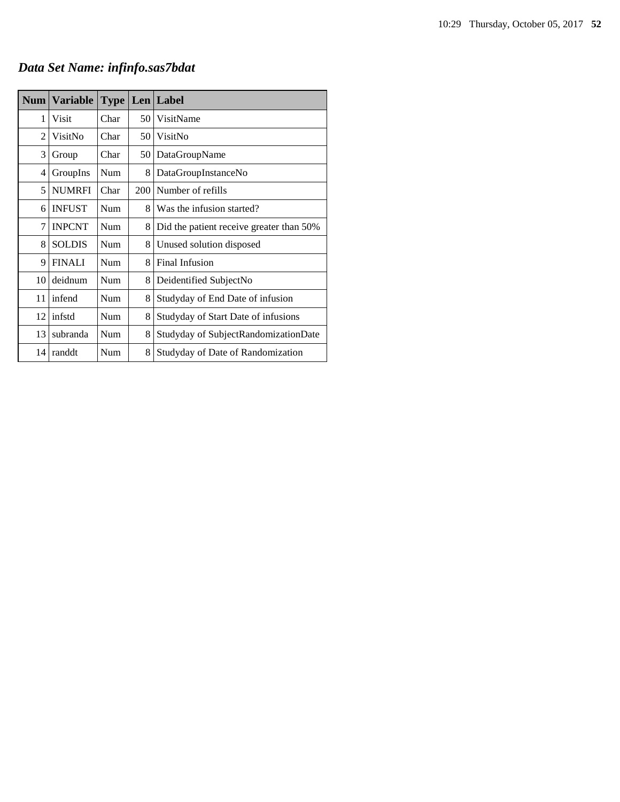# *Data Set Name: infinfo.sas7bdat*

| Num            | <b>Variable</b> | <b>Type</b> |     | Len Label                                |
|----------------|-----------------|-------------|-----|------------------------------------------|
| 1              | Visit           | Char        | 50  | VisitName                                |
| $\overline{c}$ | VisitNo         | Char        | 50  | VisitNo                                  |
| 3              | Group           | Char        | 50  | DataGroupName                            |
| 4              | GroupIns        | Num         | 8   | DataGroupInstanceNo                      |
| 5              | <b>NUMRFI</b>   | Char        | 200 | Number of refills                        |
| 6              | <b>INFUST</b>   | Num         | 8   | Was the infusion started?                |
| 7              | <b>INPCNT</b>   | Num         | 8   | Did the patient receive greater than 50% |
| 8              | <b>SOLDIS</b>   | Num         | 8   | Unused solution disposed                 |
| 9              | <b>FINALI</b>   | Num         | 8   | Final Infusion                           |
| 10             | deidnum         | Num         | 8   | Deidentified SubjectNo                   |
| 11             | infend          | Num         | 8   | Studyday of End Date of infusion         |
| 12             | infstd          | Num         | 8   | Studyday of Start Date of infusions      |
| 13             | subranda        | Num         |     | Studyday of SubjectRandomizationDate     |
| 14             | randdt          | Num         | 8   | Studyday of Date of Randomization        |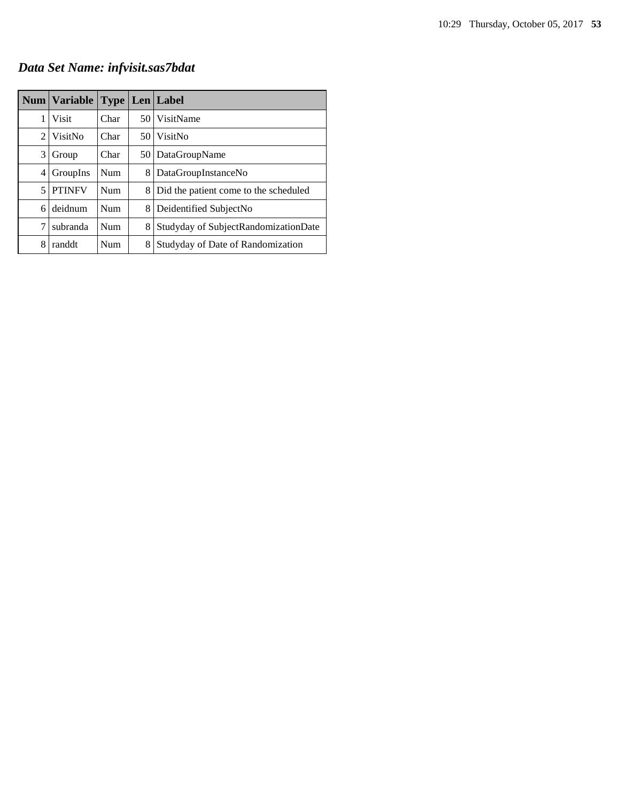*Data Set Name: infvisit.sas7bdat*

|   | Num   Variable |            |      | <b>Type   Len   Label</b>             |
|---|----------------|------------|------|---------------------------------------|
| 1 | Visit          | Char       |      | 50 VisitName                          |
| 2 | VisitNo        | Char       | 50 I | VisitNo                               |
| 3 | Group          | Char       | 50 l | DataGroupName                         |
| 4 | GroupIns       | <b>Num</b> | 8    | DataGroupInstanceNo                   |
| 5 | <b>PTINFV</b>  | <b>Num</b> | 8    | Did the patient come to the scheduled |
| 6 | deidnum        | Num        | 8    | Deidentified SubjectNo                |
| 7 | subranda       | Num        | 8    | Studyday of SubjectRandomizationDate  |
| 8 | randdt         | Num        | 8    | Studyday of Date of Randomization     |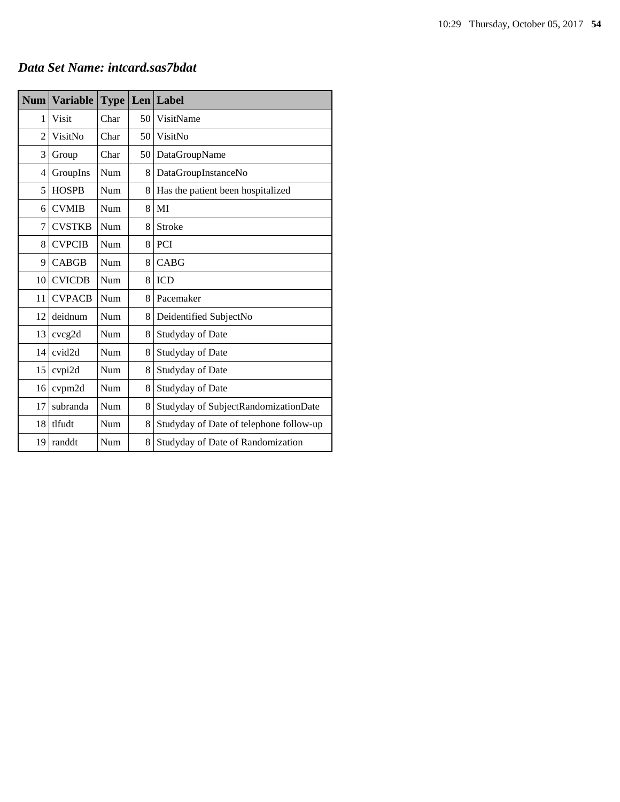#### *Data Set Name: intcard.sas7bdat*

| <b>Num</b> | <b>Variable</b>    | <b>Type</b> |    | Len Label                               |
|------------|--------------------|-------------|----|-----------------------------------------|
| 1          | <b>Visit</b>       | Char        | 50 | VisitName                               |
| 2          | VisitNo            | Char        | 50 | VisitNo                                 |
| 3          | Group              | Char        | 50 | DataGroupName                           |
| 4          | GroupIns           | Num         | 8  | DataGroupInstanceNo                     |
| 5          | <b>HOSPB</b>       | Num         | 8  | Has the patient been hospitalized       |
| 6          | <b>CVMIB</b>       | Num         | 8  | MI                                      |
| 7          | <b>CVSTKB</b>      | Num         | 8  | Stroke                                  |
| 8          | <b>CVPCIB</b>      | Num         | 8  | <b>PCI</b>                              |
| 9          | <b>CABGB</b>       | Num         | 8  | <b>CABG</b>                             |
| 10         | <b>CVICDB</b>      | Num         | 8  | <b>ICD</b>                              |
| 11         | <b>CVPACB</b>      | Num         | 8  | Pacemaker                               |
| 12         | deidnum            | Num         | 8  | Deidentified SubjectNo                  |
| 13         | cvcg2d             | Num         | 8  | Studyday of Date                        |
| 14         | cvid <sub>2d</sub> | Num         | 8  | Studyday of Date                        |
| 15         | cvpi2d             | Num         | 8  | Studyday of Date                        |
| 16         | cvpm2d             | Num         | 8  | Studyday of Date                        |
| 17         | subranda           | Num         | 8  | Studyday of SubjectRandomizationDate    |
| 18         | tlfudt             | Num         | 8  | Studyday of Date of telephone follow-up |
| 19         | randdt             | Num         | 8  | Studyday of Date of Randomization       |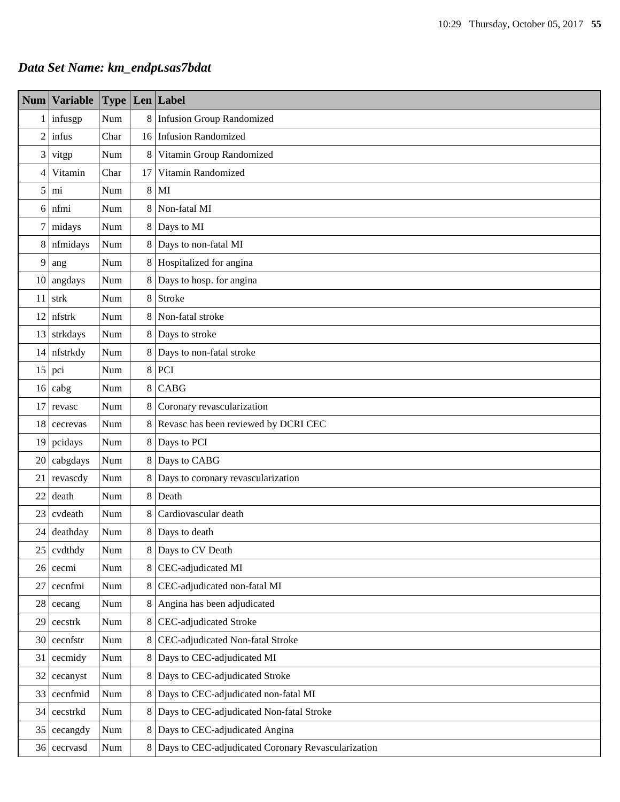### *Data Set Name: km\_endpt.sas7bdat*

| Num            | <b>Variable</b> | <b>Type</b> |         | $Len$ Label                                          |  |  |  |  |
|----------------|-----------------|-------------|---------|------------------------------------------------------|--|--|--|--|
| $\mathbf{1}$   | infusgp         | Num         |         | 8 Infusion Group Randomized                          |  |  |  |  |
| $\overline{2}$ | infus           | Char        |         | 16 Infusion Randomized                               |  |  |  |  |
| 3              | vitgp           | Num         | 8       | Vitamin Group Randomized                             |  |  |  |  |
| $\overline{4}$ | Vitamin         | Char        | 17      | Vitamin Randomized                                   |  |  |  |  |
| 5              | mi              | Num         | $\,8\,$ | MI                                                   |  |  |  |  |
| 6              | nfmi            | Num         | 8       | Non-fatal MI                                         |  |  |  |  |
| $\tau$         | midays          | Num         |         | 8 Days to MI                                         |  |  |  |  |
| 8              | nfmidays        | Num         |         | 8 Days to non-fatal MI                               |  |  |  |  |
| 9              | ang             | Num         |         | 8 Hospitalized for angina                            |  |  |  |  |
| 10             | angdays         | Num         |         | 8 Days to hosp. for angina                           |  |  |  |  |
| 11             | strk            | Num         |         | 8 Stroke                                             |  |  |  |  |
| 12             | nfstrk          | Num         |         | 8 Non-fatal stroke                                   |  |  |  |  |
| 13             | strkdays        | Num         |         | 8 Days to stroke                                     |  |  |  |  |
| 14             | nfstrkdy        | Num         |         | 8 Days to non-fatal stroke                           |  |  |  |  |
| 15             | pci             | Num         |         | $8$ PCI                                              |  |  |  |  |
| 16             | cabg            | Num         |         | $8$ CABG                                             |  |  |  |  |
| 17             | revasc          | Num         |         | 8 Coronary revascularization                         |  |  |  |  |
| 18             | cecrevas        | Num         |         | 8 Revasc has been reviewed by DCRI CEC               |  |  |  |  |
| 19             | pcidays         | Num         |         | 8 Days to PCI                                        |  |  |  |  |
| 20             | cabgdays        | Num         |         | 8 Days to CABG                                       |  |  |  |  |
| 21             | revascdy        | Num         |         | 8 Days to coronary revascularization                 |  |  |  |  |
| 22             | death           | Num         |         | 8 Death                                              |  |  |  |  |
| 23             | cvdeath         | Num         |         | 8 Cardiovascular death                               |  |  |  |  |
| 24             | deathday        | Num         |         | 8 Days to death                                      |  |  |  |  |
| 25             | cvdthdy         | Num         |         | 8 Days to CV Death                                   |  |  |  |  |
| 26             | cecmi           | Num         |         | 8 CEC-adjudicated MI                                 |  |  |  |  |
| 27             | cecnfmi         | Num         |         | 8 CEC-adjudicated non-fatal MI                       |  |  |  |  |
| 28             | cecang          | Num         | $8\,$   | Angina has been adjudicated                          |  |  |  |  |
| 29             | cecstrk         | Num         | $8\,$   | CEC-adjudicated Stroke                               |  |  |  |  |
| 30             | cecnfstr        | Num         |         | 8 CEC-adjudicated Non-fatal Stroke                   |  |  |  |  |
| 31             | cecmidy         | Num         |         | 8 Days to CEC-adjudicated MI                         |  |  |  |  |
| 32             | cecanyst        | Num         |         | 8 Days to CEC-adjudicated Stroke                     |  |  |  |  |
| 33             | cecnfmid        | Num         |         | 8 Days to CEC-adjudicated non-fatal MI               |  |  |  |  |
|                | 34 cecstrkd     | Num         |         | 8 Days to CEC-adjudicated Non-fatal Stroke           |  |  |  |  |
| 35             | cecangdy        | Num         |         | 8 Days to CEC-adjudicated Angina                     |  |  |  |  |
|                | 36 cecrvasd     | Num         |         | 8 Days to CEC-adjudicated Coronary Revascularization |  |  |  |  |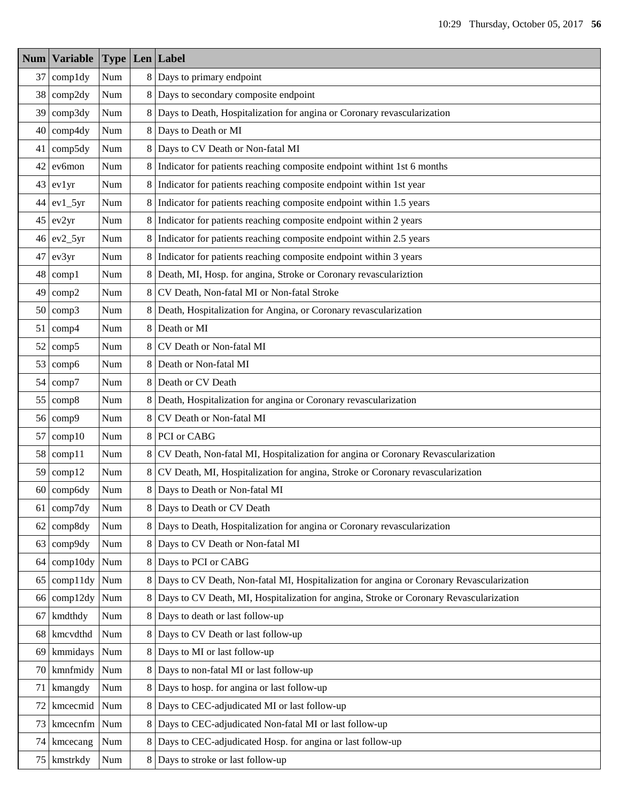| Num | <b>Variable</b> |                             |                | <b>Type Len Label</b>                                                                    |
|-----|-----------------|-----------------------------|----------------|------------------------------------------------------------------------------------------|
| 37  | compldy         | Num                         |                | 8 Days to primary endpoint                                                               |
| 38  | comp2dy         | $\mathbf{Num}$              |                | 8 Days to secondary composite endpoint                                                   |
| 39  | comp3dy         | Num                         |                | 8 Days to Death, Hospitalization for angina or Coronary revascularization                |
| 40  | comp4dy         | $\mathop{\rm Num}\nolimits$ | 8              | Days to Death or MI                                                                      |
| 41  | comp5dy         | Num                         |                | 8 Days to CV Death or Non-fatal MI                                                       |
| 42  | ev6mon          | Num                         | 8              | Indicator for patients reaching composite endpoint withint 1st 6 months                  |
| 43  | ev1yr           | Num                         | 8              | Indicator for patients reaching composite endpoint within 1st year                       |
| 44  | $ev1_5yr$       | Num                         | 8              | Indicator for patients reaching composite endpoint within 1.5 years                      |
| 45  | ev2yr           | Num                         | 8              | Indicator for patients reaching composite endpoint within 2 years                        |
| 46  | $ev2_5yr$       | Num                         | 8              | Indicator for patients reaching composite endpoint within 2.5 years                      |
| 47  | ev3yr           | Num                         |                | 8 Indicator for patients reaching composite endpoint within 3 years                      |
| 48  | comp1           | Num                         | 8              | Death, MI, Hosp. for angina, Stroke or Coronary revasculariztion                         |
| 49  | comp2           | Num                         | 8              | CV Death, Non-fatal MI or Non-fatal Stroke                                               |
| 50  | comp3           | Num                         | 8              | Death, Hospitalization for Angina, or Coronary revascularization                         |
| 51  | comp4           | Num                         | 8              | Death or MI                                                                              |
| 52  | comp5           | Num                         | 8              | CV Death or Non-fatal MI                                                                 |
| 53  | comp6           | Num                         | 8              | Death or Non-fatal MI                                                                    |
| 54  | comp7           | Num                         | 8              | Death or CV Death                                                                        |
| 55  | comp8           | Num                         | 8              | Death, Hospitalization for angina or Coronary revascularization                          |
| 56  | comp9           | Num                         | 8              | CV Death or Non-fatal MI                                                                 |
| 57  | comp10          | Num                         |                | 8 PCI or CABG                                                                            |
| 58  | comp11          | Num                         | 8              | CV Death, Non-fatal MI, Hospitalization for angina or Coronary Revascularization         |
| 59  | comp12          | Num                         | 8              | CV Death, MI, Hospitalization for angina, Stroke or Coronary revascularization           |
| 60  | comp6dy         | Num                         |                | 8 Days to Death or Non-fatal MI                                                          |
|     | $61$ comp7dy    | Num                         |                | 8 Days to Death or CV Death                                                              |
| 62  | comp8dy         | $\mathop{\rm Num}\nolimits$ |                | 8 Days to Death, Hospitalization for angina or Coronary revascularization                |
| 63  | comp9dy         | Num                         |                | 8 Days to CV Death or Non-fatal MI                                                       |
| 64  | comp10dy        | Num                         |                | 8 Days to PCI or CABG                                                                    |
| 65  | comp11dy        | Num                         | 8 <sup>1</sup> | Days to CV Death, Non-fatal MI, Hospitalization for angina or Coronary Revascularization |
| 66  | comp12dy        | Num                         | 8              | Days to CV Death, MI, Hospitalization for angina, Stroke or Coronary Revascularization   |
| 67  | kmdthdy         | $\mathop{\rm Num}\nolimits$ | 8              | Days to death or last follow-up                                                          |
| 68  | kmcvdthd        | Num                         | 8              | Days to CV Death or last follow-up                                                       |
| 69  | kmmidays        | Num                         | 8              | Days to MI or last follow-up                                                             |
| 70  | kmnfmidy        | Num                         | 8              | Days to non-fatal MI or last follow-up                                                   |
| 71  | kmangdy         | Num                         |                | 8 Days to hosp. for angina or last follow-up                                             |
| 72  | kmcecmid        | Num                         | 8              | Days to CEC-adjudicated MI or last follow-up                                             |
| 73  | kmcecnfm        | $\mathop{\rm Num}\nolimits$ |                | 8 Days to CEC-adjudicated Non-fatal MI or last follow-up                                 |
| 74  | kmcecang        | Num                         | 8              | Days to CEC-adjudicated Hosp. for angina or last follow-up                               |
| 75  | kmstrkdy        | Num                         | 8              | Days to stroke or last follow-up                                                         |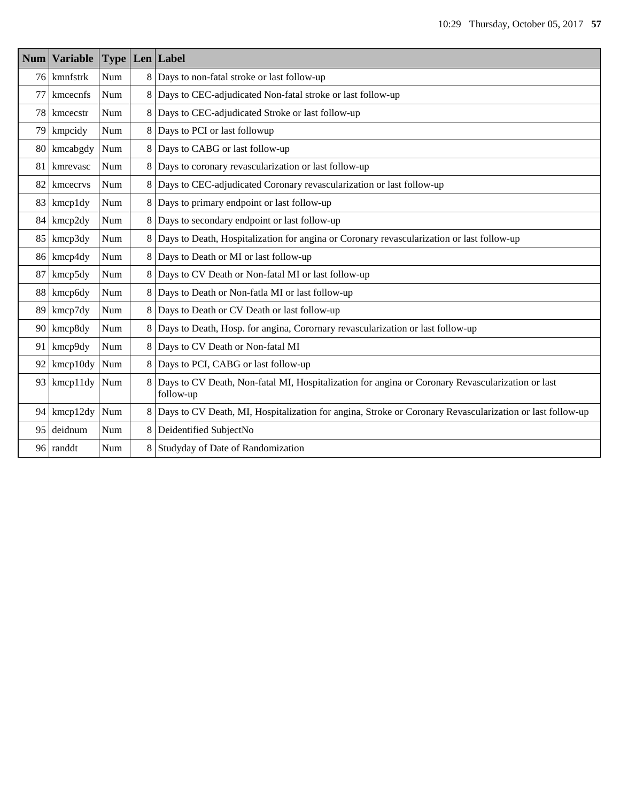|    | Num   Variable |     |                | <b>Type Len</b> Label                                                                                         |
|----|----------------|-----|----------------|---------------------------------------------------------------------------------------------------------------|
|    | 76 kmnfstrk    | Num | 8              | Days to non-fatal stroke or last follow-up                                                                    |
| 77 | kmcecnfs       | Num | 8              | Days to CEC-adjudicated Non-fatal stroke or last follow-up                                                    |
|    | 78 kmcecstr    | Num | 8              | Days to CEC-adjudicated Stroke or last follow-up                                                              |
| 79 | kmpcidy        | Num | 8              | Days to PCI or last followup                                                                                  |
|    | 80 kmcabgdy    | Num | 8              | Days to CABG or last follow-up                                                                                |
|    | 81 kmrevasc    | Num | 8              | Days to coronary revascularization or last follow-up                                                          |
| 82 | kmcecrys       | Num | 8              | Days to CEC-adjudicated Coronary revascularization or last follow-up                                          |
|    | 83 kmcp1dy     | Num | 8              | Days to primary endpoint or last follow-up                                                                    |
| 84 | kmcp2dy        | Num | 8              | Days to secondary endpoint or last follow-up                                                                  |
| 85 | kmcp3dy        | Num | 8              | Days to Death, Hospitalization for angina or Coronary revascularization or last follow-up                     |
|    | 86 kmcp4dy     | Num |                | 8 Days to Death or MI or last follow-up                                                                       |
| 87 | kmcp5dy        | Num | 8              | Days to CV Death or Non-fatal MI or last follow-up                                                            |
| 88 | kmcp6dy        | Num | 8              | Days to Death or Non-fatla MI or last follow-up                                                               |
|    | 89 kmcp7dy     | Num | 8              | Days to Death or CV Death or last follow-up                                                                   |
|    | 90 kmcp8dy     | Num | 8              | Days to Death, Hosp. for angina, Corornary revascularization or last follow-up                                |
| 91 | kmcp9dy        | Num | 8 <sup>1</sup> | Days to CV Death or Non-fatal MI                                                                              |
| 92 | kmcp10dy       | Num | 8              | Days to PCI, CABG or last follow-up                                                                           |
| 93 | kmcp11dy       | Num | 8              | Days to CV Death, Non-fatal MI, Hospitalization for angina or Coronary Revascularization or last<br>follow-up |
| 94 | kmcp12dy       | Num | 8              | Days to CV Death, MI, Hospitalization for angina, Stroke or Coronary Revascularization or last follow-up      |
| 95 | deidnum        | Num | 8              | Deidentified SubjectNo                                                                                        |
|    | 96 randdt      | Num | 8              | Studyday of Date of Randomization                                                                             |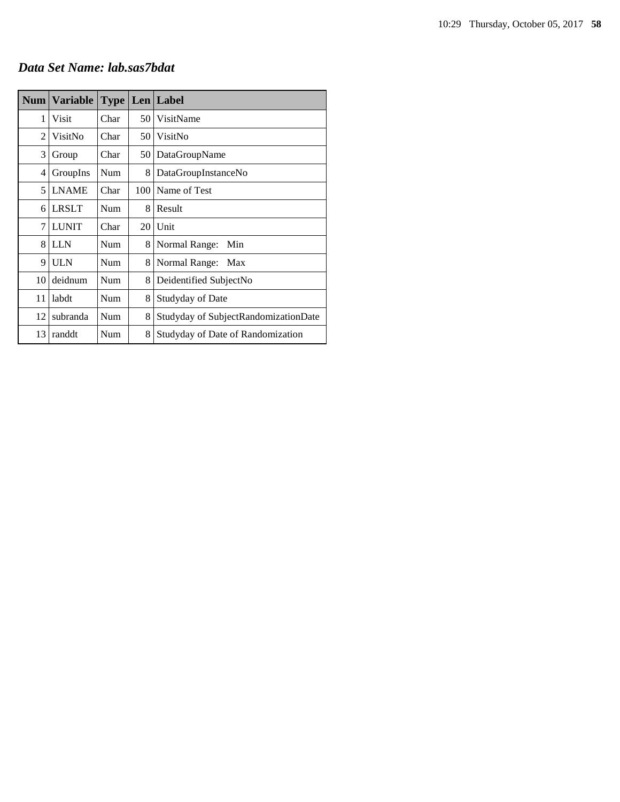#### *Data Set Name: lab.sas7bdat*

| <b>Num</b> | <b>Variable</b> | Type |     | Len   Label                          |
|------------|-----------------|------|-----|--------------------------------------|
| 1          | Visit           | Char | 50  | VisitName                            |
| 2          | VisitNo         | Char | 50  | VisitNo                              |
| 3          | Group           | Char | 50  | DataGroupName                        |
| 4          | GroupIns        | Num  | 8   | DataGroupInstanceNo                  |
| 5          | <b>LNAME</b>    | Char | 100 | Name of Test                         |
| 6          | <b>LRSLT</b>    | Num  | 8   | Result                               |
| 7          | <b>LUNIT</b>    | Char | 20  | Unit                                 |
| 8          | <b>LLN</b>      | Num  | 8   | Normal Range:<br>Min                 |
| 9          | ULN             | Num  | 8   | Normal Range:<br>Max                 |
| 10         | deidnum         | Num  | 8   | Deidentified SubjectNo               |
| 11         | labdt           | Num  | 8   | Studyday of Date                     |
| 12         | subranda        | Num  | 8   | Studyday of SubjectRandomizationDate |
| 13         | randdt          | Num  | 8   | Studyday of Date of Randomization    |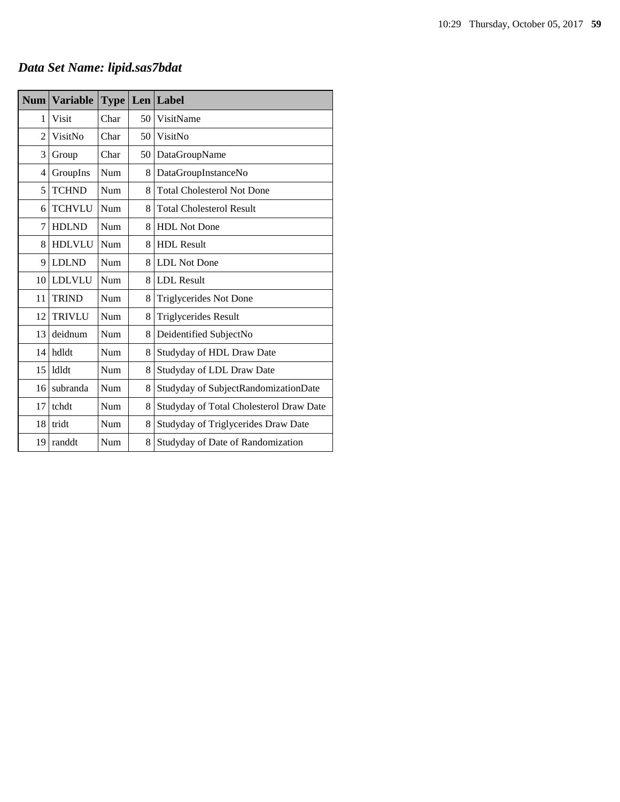# *Data Set Name: lipid.sas7bdat*

| <b>Num</b>     | <b>Variable</b> | <b>Type</b> | Len | Label                                   |
|----------------|-----------------|-------------|-----|-----------------------------------------|
| 1              | Visit           | Char        | 50  | VisitName                               |
| $\overline{2}$ | VisitNo         | Char        | 50  | VisitNo                                 |
| 3              | Group           | Char        | 50  | DataGroupName                           |
| 4              | GroupIns        | Num         | 8   | DataGroupInstanceNo                     |
| 5              | <b>TCHND</b>    | Num         | 8   | <b>Total Cholesterol Not Done</b>       |
| 6              | <b>TCHVLU</b>   | Num         | 8   | <b>Total Cholesterol Result</b>         |
| 7              | <b>HDLND</b>    | Num         | 8   | <b>HDL</b> Not Done                     |
| 8              | <b>HDLVLU</b>   | Num         | 8   | <b>HDL</b> Result                       |
| 9              | <b>LDLND</b>    | Num         | 8   | <b>LDL</b> Not Done                     |
| 10             | <b>LDLVLU</b>   | Num         | 8   | <b>LDL</b> Result                       |
| 11             | <b>TRIND</b>    | Num         | 8   | Triglycerides Not Done                  |
| 12             | <b>TRIVLU</b>   | Num         | 8   | <b>Triglycerides Result</b>             |
| 13             | deidnum         | Num         | 8   | Deidentified SubjectNo                  |
| 14             | hdldt           | Num         | 8   | Studyday of HDL Draw Date               |
| 15             | ldldt           | Num         | 8   | Studyday of LDL Draw Date               |
| 16             | subranda        | Num         | 8   | Studyday of SubjectRandomizationDate    |
| 17             | tchdt           | Num         | 8   | Studyday of Total Cholesterol Draw Date |
| 18             | tridt           | Num         | 8   | Studyday of Triglycerides Draw Date     |
| 19             | randdt          | Num         | 8   | Studyday of Date of Randomization       |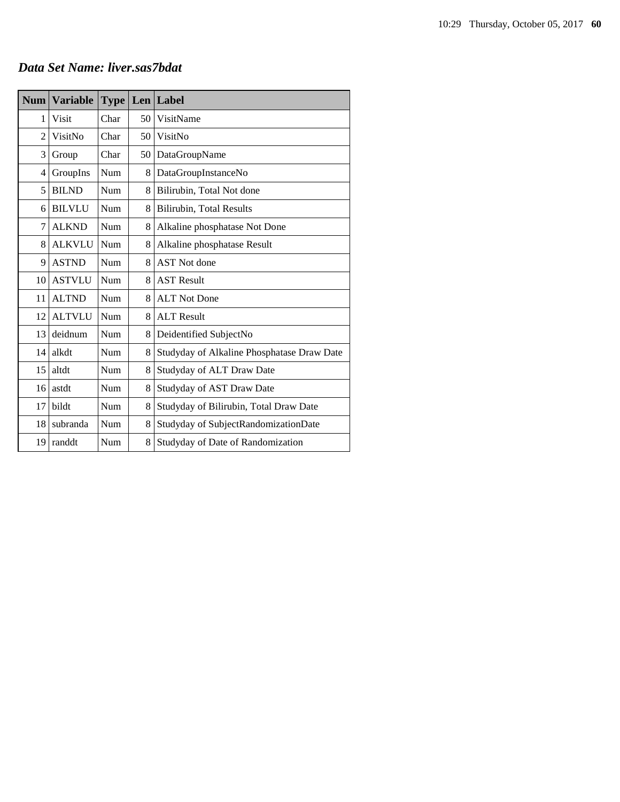#### *Data Set Name: liver.sas7bdat*

| <b>Num</b>     | <b>Variable</b> | Type |    | Len Label                                  |
|----------------|-----------------|------|----|--------------------------------------------|
| 1              | Visit           | Char | 50 | VisitName                                  |
| $\overline{c}$ | VisitNo         | Char | 50 | VisitNo                                    |
| 3              | Group           | Char | 50 | DataGroupName                              |
| 4              | GroupIns        | Num  | 8  | DataGroupInstanceNo                        |
| 5              | <b>BILND</b>    | Num  | 8  | Bilirubin, Total Not done                  |
| 6              | <b>BILVLU</b>   | Num  | 8  | Bilirubin, Total Results                   |
| 7              | <b>ALKND</b>    | Num  | 8  | Alkaline phosphatase Not Done              |
| 8              | <b>ALKVLU</b>   | Num  | 8  | Alkaline phosphatase Result                |
| 9              | <b>ASTND</b>    | Num  | 8  | <b>AST</b> Not done                        |
| 10             | <b>ASTVLU</b>   | Num  | 8  | <b>AST Result</b>                          |
| 11             | <b>ALTND</b>    | Num  | 8  | <b>ALT Not Done</b>                        |
| 12             | <b>ALTVLU</b>   | Num  | 8  | <b>ALT Result</b>                          |
| 13             | deidnum         | Num  | 8  | Deidentified SubjectNo                     |
| 14             | alkdt           | Num  | 8  | Studyday of Alkaline Phosphatase Draw Date |
| 15             | altdt           | Num  | 8  | Studyday of ALT Draw Date                  |
| 16             | astdt           | Num  | 8  | Studyday of AST Draw Date                  |
| 17             | bildt           | Num  | 8  | Studyday of Bilirubin, Total Draw Date     |
| 18             | subranda        | Num  | 8  | Studyday of SubjectRandomizationDate       |
| 19             | randdt          | Num  | 8  | Studyday of Date of Randomization          |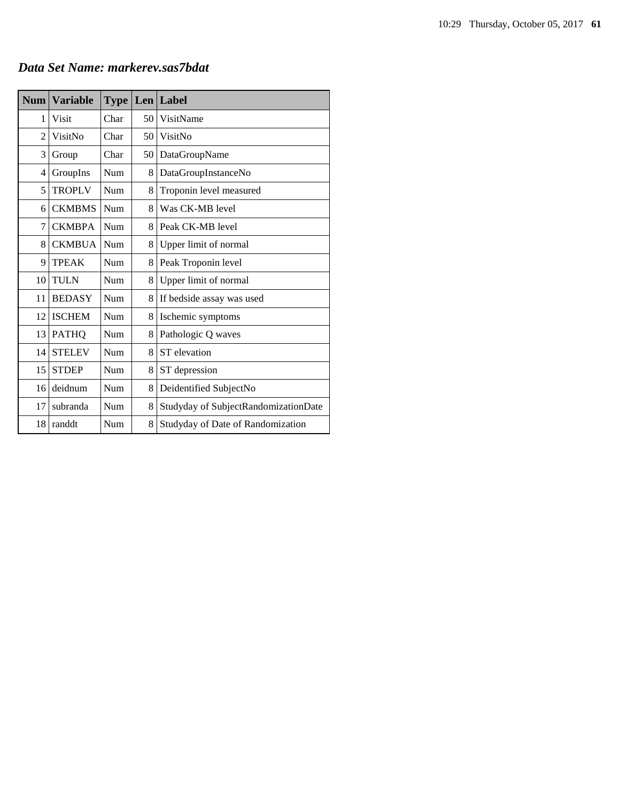| <b>Num</b> | <b>Variable</b> | <b>Type</b> |    | Len Label                            |
|------------|-----------------|-------------|----|--------------------------------------|
| 1          | Visit           | Char        | 50 | VisitName                            |
| 2          | VisitNo         | Char        | 50 | VisitNo                              |
| 3          | Group           | Char        | 50 | DataGroupName                        |
| 4          | GroupIns        | Num         | 8  | DataGroupInstanceNo                  |
| 5          | <b>TROPLV</b>   | Num         | 8  | Troponin level measured              |
| 6          | <b>CKMBMS</b>   | Num         | 8  | Was CK-MB level                      |
| 7          | <b>CKMBPA</b>   | Num         | 8  | Peak CK-MB level                     |
| 8          | <b>CKMBUA</b>   | Num         | 8  | Upper limit of normal                |
| 9          | <b>TPEAK</b>    | Num         | 8  | Peak Troponin level                  |
| 10         | <b>TULN</b>     | Num         | 8  | Upper limit of normal                |
| 11         | <b>BEDASY</b>   | Num         | 8  | If bedside assay was used            |
| 12         | <b>ISCHEM</b>   | Num         | 8  | Ischemic symptoms                    |
| 13         | <b>PATHQ</b>    | Num         | 8  | Pathologic Q waves                   |
| 14         | <b>STELEV</b>   | Num         | 8  | ST elevation                         |
| 15         | <b>STDEP</b>    | Num         | 8  | ST depression                        |
| 16         | deidnum         | Num         | 8  | Deidentified SubjectNo               |
| 17         | subranda        | Num         | 8  | Studyday of SubjectRandomizationDate |
| 18         | randdt          | Num         | 8  | Studyday of Date of Randomization    |

*Data Set Name: markerev.sas7bdat*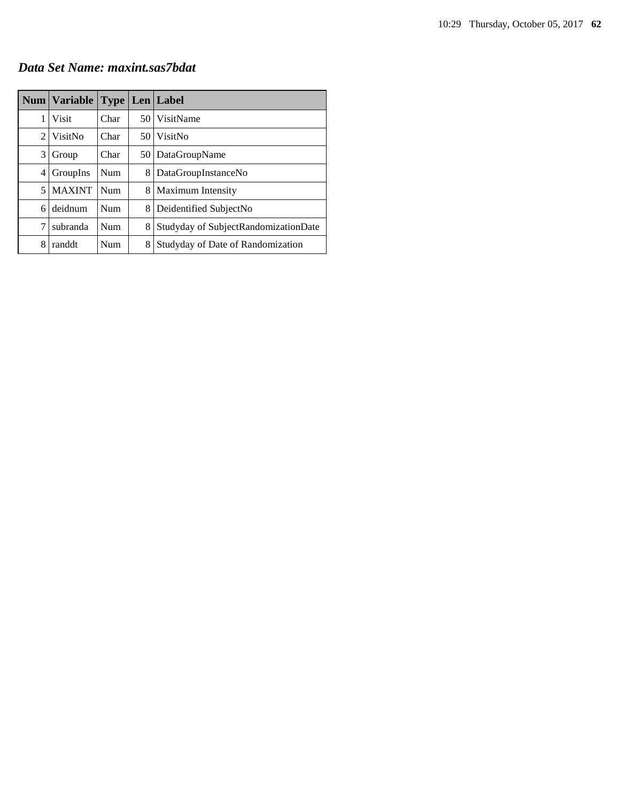#### *Data Set Name: maxint.sas7bdat*

|   | <b>Num   Variable</b> |      |      | <b>Type   Len   Label</b>            |
|---|-----------------------|------|------|--------------------------------------|
| 1 | Visit                 | Char |      | 50 VisitName                         |
| 2 | VisitNo               | Char | 50 I | VisitNo                              |
| 3 | Group                 | Char | 50   | DataGroupName                        |
| 4 | GroupIns              | Num  | 8    | DataGroupInstanceNo                  |
| 5 | <b>MAXINT</b>         | Num  | 8    | <b>Maximum Intensity</b>             |
| 6 | deidnum               | Num  | 8    | Deidentified SubjectNo               |
| 7 | subranda              | Num  | 8    | Studyday of SubjectRandomizationDate |
| 8 | randdt                | Num  | 8    | Studyday of Date of Randomization    |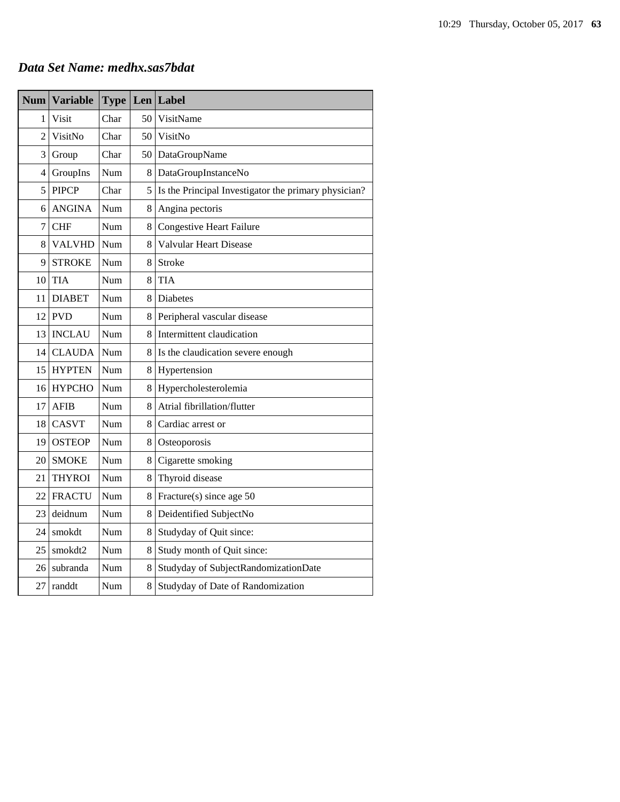#### *Data Set Name: medhx.sas7bdat*

| <b>Num</b> | <b>Variable</b> | <b>Type</b> | Len             | Label                                                |
|------------|-----------------|-------------|-----------------|------------------------------------------------------|
| 1          | <b>Visit</b>    | Char        | 50              | VisitName                                            |
| 2          | VisitNo         | Char        | 50 <sup>1</sup> | VisitNo                                              |
| 3          | Group           | Char        |                 | 50 DataGroupName                                     |
| 4          | GroupIns        | Num         | 8               | DataGroupInstanceNo                                  |
| 5          | <b>PIPCP</b>    | Char        | 5               | Is the Principal Investigator the primary physician? |
| 6          | <b>ANGINA</b>   | Num         | 8               | Angina pectoris                                      |
| 7          | <b>CHF</b>      | Num         | 8               | <b>Congestive Heart Failure</b>                      |
| 8          | <b>VALVHD</b>   | Num         | 8               | Valvular Heart Disease                               |
| 9          | <b>STROKE</b>   | Num         | 8               | Stroke                                               |
| 10         | <b>TIA</b>      | Num         | 8               | <b>TIA</b>                                           |
| 11         | <b>DIABET</b>   | Num         | 8               | <b>Diabetes</b>                                      |
| 12         | <b>PVD</b>      | Num         | 8               | Peripheral vascular disease                          |
| 13         | <b>INCLAU</b>   | Num         | 8               | Intermittent claudication                            |
| 14         | <b>CLAUDA</b>   | Num         | 8               | Is the claudication severe enough                    |
| 15         | <b>HYPTEN</b>   | Num         | 8               | Hypertension                                         |
| 16         | <b>HYPCHO</b>   | Num         | 8               | Hypercholesterolemia                                 |
| 17         | <b>AFIB</b>     | Num         | 8               | Atrial fibrillation/flutter                          |
| 18         | <b>CASVT</b>    | Num         | 8               | Cardiac arrest or                                    |
| 19         | <b>OSTEOP</b>   | Num         | 8               | Osteoporosis                                         |
| 20         | <b>SMOKE</b>    | Num         | 8               | Cigarette smoking                                    |
| 21         | <b>THYROI</b>   | Num         | 8               | Thyroid disease                                      |
| 22         | <b>FRACTU</b>   | Num         | 8               | Fracture(s) since age 50                             |
| 23         | deidnum         | Num         | 8               | Deidentified SubjectNo                               |
| 24         | smokdt          | Num         | 8               | Studyday of Quit since:                              |
| 25         | smokdt2         | Num         | 8               | Study month of Quit since:                           |
| 26         | subranda        | Num         | 8               | Studyday of SubjectRandomizationDate                 |
| 27         | randdt          | Num         | 8               | Studyday of Date of Randomization                    |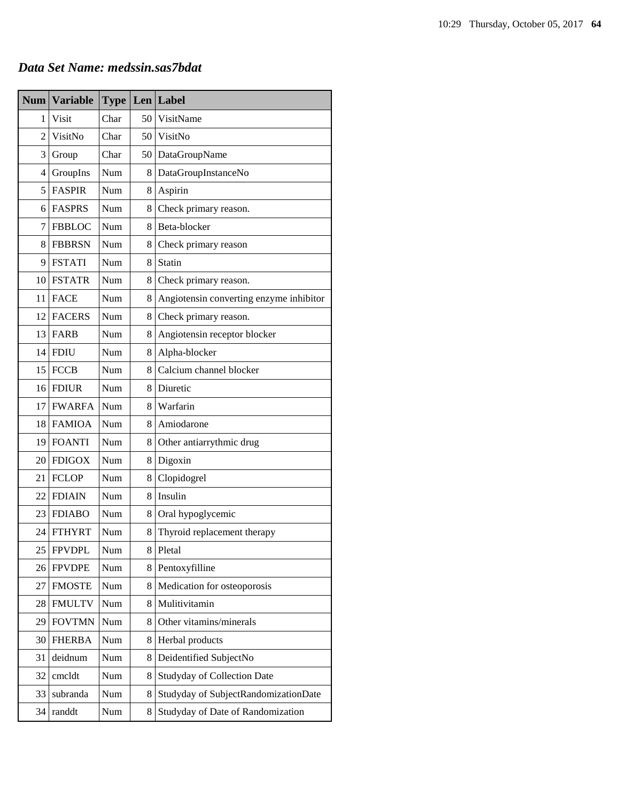#### *Data Set Name: medssin.sas7bdat*

| <b>Num</b> | <b>Variable</b> | <b>Type</b> |    | $Len$ Label                             |
|------------|-----------------|-------------|----|-----------------------------------------|
| 1          | Visit           | Char        | 50 | VisitName                               |
| 2          | VisitNo         | Char        | 50 | VisitNo                                 |
| 3          | Group           | Char        | 50 | DataGroupName                           |
| 4          | GroupIns        | Num         | 8  | DataGroupInstanceNo                     |
| 5          | <b>FASPIR</b>   | Num         | 8  | Aspirin                                 |
| 6          | <b>FASPRS</b>   | Num         | 8  | Check primary reason.                   |
| 7          | <b>FBBLOC</b>   | Num         | 8  | Beta-blocker                            |
| 8          | <b>FBBRSN</b>   | Num         | 8  | Check primary reason                    |
| 9          | <b>FSTATI</b>   | Num         | 8  | Statin                                  |
| 10         | <b>FSTATR</b>   | Num         | 8  | Check primary reason.                   |
| 11         | <b>FACE</b>     | Num         | 8  | Angiotensin converting enzyme inhibitor |
| 12         | <b>FACERS</b>   | Num         | 8  | Check primary reason.                   |
| 13         | FARB            | Num         | 8  | Angiotensin receptor blocker            |
| 14         | <b>FDIU</b>     | <b>Num</b>  | 8  | Alpha-blocker                           |
| 15         | <b>FCCB</b>     | Num         | 8  | Calcium channel blocker                 |
| 16         | <b>FDIUR</b>    | Num         | 8  | Diuretic                                |
| 17         | <b>FWARFA</b>   | Num         | 8  | Warfarin                                |
| 18         | <b>FAMIOA</b>   | Num         | 8  | Amiodarone                              |
| 19         | <b>FOANTI</b>   | Num         | 8  | Other antiarrythmic drug                |
| 20         | <b>FDIGOX</b>   | Num         | 8  | Digoxin                                 |
| 21         | <b>FCLOP</b>    | Num         | 8  | Clopidogrel                             |
| 22         | <b>FDIAIN</b>   | Num         | 8  | Insulin                                 |
| 23         | <b>FDIABO</b>   | Num         | 8  | Oral hypoglycemic                       |
| 24         | <b>FTHYRT</b>   | Num         | 8  | Thyroid replacement therapy             |
| 25         | <b>FPVDPL</b>   | Num         | 8  | Pletal                                  |
| 26         | <b>FPVDPE</b>   | Num         | 8  | Pentoxyfilline                          |
| 27         | <b>FMOSTE</b>   | Num         | 8  | Medication for osteoporosis             |
| 28         | <b>FMULTV</b>   | Num         | 8  | Mulitivitamin                           |
| 29         | <b>FOVTMN</b>   | Num         | 8  | Other vitamins/minerals                 |
| 30         | <b>FHERBA</b>   | Num         | 8  | Herbal products                         |
| 31         | deidnum         | Num         | 8  | Deidentified SubjectNo                  |
| 32         | cmcldt          | Num         | 8  | <b>Studyday of Collection Date</b>      |
| 33         | subranda        | Num         | 8  | Studyday of SubjectRandomizationDate    |
| 34         | randdt          | Num         | 8  | Studyday of Date of Randomization       |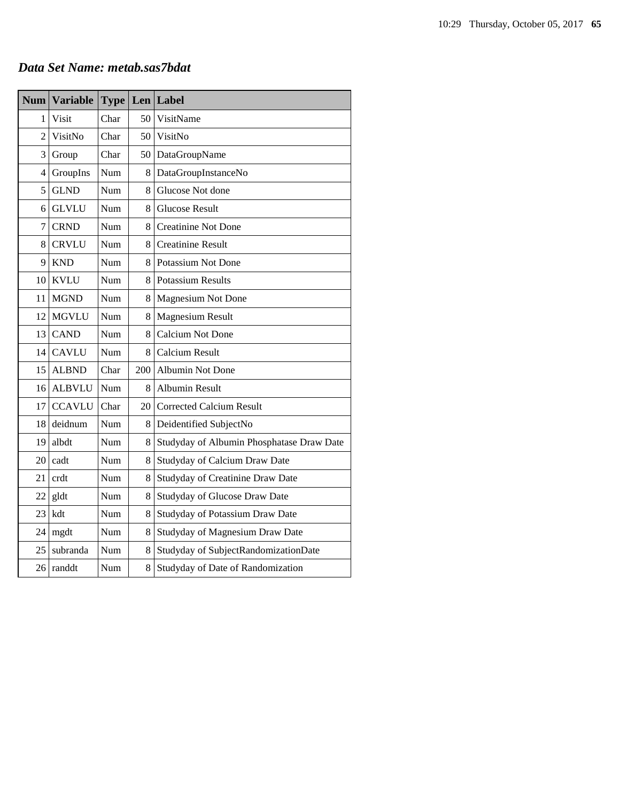#### *Data Set Name: metab.sas7bdat*

| <b>Num</b>     | <b>Variable</b> | <b>Type</b> |     | Len Label                                 |
|----------------|-----------------|-------------|-----|-------------------------------------------|
| 1              | <b>Visit</b>    | Char        | 50  | VisitName                                 |
| $\overline{2}$ | VisitNo         | Char        | 50  | VisitNo                                   |
| 3              | Group           | Char        | 50  | DataGroupName                             |
| 4              | GroupIns        | Num         | 8   | DataGroupInstanceNo                       |
| 5              | <b>GLND</b>     | Num         | 8   | Glucose Not done                          |
| 6              | <b>GLVLU</b>    | Num         | 8   | <b>Glucose Result</b>                     |
| 7              | <b>CRND</b>     | Num         | 8   | <b>Creatinine Not Done</b>                |
| 8              | <b>CRVLU</b>    | Num         | 8   | <b>Creatinine Result</b>                  |
| 9              | <b>KND</b>      | Num         | 8   | Potassium Not Done                        |
| 10             | <b>KVLU</b>     | Num         | 8   | <b>Potassium Results</b>                  |
| 11             | <b>MGND</b>     | Num         | 8   | <b>Magnesium Not Done</b>                 |
| 12             | <b>MGVLU</b>    | Num         | 8   | <b>Magnesium Result</b>                   |
| 13             | <b>CAND</b>     | Num         | 8   | <b>Calcium Not Done</b>                   |
| 14             | <b>CAVLU</b>    | Num         | 8   | <b>Calcium Result</b>                     |
| 15             | <b>ALBND</b>    | Char        | 200 | Albumin Not Done                          |
| 16             | <b>ALBVLU</b>   | Num         | 8   | Albumin Result                            |
| 17             | <b>CCAVLU</b>   | Char        | 20  | <b>Corrected Calcium Result</b>           |
| 18             | deidnum         | Num         | 8   | Deidentified SubjectNo                    |
| 19             | albdt           | Num         | 8   | Studyday of Albumin Phosphatase Draw Date |
| 20             | cadt            | Num         | 8   | Studyday of Calcium Draw Date             |
| 21             | crdt            | Num         | 8   | Studyday of Creatinine Draw Date          |
| 22             | gldt            | Num         | 8   | Studyday of Glucose Draw Date             |
| 23             | kdt             | Num         | 8   | Studyday of Potassium Draw Date           |
| 24             | mgdt            | Num         | 8   | Studyday of Magnesium Draw Date           |
| 25             | subranda        | Num         | 8   | Studyday of SubjectRandomizationDate      |
| 26             | randdt          | Num         | 8   | Studyday of Date of Randomization         |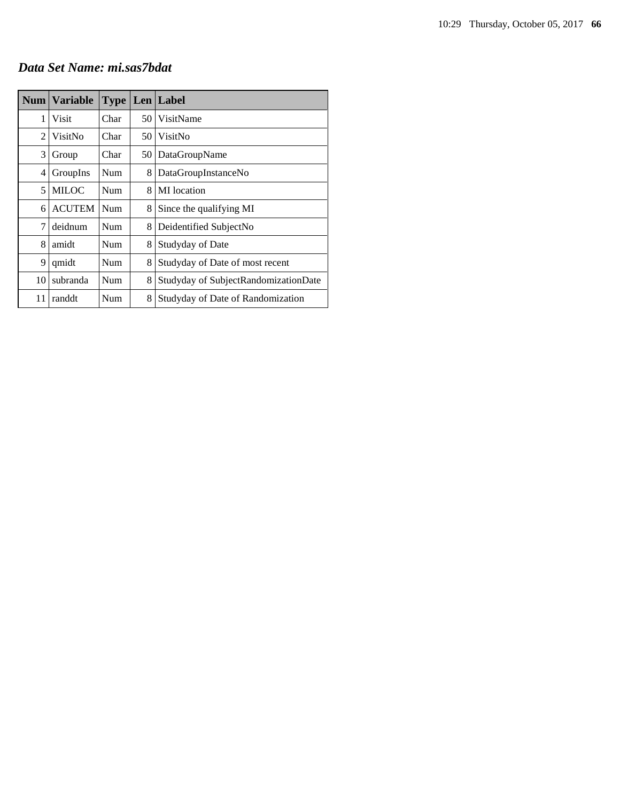#### *Data Set Name: mi.sas7bdat*

|    | Num   Variable | <b>Type</b> |    | Len Label                            |
|----|----------------|-------------|----|--------------------------------------|
| 1  | Visit          | Char        | 50 | VisitName                            |
| 2  | VisitNo        | Char        | 50 | VisitNo                              |
| 3  | Group          | Char        | 50 | DataGroupName                        |
| 4  | GroupIns       | <b>Num</b>  | 8  | DataGroupInstanceNo                  |
| 5  | <b>MILOC</b>   | <b>Num</b>  | 8  | MI location                          |
| 6  | <b>ACUTEM</b>  | <b>Num</b>  | 8  | Since the qualifying MI              |
| 7  | deidnum        | <b>Num</b>  | 8  | Deidentified SubjectNo               |
| 8  | amidt          | <b>Num</b>  | 8  | Studyday of Date                     |
| 9  | qmidt          | <b>Num</b>  | 8  | Studyday of Date of most recent      |
| 10 | subranda       | Num         | 8  | Studyday of SubjectRandomizationDate |
| 11 | randdt         | Num         | 8  | Studyday of Date of Randomization    |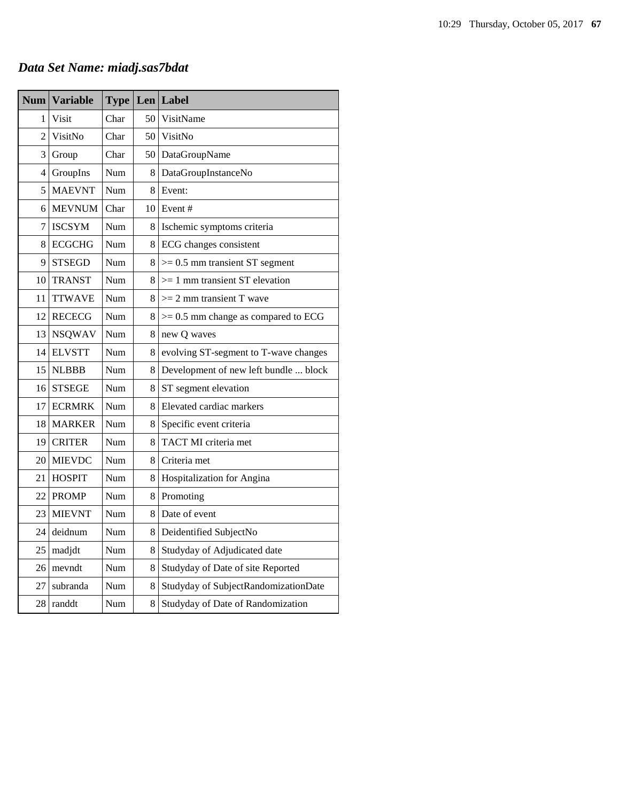# *Data Set Name: miadj.sas7bdat*

| <b>Num</b> | <b>Variable</b> | <b>Type</b> | Len | Label                                   |
|------------|-----------------|-------------|-----|-----------------------------------------|
| 1          | Visit           | Char        | 50  | VisitName                               |
| 2          | VisitNo         | Char        |     | 50 VisitNo                              |
| 3          | Group           | Char        |     | 50 DataGroupName                        |
| 4          | GroupIns        | Num         | 8   | DataGroupInstanceNo                     |
| 5          | <b>MAEVNT</b>   | Num         | 8   | Event:                                  |
| 6          | <b>MEVNUM</b>   | Char        |     | $10$ Event #                            |
| 7          | <b>ISCSYM</b>   | Num         | 8   | Ischemic symptoms criteria              |
| 8          | <b>ECGCHG</b>   | Num         | 8   | ECG changes consistent                  |
| 9          | <b>STSEGD</b>   | Num         | 8   | $>= 0.5$ mm transient ST segment        |
| 10         | <b>TRANST</b>   | Num         | 8   | $>= 1$ mm transient ST elevation        |
| 11         | <b>TTWAVE</b>   | Num         | 8   | $>= 2$ mm transient T wave              |
| 12         | <b>RECECG</b>   | Num         | 8   | $\geq$ 0.5 mm change as compared to ECG |
| 13         | <b>NSQWAV</b>   | Num         | 8   | new Q waves                             |
| 14         | <b>ELVSTT</b>   | Num         | 8   | evolving ST-segment to T-wave changes   |
| 15         | <b>NLBBB</b>    | Num         | 8   | Development of new left bundle  block   |
| 16         | <b>STSEGE</b>   | Num         | 8   | ST segment elevation                    |
| 17         | <b>ECRMRK</b>   | Num         | 8   | Elevated cardiac markers                |
| 18         | <b>MARKER</b>   | Num         | 8   | Specific event criteria                 |
| 19         | <b>CRITER</b>   | Num         | 8   | TACT MI criteria met                    |
| 20         | <b>MIEVDC</b>   | Num         | 8   | Criteria met                            |
| 21         | <b>HOSPIT</b>   | Num         | 8   | Hospitalization for Angina              |
| 22         | <b>PROMP</b>    | Num         | 8   | Promoting                               |
| 23         | <b>MIEVNT</b>   | Num         | 8   | Date of event                           |
| 24         | deidnum         | Num         | 8   | Deidentified SubjectNo                  |
| 25         | madjdt          | Num         | 8   | Studyday of Adjudicated date            |
| 26         | mevndt          | Num         | 8   | Studyday of Date of site Reported       |
| 27         | subranda        | Num         | 8   | Studyday of SubjectRandomizationDate    |
| 28         | randdt          | Num         | 8   | Studyday of Date of Randomization       |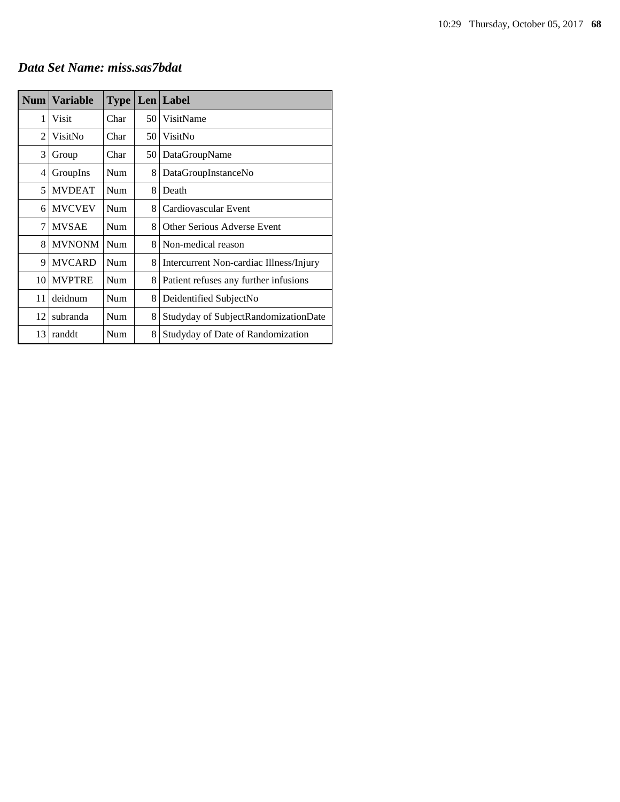#### *Data Set Name: miss.sas7bdat*

| Num            | <b>Variable</b> | <b>Type</b> |    | Len Label                               |
|----------------|-----------------|-------------|----|-----------------------------------------|
| 1              | Visit           | Char        | 50 | VisitName                               |
| $\overline{c}$ | VisitNo         | Char        | 50 | VisitNo                                 |
| 3              | Group           | Char        | 50 | DataGroupName                           |
| 4              | GroupIns        | Num         | 8  | DataGroupInstanceNo                     |
| 5              | <b>MVDEAT</b>   | <b>Num</b>  | 8  | Death                                   |
| 6              | <b>MVCVEV</b>   | <b>Num</b>  | 8  | Cardiovascular Event                    |
| 7              | <b>MVSAE</b>    | Num         | 8  | Other Serious Adverse Event             |
| 8              | <b>MVNONM</b>   | <b>Num</b>  | 8  | Non-medical reason                      |
| 9              | <b>MVCARD</b>   | <b>Num</b>  | 8  | Intercurrent Non-cardiac Illness/Injury |
| 10             | <b>MVPTRE</b>   | <b>Num</b>  | 8  | Patient refuses any further infusions   |
| 11             | deidnum         | Num         | 8  | Deidentified SubjectNo                  |
| 12             | subranda        | Num         | 8  | Studyday of SubjectRandomizationDate    |
| 13             | randdt          | Num         | 8  | Studyday of Date of Randomization       |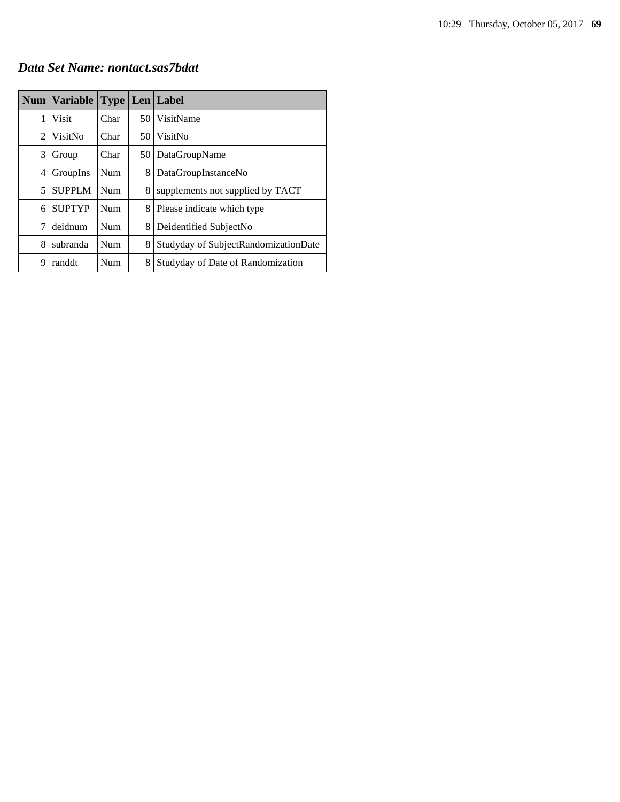*Data Set Name: nontact.sas7bdat*

|   | Num   Variable |      |    | <b>Type   Len   Label</b>            |
|---|----------------|------|----|--------------------------------------|
| 1 | Visit          | Char |    | 50 VisitName                         |
| 2 | VisitNo        | Char | 50 | VisitNo                              |
| 3 | Group          | Char |    | 50   DataGroupName                   |
| 4 | GroupIns       | Num  | 8  | DataGroupInstanceNo                  |
| 5 | <b>SUPPLM</b>  | Num  | 8  | supplements not supplied by TACT     |
| 6 | <b>SUPTYP</b>  | Num  | 8  | Please indicate which type           |
| 7 | deidnum        | Num  | 8  | Deidentified SubjectNo               |
| 8 | subranda       | Num  | 8  | Studyday of SubjectRandomizationDate |
| 9 | randdt         | Num  | 8  | Studyday of Date of Randomization    |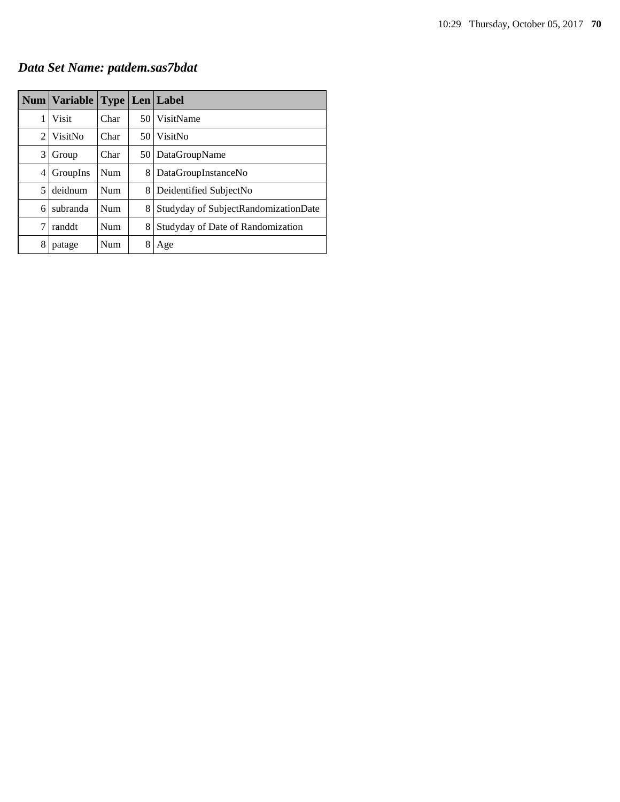*Data Set Name: patdem.sas7bdat*

|   | Num   Variable |      |      | <b>Type   Len   Label</b>            |
|---|----------------|------|------|--------------------------------------|
| 1 | Visit          | Char |      | 50 VisitName                         |
| 2 | VisitNo        | Char | 50 I | VisitNo                              |
| 3 | Group          | Char | 50 I | DataGroupName                        |
| 4 | GroupIns       | Num  | 8    | DataGroupInstanceNo                  |
| 5 | deidnum        | Num  | 8    | Deidentified SubjectNo               |
| 6 | subranda       | Num  | 8    | Studyday of SubjectRandomizationDate |
| 7 | randdt         | Num  | 8    | Studyday of Date of Randomization    |
| 8 | patage         | Num  | 8    | Age                                  |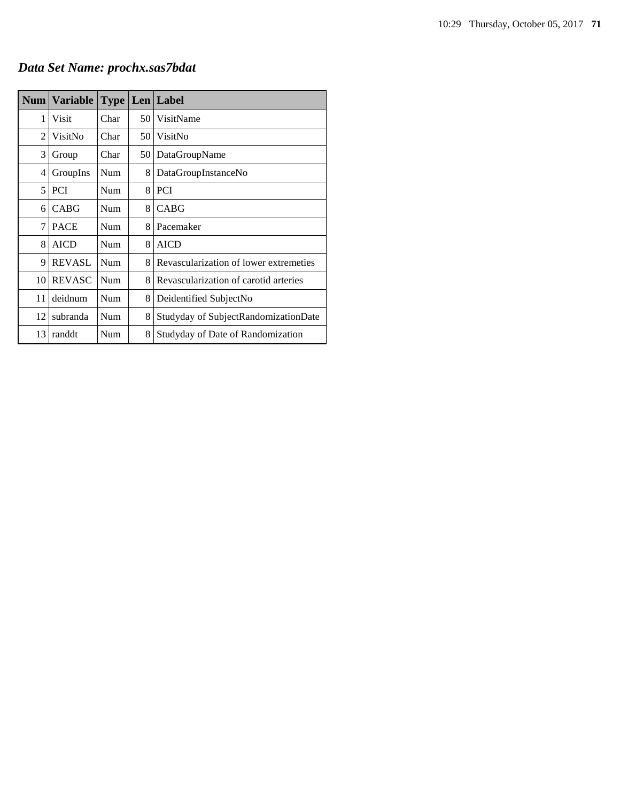# *Data Set Name: prochx.sas7bdat*

| <b>Num</b> | <b>Variable</b> | <b>Type</b> |    | Len   Label                            |
|------------|-----------------|-------------|----|----------------------------------------|
| 1          | Visit           | Char        | 50 | VisitName                              |
| 2          | VisitNo         | Char        | 50 | VisitNo                                |
| 3          | Group           | Char        | 50 | DataGroupName                          |
| 4          | GroupIns        | Num         | 8  | DataGroupInstanceNo                    |
| 5          | <b>PCI</b>      | Num         | 8  | <b>PCI</b>                             |
| 6          | <b>CABG</b>     | Num         | 8  | CABG                                   |
| 7          | <b>PACE</b>     | Num         | 8  | Pacemaker                              |
| 8          | <b>AICD</b>     | Num         | 8  | <b>AICD</b>                            |
| 9          | <b>REVASL</b>   | Num         | 8  | Revascularization of lower extremeties |
| 10         | <b>REVASC</b>   | Num         | 8  | Revascularization of carotid arteries  |
| 11         | deidnum         | Num         | 8  | Deidentified SubjectNo                 |
| 12         | subranda        | Num         | 8  | Studyday of SubjectRandomizationDate   |
| 13         | randdt          | Num         | 8  | Studyday of Date of Randomization      |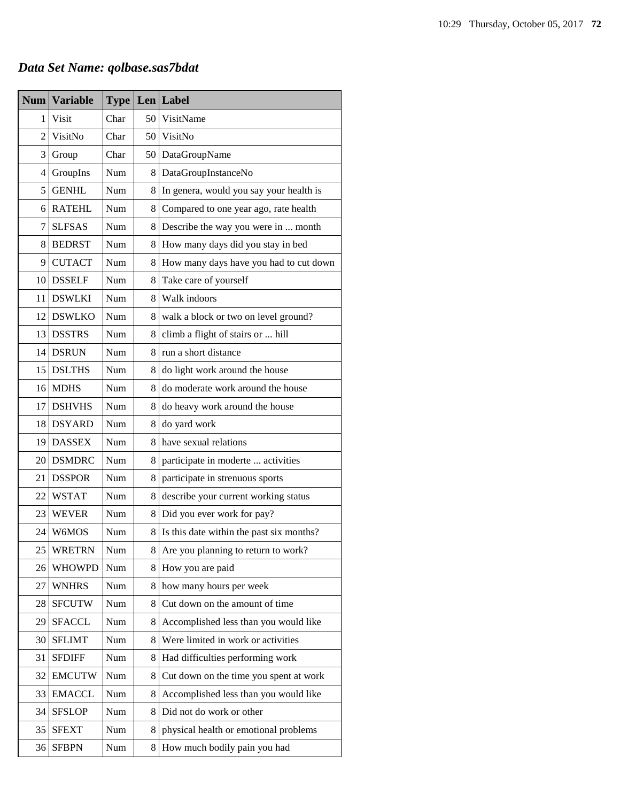# *Data Set Name: qolbase.sas7bdat*

| <b>Num</b>     | <b>Variable</b> | <b>Type</b> |    | Len Label                                |
|----------------|-----------------|-------------|----|------------------------------------------|
| 1              | Visit           | Char        | 50 | VisitName                                |
| $\overline{c}$ | VisitNo         | Char        | 50 | VisitNo                                  |
| 3              | Group           | Char        | 50 | DataGroupName                            |
| 4              | GroupIns        | Num         | 8  | DataGroupInstanceNo                      |
| 5              | <b>GENHL</b>    | Num         | 8  | In genera, would you say your health is  |
| 6              | <b>RATEHL</b>   | Num         | 8  | Compared to one year ago, rate health    |
| 7              | <b>SLFSAS</b>   | Num         | 8  | Describe the way you were in  month      |
| 8              | <b>BEDRST</b>   | Num         | 8  | How many days did you stay in bed        |
| 9              | <b>CUTACT</b>   | Num         | 8  | How many days have you had to cut down   |
| 10             | <b>DSSELF</b>   | Num         | 8  | Take care of yourself                    |
| 11             | <b>DSWLKI</b>   | Num         | 8  | Walk indoors                             |
| 12             | <b>DSWLKO</b>   | Num         | 8  | walk a block or two on level ground?     |
| 13             | <b>DSSTRS</b>   | Num         | 8  | climb a flight of stairs or  hill        |
| 14             | <b>DSRUN</b>    | Num         | 8  | run a short distance                     |
| 15             | <b>DSLTHS</b>   | Num         | 8  | do light work around the house           |
| 16             | <b>MDHS</b>     | Num         | 8  | do moderate work around the house        |
| 17             | <b>DSHVHS</b>   | Num         | 8  | do heavy work around the house           |
| 18             | <b>DSYARD</b>   | Num         | 8  | do yard work                             |
| 19             | <b>DASSEX</b>   | Num         | 8  | have sexual relations                    |
| 20             | <b>DSMDRC</b>   | Num         | 8  | participate in moderte  activities       |
| 21             | <b>DSSPOR</b>   | Num         | 8  | participate in strenuous sports          |
| 22             | <b>WSTAT</b>    | Num         | 8  | describe your current working status     |
| 23             | <b>WEVER</b>    | Num         | 8  | Did you ever work for pay?               |
| 24             | W6MOS           | Num         | 8  | Is this date within the past six months? |
| 25             | <b>WRETRN</b>   | Num         | 8  | Are you planning to return to work?      |
| 26             | <b>WHOWPD</b>   | Num         | 8  | How you are paid                         |
| 27             | <b>WNHRS</b>    | Num         | 8  | how many hours per week                  |
| 28             | <b>SFCUTW</b>   | Num         | 8  | Cut down on the amount of time           |
| 29             | <b>SFACCL</b>   | Num         | 8  | Accomplished less than you would like    |
| 30             | <b>SFLIMT</b>   | Num         | 8  | Were limited in work or activities       |
| 31             | <b>SFDIFF</b>   | Num         | 8  | Had difficulties performing work         |
| 32             | <b>EMCUTW</b>   | Num         | 8  | Cut down on the time you spent at work   |
| 33             | <b>EMACCL</b>   | Num         | 8  | Accomplished less than you would like    |
| 34             | <b>SFSLOP</b>   | Num         | 8  | Did not do work or other                 |
| 35             | <b>SFEXT</b>    | Num         | 8  | physical health or emotional problems    |
| 36             | <b>SFBPN</b>    | Num         | 8  | How much bodily pain you had             |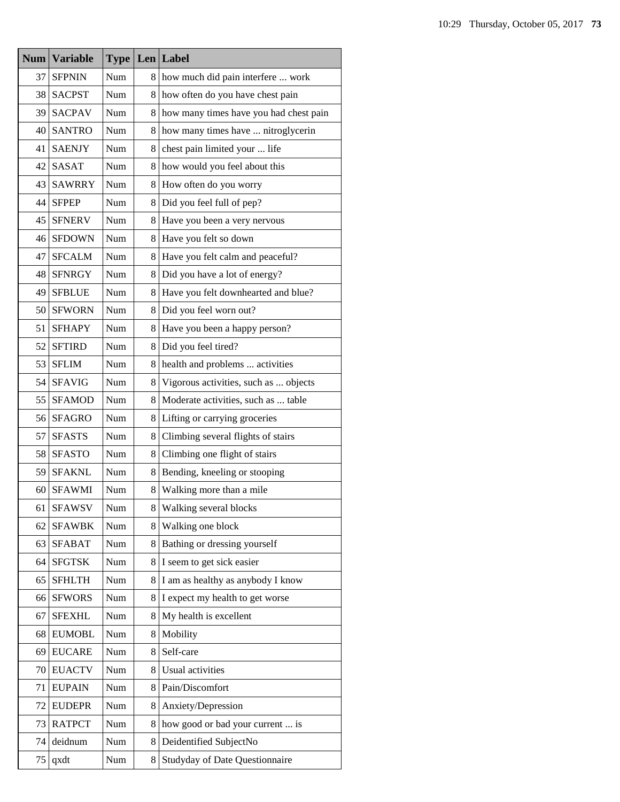| <b>Num</b> | <b>Variable</b> | <b>Type</b> |    | Len Label                              |
|------------|-----------------|-------------|----|----------------------------------------|
| 37         | <b>SFPNIN</b>   | Num         | 8. | how much did pain interfere  work      |
| 38         | <b>SACPST</b>   | Num         | 8. | how often do you have chest pain       |
| 39         | <b>SACPAV</b>   | Num         | 8  | how many times have you had chest pain |
| 40         | <b>SANTRO</b>   | Num         | 8. | how many times have  nitroglycerin     |
| 41         | <b>SAENJY</b>   | Num         | 8  | chest pain limited your  life          |
| 42         | <b>SASAT</b>    | Num         | 8  | how would you feel about this          |
| 43         | <b>SAWRRY</b>   | Num         | 8  | How often do you worry                 |
| 44         | <b>SFPEP</b>    | Num         | 8  | Did you feel full of pep?              |
| 45         | <b>SFNERV</b>   | Num         | 8  | Have you been a very nervous           |
| 46         | <b>SFDOWN</b>   | Num         | 8  | Have you felt so down                  |
| 47         | <b>SFCALM</b>   | Num         | 8  | Have you felt calm and peaceful?       |
| 48         | <b>SFNRGY</b>   | Num         | 8  | Did you have a lot of energy?          |
| 49         | <b>SFBLUE</b>   | Num         | 8  | Have you felt downhearted and blue?    |
| 50         | <b>SFWORN</b>   | Num         | 8  | Did you feel worn out?                 |
| 51         | <b>SFHAPY</b>   | Num         | 8  | Have you been a happy person?          |
| 52         | <b>SFTIRD</b>   | Num         | 8  | Did you feel tired?                    |
| 53         | <b>SFLIM</b>    | Num         | 8  | health and problems  activities        |
| 54         | <b>SFAVIG</b>   | Num         | 8  | Vigorous activities, such as  objects  |
| 55         | <b>SFAMOD</b>   | Num         | 8  | Moderate activities, such as  table    |
| 56         | <b>SFAGRO</b>   | Num         | 8  | Lifting or carrying groceries          |
| 57         | <b>SFASTS</b>   | Num         | 8  | Climbing several flights of stairs     |
| 58         | <b>SFASTO</b>   | Num         | 8  | Climbing one flight of stairs          |
| 59         | <b>SFAKNL</b>   | Num         | 8  | Bending, kneeling or stooping          |
| 60         | <b>SFAWMI</b>   | Num         | 8  | Walking more than a mile               |
| 61         | <b>SFAWSV</b>   | Num         | 8  | Walking several blocks                 |
| 62         | <b>SFAWBK</b>   | Num         | 8  | Walking one block                      |
| 63         | <b>SFABAT</b>   | Num         | 8. | Bathing or dressing yourself           |
| 64         | <b>SFGTSK</b>   | Num         | 8  | I seem to get sick easier              |
| 65         | <b>SFHLTH</b>   | Num         | 8  | I am as healthy as anybody I know      |
| 66         | <b>SFWORS</b>   | Num         | 8  | I expect my health to get worse        |
| 67         | <b>SFEXHL</b>   | Num         | 8  | My health is excellent                 |
| 68         | <b>EUMOBL</b>   | Num         | 8  | Mobility                               |
| 69         | <b>EUCARE</b>   | Num         | 8  | Self-care                              |
| 70         | <b>EUACTV</b>   | Num         | 8  | Usual activities                       |
| 71         | <b>EUPAIN</b>   | Num         | 8  | Pain/Discomfort                        |
| 72         | <b>EUDEPR</b>   | Num         | 8  | Anxiety/Depression                     |
| 73         | <b>RATPCT</b>   | Num         | 8  | how good or bad your current  is       |
| 74         | deidnum         | Num         | 8  | Deidentified SubjectNo                 |
| 75         | qxdt            | Num         | 8  | Studyday of Date Questionnaire         |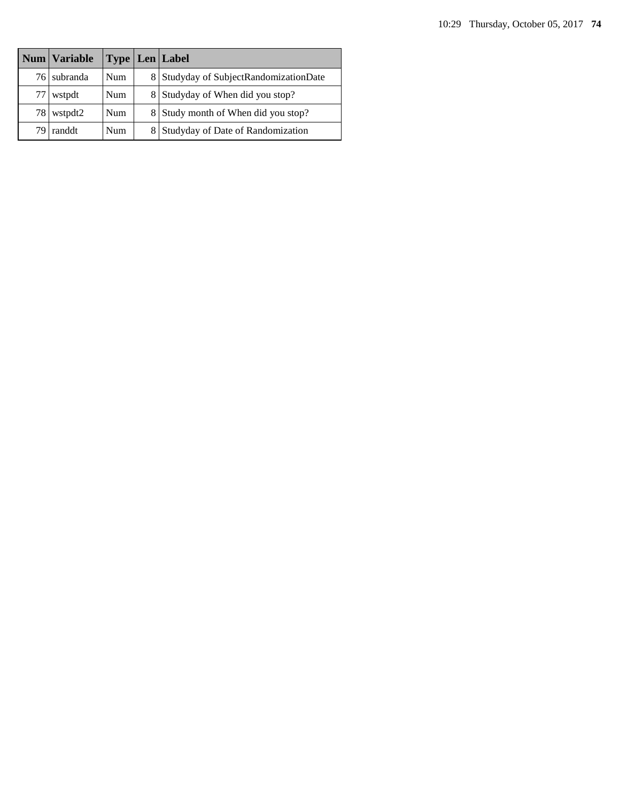|     | Num   Variable | Type       | $Len$ Label                            |
|-----|----------------|------------|----------------------------------------|
| 761 | subranda       | <b>Num</b> | 8 Studyday of SubjectRandomizationDate |
| 77  | wstpdt         | <b>Num</b> | 8 Studyday of When did you stop?       |
| 78  | wstpdt2        | <b>Num</b> | 8 Study month of When did you stop?    |
| 79  | randdt         | <b>Num</b> | 8 Studyday of Date of Randomization    |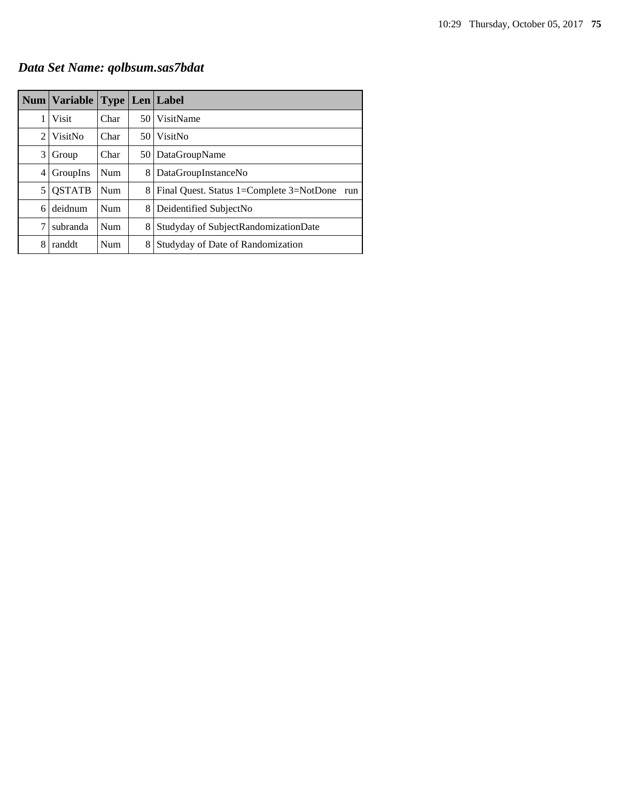# *Data Set Name: qolbsum.sas7bdat*

|              | Num   Variable   Type   Len   Label |      |      |                                                 |
|--------------|-------------------------------------|------|------|-------------------------------------------------|
| 1            | <b>Visit</b>                        | Char | 50 I | VisitName                                       |
|              | 2 VisitNo                           | Char | 50 l | VisitNo                                         |
| $\mathbf{3}$ | Group                               | Char | 50 I | DataGroupName                                   |
| 4            | GroupIns                            | Num  | 8    | DataGroupInstanceNo                             |
| 5            | <b>QSTATB</b>                       | Num  | 8    | Final Quest. Status 1=Complete 3=NotDone<br>run |
| 6.           | deidnum                             | Num  | 8    | Deidentified SubjectNo                          |
| 7            | subranda                            | Num  | 8    | Studyday of SubjectRandomizationDate            |
| 8            | randdt                              | Num  | 8    | Studyday of Date of Randomization               |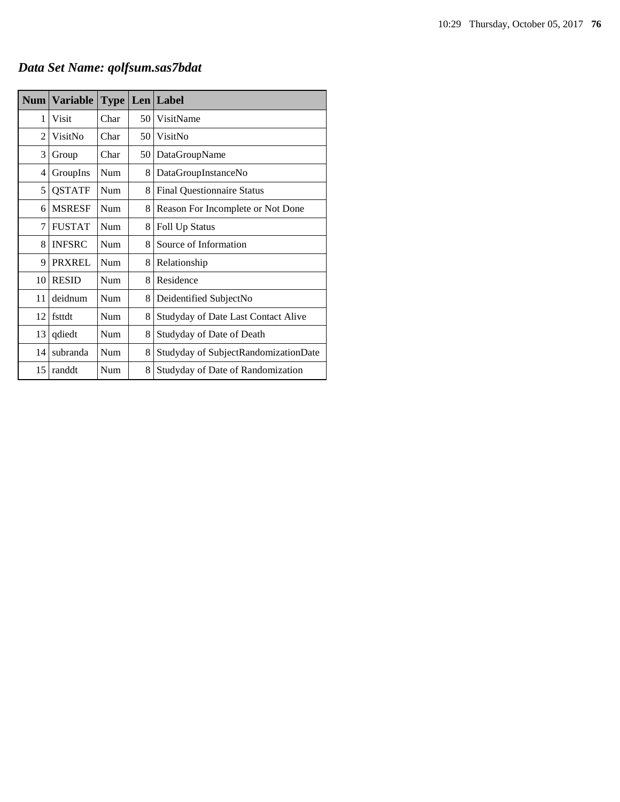*Data Set Name: qolfsum.sas7bdat*

| <b>Num</b> | <b>Variable</b> | <b>Type</b> |    | Len Label                            |
|------------|-----------------|-------------|----|--------------------------------------|
| 1          | Visit           | Char        | 50 | VisitName                            |
| 2          | VisitNo         | Char        | 50 | VisitNo                              |
| 3          | Group           | Char        | 50 | DataGroupName                        |
| 4          | GroupIns        | Num         | 8  | DataGroupInstanceNo                  |
| 5          | <b>QSTATF</b>   | Num         | 8  | <b>Final Questionnaire Status</b>    |
| 6          | <b>MSRESF</b>   | Num         | 8  | Reason For Incomplete or Not Done    |
| 7          | <b>FUSTAT</b>   | Num         | 8  | Foll Up Status                       |
| 8          | <b>INFSRC</b>   | Num         | 8  | Source of Information                |
| 9          | <b>PRXREL</b>   | Num         | 8  | Relationship                         |
| 10         | <b>RESID</b>    | Num         | 8  | Residence                            |
| 11         | deidnum         | Num         | 8  | Deidentified SubjectNo               |
| 12         | fsttdt          | Num         | 8  | Studyday of Date Last Contact Alive  |
| 13         | qdiedt          | Num         | 8  | Studyday of Date of Death            |
| 14         | subranda        | Num         | 8  | Studyday of SubjectRandomizationDate |
| 15         | randdt          | Num         | 8  | Studyday of Date of Randomization    |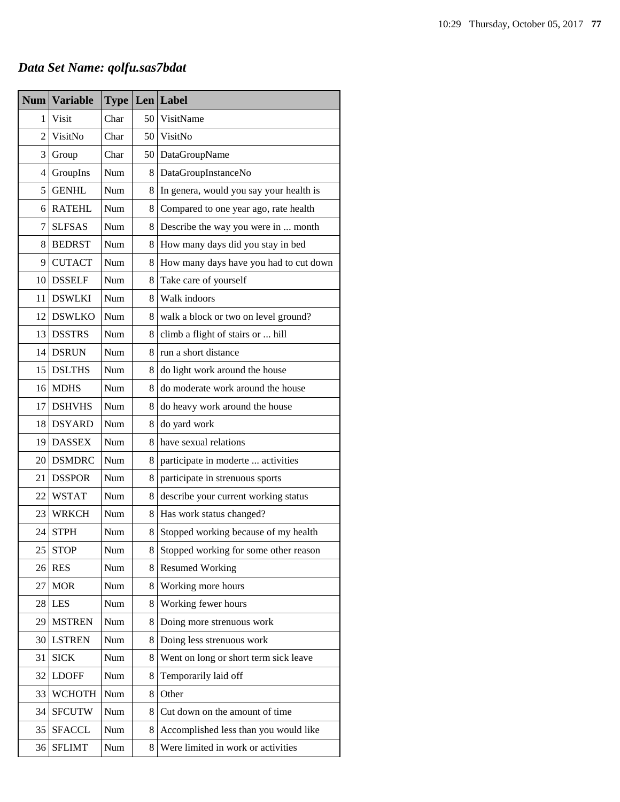# *Data Set Name: qolfu.sas7bdat*

| <b>Num</b>     | <b>Variable</b> | <b>Type</b> |    | Len Label                               |
|----------------|-----------------|-------------|----|-----------------------------------------|
| 1              | Visit           | Char        | 50 | VisitName                               |
| $\overline{2}$ | VisitNo         | Char        | 50 | VisitNo                                 |
| 3              | Group           | Char        | 50 | DataGroupName                           |
| 4              | GroupIns        | Num         | 8  | DataGroupInstanceNo                     |
| 5              | <b>GENHL</b>    | Num         | 8  | In genera, would you say your health is |
| 6              | <b>RATEHL</b>   | Num         | 8  | Compared to one year ago, rate health   |
| 7              | <b>SLFSAS</b>   | Num         | 8  | Describe the way you were in  month     |
| 8              | <b>BEDRST</b>   | Num         | 8  | How many days did you stay in bed       |
| 9              | <b>CUTACT</b>   | Num         | 8  | How many days have you had to cut down  |
| 10             | <b>DSSELF</b>   | Num         | 8  | Take care of yourself                   |
| 11             | <b>DSWLKI</b>   | Num         | 8  | Walk indoors                            |
| 12             | <b>DSWLKO</b>   | Num         | 8  | walk a block or two on level ground?    |
| 13             | <b>DSSTRS</b>   | <b>Num</b>  | 8  | climb a flight of stairs or  hill       |
| 14             | <b>DSRUN</b>    | Num         | 8  | run a short distance                    |
| 15             | <b>DSLTHS</b>   | Num         | 8  | do light work around the house          |
| 16             | <b>MDHS</b>     | Num         | 8  | do moderate work around the house       |
| 17             | <b>DSHVHS</b>   | Num         | 8  | do heavy work around the house          |
| 18             | <b>DSYARD</b>   | Num         | 8  | do yard work                            |
| 19             | <b>DASSEX</b>   | Num         | 8  | have sexual relations                   |
| 20             | <b>DSMDRC</b>   | Num         | 8  | participate in moderte  activities      |
| 21             | <b>DSSPOR</b>   | Num         | 8  | participate in strenuous sports         |
| 22             | <b>WSTAT</b>    | Num         | 8  | describe your current working status    |
| 23             | <b>WRKCH</b>    | Num         | 8  | Has work status changed?                |
| 24             | <b>STPH</b>     | Num         | 8  | Stopped working because of my health    |
| 25             | <b>STOP</b>     | Num         | 8  | Stopped working for some other reason   |
| 26             | <b>RES</b>      | Num         | 8  | <b>Resumed Working</b>                  |
| 27             | <b>MOR</b>      | Num         | 8  | Working more hours                      |
| 28             | <b>LES</b>      | Num         | 8  | Working fewer hours                     |
| 29             | <b>MSTREN</b>   | Num         | 8  | Doing more strenuous work               |
| 30             | <b>LSTREN</b>   | Num         | 8  | Doing less strenuous work               |
| 31             | <b>SICK</b>     | Num         | 8  | Went on long or short term sick leave   |
| 32             | <b>LDOFF</b>    | Num         | 8  | Temporarily laid off                    |
| 33             | <b>WCHOTH</b>   | Num         | 8  | Other                                   |
| 34             | <b>SFCUTW</b>   | Num         | 8  | Cut down on the amount of time          |
| 35             | <b>SFACCL</b>   | Num         | 8  | Accomplished less than you would like   |
| 36             | <b>SFLIMT</b>   | Num         | 8  | Were limited in work or activities      |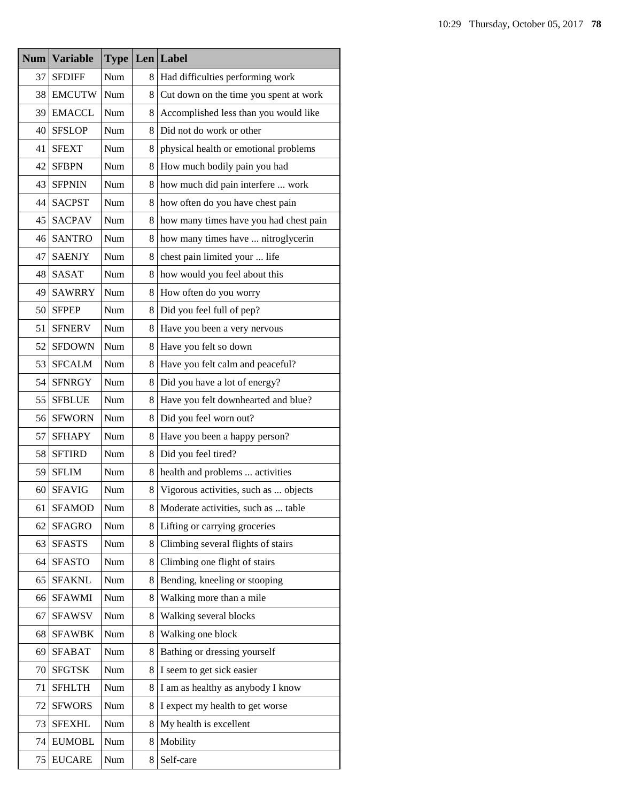| <b>Num</b> | <b>Variable</b> | <b>Type</b> | Len | Label                                  |
|------------|-----------------|-------------|-----|----------------------------------------|
| 37         | <b>SFDIFF</b>   | Num         | 8   | Had difficulties performing work       |
| 38         | <b>EMCUTW</b>   | Num         | 8   | Cut down on the time you spent at work |
| 39         | <b>EMACCL</b>   | Num         | 8   | Accomplished less than you would like  |
| 40         | <b>SFSLOP</b>   | Num         | 8   | Did not do work or other               |
| 41         | <b>SFEXT</b>    | Num         | 8   | physical health or emotional problems  |
| 42         | <b>SFBPN</b>    | Num         | 8   | How much bodily pain you had           |
| 43         | <b>SFPNIN</b>   | Num         | 8   | how much did pain interfere  work      |
| 44         | <b>SACPST</b>   | Num         | 8   | how often do you have chest pain       |
| 45         | <b>SACPAV</b>   | Num         | 8   | how many times have you had chest pain |
| 46         | <b>SANTRO</b>   | Num         | 8   | how many times have  nitroglycerin     |
| 47         | <b>SAENJY</b>   | Num         | 8   | chest pain limited your  life          |
| 48         | <b>SASAT</b>    | Num         | 8   | how would you feel about this          |
| 49         | <b>SAWRRY</b>   | Num         | 8   | How often do you worry                 |
| 50         | <b>SFPEP</b>    | Num         | 8   | Did you feel full of pep?              |
| 51         | <b>SFNERV</b>   | Num         | 8   | Have you been a very nervous           |
| 52         | <b>SFDOWN</b>   | Num         | 8   | Have you felt so down                  |
| 53         | <b>SFCALM</b>   | Num         | 8   | Have you felt calm and peaceful?       |
| 54         | <b>SFNRGY</b>   | Num         | 8   | Did you have a lot of energy?          |
| 55         | <b>SFBLUE</b>   | Num         | 8   | Have you felt downhearted and blue?    |
| 56         | <b>SFWORN</b>   | Num         | 8   | Did you feel worn out?                 |
| 57         | <b>SFHAPY</b>   | Num         | 8   | Have you been a happy person?          |
| 58         | <b>SFTIRD</b>   | Num         | 8   | Did you feel tired?                    |
| 59         | <b>SFLIM</b>    | Num         | 8   | health and problems  activities        |
| 60         | <b>SFAVIG</b>   | Num         | 8   | Vigorous activities, such as  objects  |
| 61         | <b>SFAMOD</b>   | Num         | 8   | Moderate activities, such as  table    |
| 62         | <b>SFAGRO</b>   | Num         | 8   | Lifting or carrying groceries          |
| 63         | <b>SFASTS</b>   | Num         | 8   | Climbing several flights of stairs     |
| 64         | <b>SFASTO</b>   | Num         | 8   | Climbing one flight of stairs          |
| 65         | <b>SFAKNL</b>   | Num         | 8   | Bending, kneeling or stooping          |
| 66         | <b>SFAWMI</b>   | Num         | 8   | Walking more than a mile               |
| 67         | <b>SFAWSV</b>   | Num         | 8   | Walking several blocks                 |
| 68         | <b>SFAWBK</b>   | Num         | 8   | Walking one block                      |
| 69         | <b>SFABAT</b>   | Num         | 8   | Bathing or dressing yourself           |
| 70         | <b>SFGTSK</b>   | Num         | 8   | I seem to get sick easier              |
| 71         | <b>SFHLTH</b>   | Num         | 8   | I am as healthy as anybody I know      |
| 72         | <b>SFWORS</b>   | Num         | 8   | I expect my health to get worse        |
| 73         | <b>SFEXHL</b>   | Num         | 8   | My health is excellent                 |
| 74         | <b>EUMOBL</b>   | Num         | 8   | Mobility                               |
| 75         | <b>EUCARE</b>   | Num         | 8   | Self-care                              |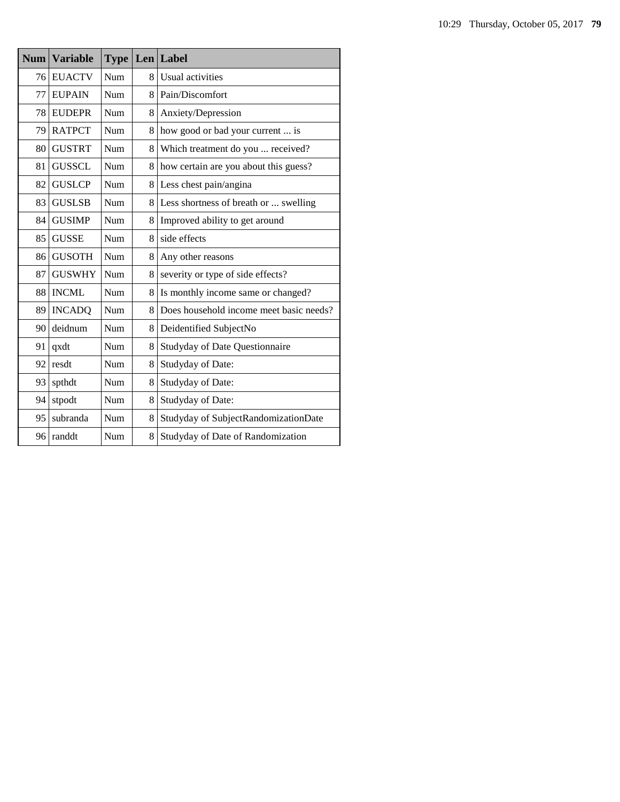| <b>Num</b> | <b>Variable</b> | Type       |   | Len Label                               |
|------------|-----------------|------------|---|-----------------------------------------|
| 76         | <b>EUACTV</b>   | <b>Num</b> | 8 | Usual activities                        |
| 77         | <b>EUPAIN</b>   | Num        | 8 | Pain/Discomfort                         |
| 78         | <b>EUDEPR</b>   | Num        | 8 | Anxiety/Depression                      |
| 79         | <b>RATPCT</b>   | Num        | 8 | how good or bad your current  is        |
| 80         | <b>GUSTRT</b>   | Num        | 8 | Which treatment do you  received?       |
| 81         | <b>GUSSCL</b>   | Num        | 8 | how certain are you about this guess?   |
| 82         | <b>GUSLCP</b>   | Num        | 8 | Less chest pain/angina                  |
| 83         | <b>GUSLSB</b>   | Num        | 8 | Less shortness of breath or  swelling   |
| 84         | <b>GUSIMP</b>   | Num        | 8 | Improved ability to get around          |
| 85         | <b>GUSSE</b>    | Num        | 8 | side effects                            |
| 86         | <b>GUSOTH</b>   | Num        | 8 | Any other reasons                       |
| 87         | <b>GUSWHY</b>   | Num        | 8 | severity or type of side effects?       |
| 88         | <b>INCML</b>    | Num        | 8 | Is monthly income same or changed?      |
| 89         | <b>INCADQ</b>   | Num        | 8 | Does household income meet basic needs? |
| 90         | deidnum         | Num        | 8 | Deidentified SubjectNo                  |
| 91         | qxdt            | Num        | 8 | Studyday of Date Questionnaire          |
| 92         | resdt           | Num        | 8 | Studyday of Date:                       |
| 93         | spthdt          | Num        | 8 | Studyday of Date:                       |
| 94         | stpodt          | Num        | 8 | Studyday of Date:                       |
| 95         | subranda        | Num        | 8 | Studyday of SubjectRandomizationDate    |
| 96         | randdt          | Num        | 8 | Studyday of Date of Randomization       |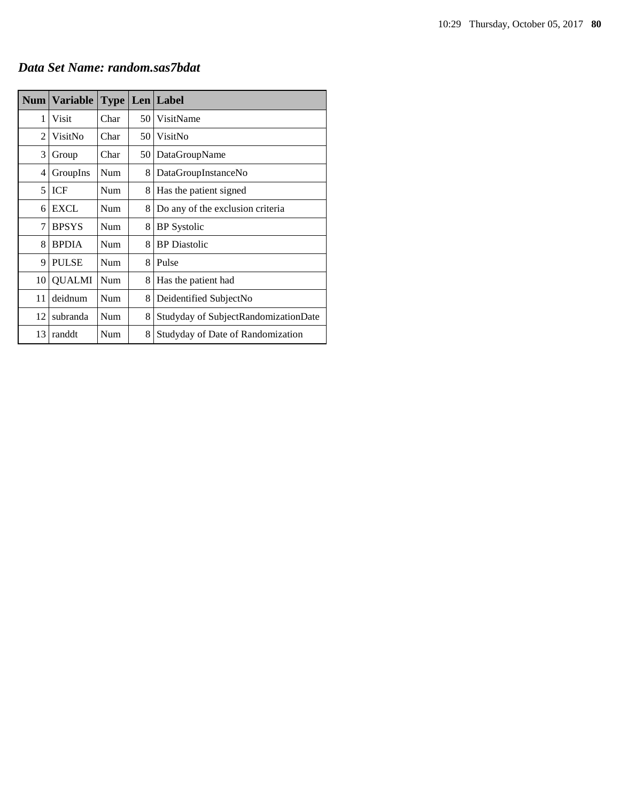|  |  |  |  | Data Set Name: random.sas7bdat |
|--|--|--|--|--------------------------------|
|--|--|--|--|--------------------------------|

| <b>Num</b> | <b>Variable</b> | <b>Type</b> |    | Len Label                            |
|------------|-----------------|-------------|----|--------------------------------------|
| 1          | Visit           | Char        | 50 | VisitName                            |
| 2          | VisitNo         | Char        | 50 | VisitNo                              |
| 3          | Group           | Char        | 50 | DataGroupName                        |
| 4          | GroupIns        | Num         | 8  | DataGroupInstanceNo                  |
| 5          | ICF             | Num         | 8  | Has the patient signed               |
| 6          | <b>EXCL</b>     | Num         | 8  | Do any of the exclusion criteria     |
| 7          | <b>BPSYS</b>    | Num         | 8  | <b>BP</b> Systolic                   |
| 8          | <b>BPDIA</b>    | Num         | 8  | <b>BP</b> Diastolic                  |
| 9          | <b>PULSE</b>    | Num         | 8  | Pulse                                |
| 10         | <b>QUALMI</b>   | Num         | 8  | Has the patient had                  |
| 11         | deidnum         | Num         | 8  | Deidentified SubjectNo               |
| 12         | subranda        | Num         | 8  | Studyday of SubjectRandomizationDate |
| 13         | randdt          | Num         | 8  | Studyday of Date of Randomization    |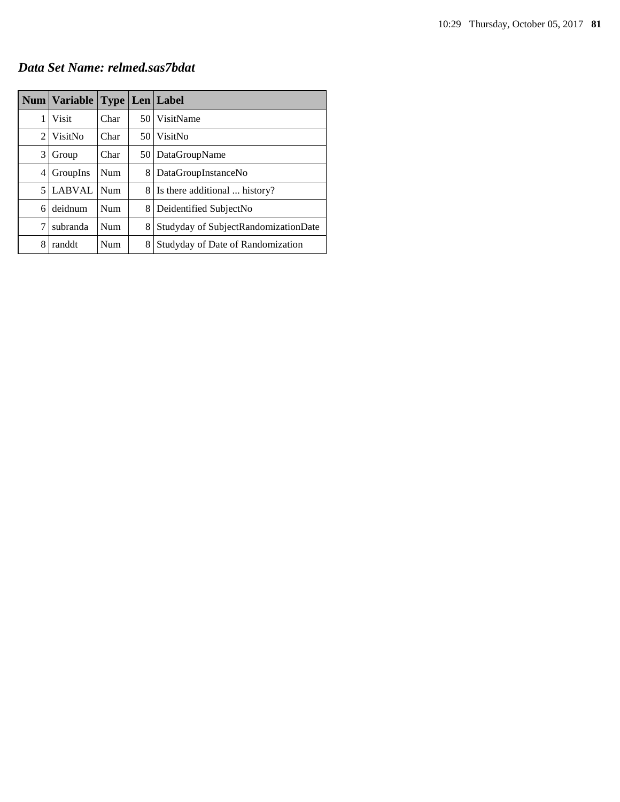*Data Set Name: relmed.sas7bdat*

|   | Num   Variable |      |   | <b>Type   Len   Label</b>            |
|---|----------------|------|---|--------------------------------------|
| 1 | Visit          | Char |   | 50 VisitName                         |
| 2 | VisitNo        | Char |   | 50 VisitNo                           |
| 3 | Group          | Char |   | 50   DataGroupName                   |
| 4 | GroupIns       | Num  | 8 | DataGroupInstanceNo                  |
| 5 | <b>LABVAL</b>  | Num  |   | 8   Is there additional  history?    |
| 6 | deidnum        | Num  | 8 | Deidentified SubjectNo               |
| 7 | subranda       | Num  | 8 | Studyday of SubjectRandomizationDate |
| 8 | randdt         | Num  | 8 | Studyday of Date of Randomization    |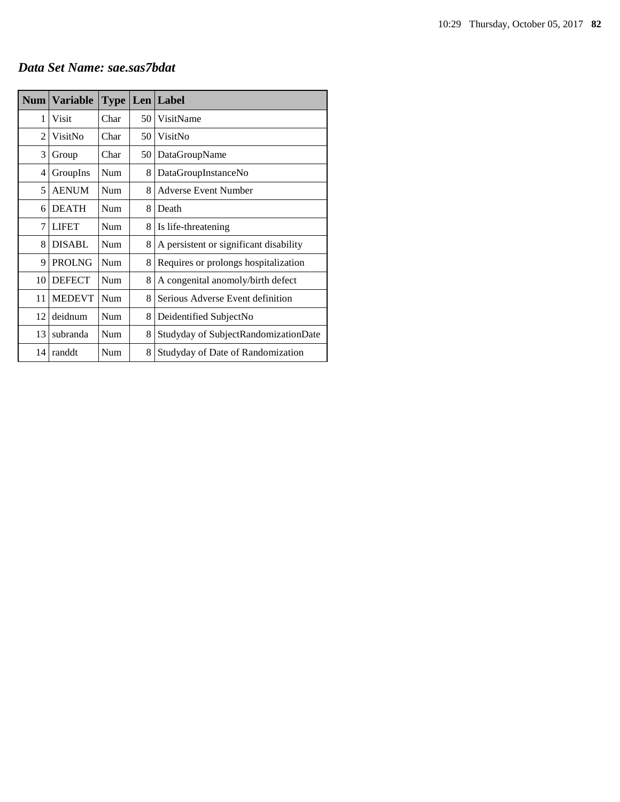### *Data Set Name: sae.sas7bdat*

| Num            | <b>Variable</b> | <b>Type</b> |    | Len Label                              |
|----------------|-----------------|-------------|----|----------------------------------------|
| 1              | Visit           | Char        | 50 | VisitName                              |
| $\overline{c}$ | VisitNo         | Char        | 50 | VisitNo                                |
| 3              | Group           | Char        | 50 | DataGroupName                          |
| 4              | GroupIns        | Num         | 8  | DataGroupInstanceNo                    |
| 5              | <b>AENUM</b>    | Num         | 8  | <b>Adverse Event Number</b>            |
| 6              | <b>DEATH</b>    | Num         | 8  | Death                                  |
| $\overline{7}$ | <b>LIFET</b>    | Num         | 8  | Is life-threatening                    |
| 8              | <b>DISABL</b>   | Num         | 8  | A persistent or significant disability |
| 9              | <b>PROLNG</b>   | Num         | 8  | Requires or prolongs hospitalization   |
| 10             | <b>DEFECT</b>   | Num         | 8  | A congenital anomoly/birth defect      |
| 11             | <b>MEDEVT</b>   | Num         | 8  | Serious Adverse Event definition       |
| 12             | deidnum         | Num         | 8  | Deidentified SubjectNo                 |
| 13             | subranda        | Num         | 8  | Studyday of SubjectRandomizationDate   |
| 14             | randdt          | Num         | 8  | Studyday of Date of Randomization      |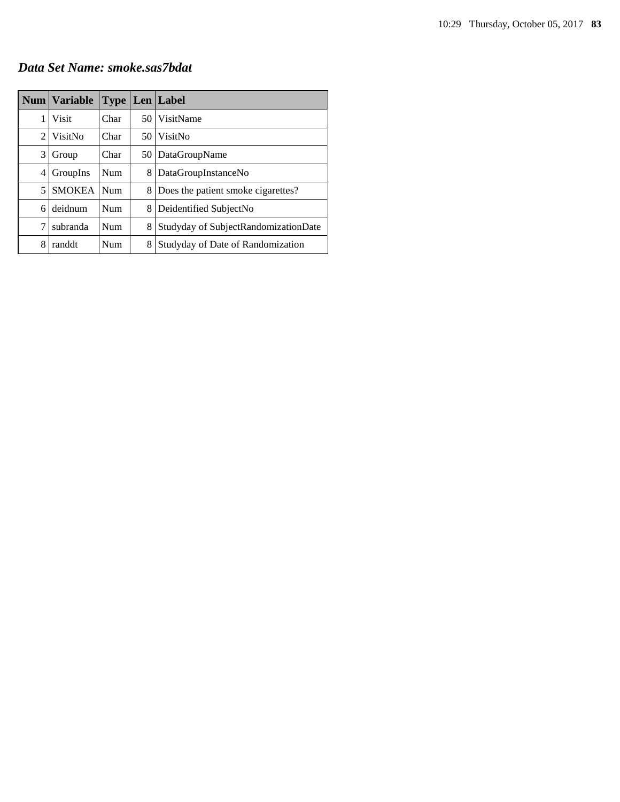### *Data Set Name: smoke.sas7bdat*

|                | Num   Variable | <b>Type</b> |      | Len   Label                          |
|----------------|----------------|-------------|------|--------------------------------------|
| 1              | Visit          | Char        | 50 I | VisitName                            |
| $\mathfrak{D}$ | VisitNo        | Char        | 50 I | VisitNo                              |
| 3              | Group          | Char        | 50   | DataGroupName                        |
| 4              | GroupIns       | <b>Num</b>  | 8    | DataGroupInstanceNo                  |
| 5              | <b>SMOKEA</b>  | <b>Num</b>  | 8    | Does the patient smoke cigarettes?   |
| 6              | deidnum        | <b>Num</b>  | 8    | Deidentified SubjectNo               |
| 7              | subranda       | <b>Num</b>  | 8    | Studyday of SubjectRandomizationDate |
| 8              | randdt         | Num         | 8    | Studyday of Date of Randomization    |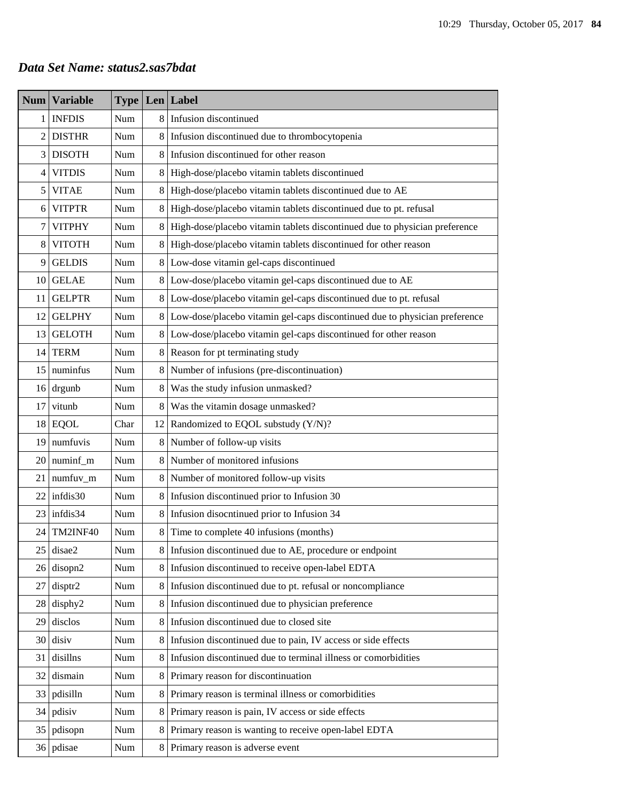### *Data Set Name: status2.sas7bdat*

| <b>Num</b>     | <b>Variable</b> | <b>Type</b> |    | Len Label                                                                  |  |
|----------------|-----------------|-------------|----|----------------------------------------------------------------------------|--|
| 1              | <b>INFDIS</b>   | Num         | 8  | Infusion discontinued                                                      |  |
| $\overline{c}$ | <b>DISTHR</b>   | Num         | 8  | Infusion discontinued due to thrombocytopenia                              |  |
| 3              | <b>DISOTH</b>   | Num         | 8  | Infusion discontinued for other reason                                     |  |
| $\overline{4}$ | <b>VITDIS</b>   | Num         | 8  | High-dose/placebo vitamin tablets discontinued                             |  |
| 5              | <b>VITAE</b>    | Num         | 8  | High-dose/placebo vitamin tablets discontinued due to AE                   |  |
| 6              | <b>VITPTR</b>   | Num         | 8  | High-dose/placebo vitamin tablets discontinued due to pt. refusal          |  |
| 7              | <b>VITPHY</b>   | Num         | 8  | High-dose/placebo vitamin tablets discontinued due to physician preference |  |
| $8\,$          | <b>VITOTH</b>   | Num         | 8  | High-dose/placebo vitamin tablets discontinued for other reason            |  |
| 9              | <b>GELDIS</b>   | Num         | 8  | Low-dose vitamin gel-caps discontinued                                     |  |
| 10             | <b>GELAE</b>    | Num         | 8  | Low-dose/placebo vitamin gel-caps discontinued due to AE                   |  |
| 11             | <b>GELPTR</b>   | Num         | 8  | Low-dose/placebo vitamin gel-caps discontinued due to pt. refusal          |  |
| 12             | <b>GELPHY</b>   | Num         | 8  | Low-dose/placebo vitamin gel-caps discontinued due to physician preference |  |
| 13             | <b>GELOTH</b>   | Num         | 8  | Low-dose/placebo vitamin gel-caps discontinued for other reason            |  |
| 14             | <b>TERM</b>     | Num         | 8  | Reason for pt terminating study                                            |  |
| 15             | numinfus        | Num         | 8  | Number of infusions (pre-discontinuation)                                  |  |
| 16             | drgunb          | Num         | 8  | Was the study infusion unmasked?                                           |  |
| 17             | vitunb          | Num         | 8  | Was the vitamin dosage unmasked?                                           |  |
| 18             | <b>EQOL</b>     | Char        | 12 | Randomized to EQOL substudy (Y/N)?                                         |  |
| 19             | numfuvis        | Num         | 8  | Number of follow-up visits                                                 |  |
| 20             | numinf_m        | Num         | 8  | Number of monitored infusions                                              |  |
| 21             | numfuv_m        | Num         | 8  | Number of monitored follow-up visits                                       |  |
| 22             | infdis30        | Num         | 8  | Infusion discontinued prior to Infusion 30                                 |  |
| 23             | infdis34        | Num         | 8  | Infusion disocntinued prior to Infusion 34                                 |  |
| 24             | TM2INF40        | Num         | 8  | Time to complete 40 infusions (months)                                     |  |
| 25             | disae2          | Num         | 8  | Infusion discontinued due to AE, procedure or endpoint                     |  |
| 26             | disopn2         | Num         | 8  | Infusion discontinued to receive open-label EDTA                           |  |
| 27             | disptr2         | Num         | 8  | Infusion discontinued due to pt. refusal or noncompliance                  |  |
| 28             | disphy2         | Num         | 8  | Infusion discontinued due to physician preference                          |  |
| 29             | disclos         | Num         | 8  | Infusion discontinued due to closed site                                   |  |
| 30             | disiv           | Num         | 8  | Infusion discontinued due to pain, IV access or side effects               |  |
| 31             | disillns        | Num         | 8  | Infusion discontinued due to terminal illness or comorbidities             |  |
| 32             | dismain         | Num         | 8  | Primary reason for discontinuation                                         |  |
| 33             | pdisilln        | Num         | 8  | Primary reason is terminal illness or comorbidities                        |  |
| 34             | pdisiv          | Num         | 8  | Primary reason is pain, IV access or side effects                          |  |
| 35             | pdisopn         | Num         | 8  | Primary reason is wanting to receive open-label EDTA                       |  |
|                | 36 pdisae       | Num         |    | 8 Primary reason is adverse event                                          |  |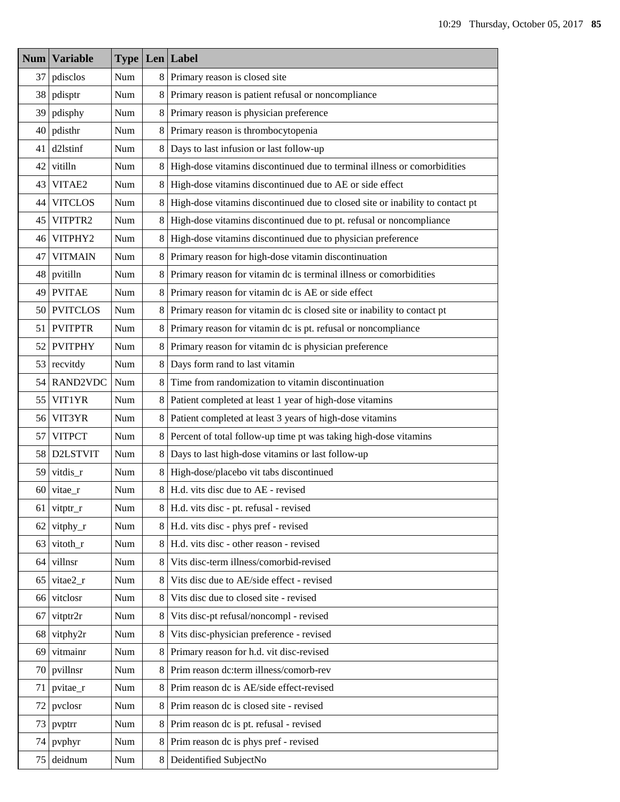| Num             | <b>Variable</b> | <b>Type Len Label</b> |   |                                                                               |  |  |
|-----------------|-----------------|-----------------------|---|-------------------------------------------------------------------------------|--|--|
| 37              | pdisclos        | Num                   | 8 | Primary reason is closed site                                                 |  |  |
| 38              | pdisptr         | Num                   | 8 | Primary reason is patient refusal or noncompliance                            |  |  |
| 39              | pdisphy         | Num                   | 8 | Primary reason is physician preference                                        |  |  |
| 40              | pdisthr         | Num                   | 8 | Primary reason is thrombocytopenia                                            |  |  |
| 41              | d2lstinf        | Num                   | 8 | Days to last infusion or last follow-up                                       |  |  |
| 42              | vitilln         | Num                   | 8 | High-dose vitamins discontinued due to terminal illness or comorbidities      |  |  |
| 43              | VITAE2          | Num                   | 8 | High-dose vitamins discontinued due to AE or side effect                      |  |  |
| 44              | <b>VITCLOS</b>  | Num                   | 8 | High-dose vitamins discontinued due to closed site or inability to contact pt |  |  |
| 45              | VITPTR2         | Num                   | 8 | High-dose vitamins discontinued due to pt. refusal or noncompliance           |  |  |
| 46              | VITPHY2         | Num                   | 8 | High-dose vitamins discontinued due to physician preference                   |  |  |
| 47              | <b>VITMAIN</b>  | Num                   | 8 | Primary reason for high-dose vitamin discontinuation                          |  |  |
| 48              | pvitilln        | Num                   | 8 | Primary reason for vitamin dc is terminal illness or comorbidities            |  |  |
| 49              | <b>PVITAE</b>   | Num                   | 8 | Primary reason for vitamin dc is AE or side effect                            |  |  |
| 50              | <b>PVITCLOS</b> | Num                   | 8 | Primary reason for vitamin dc is closed site or inability to contact pt       |  |  |
| 51              | <b>PVITPTR</b>  | Num                   | 8 | Primary reason for vitamin dc is pt. refusal or noncompliance                 |  |  |
| 52              | <b>PVITPHY</b>  | Num                   | 8 | Primary reason for vitamin dc is physician preference                         |  |  |
| 53              | recvitdy        | Num                   | 8 | Days form rand to last vitamin                                                |  |  |
| 54              | <b>RAND2VDC</b> | Num                   | 8 | Time from randomization to vitamin discontinuation                            |  |  |
| 55              | VIT1YR          | Num                   | 8 | Patient completed at least 1 year of high-dose vitamins                       |  |  |
| 56              | VIT3YR          | Num                   | 8 | Patient completed at least 3 years of high-dose vitamins                      |  |  |
| 57              | <b>VITPCT</b>   | Num                   | 8 | Percent of total follow-up time pt was taking high-dose vitamins              |  |  |
| 58              | D2LSTVIT        | Num                   | 8 | Days to last high-dose vitamins or last follow-up                             |  |  |
| 59              | vitdis_r        | Num                   | 8 | High-dose/placebo vit tabs discontinued                                       |  |  |
| 60              | vitae_r         | Num                   | 8 | H.d. vits disc due to AE - revised                                            |  |  |
|                 | 61 vitptr_r     | Num                   | 8 | H.d. vits disc - pt. refusal - revised                                        |  |  |
| 62 <sub>1</sub> | vitphy_r        | Num                   |   | 8 H.d. vits disc - phys pref - revised                                        |  |  |
| 63              | vitoth_r        | Num                   | 8 | H.d. vits disc - other reason - revised                                       |  |  |
| 64              | villnsr         | Num                   | 8 | Vits disc-term illness/comorbid-revised                                       |  |  |
| 65              | vitae2_r        | Num                   | 8 | Vits disc due to AE/side effect - revised                                     |  |  |
| 66              | vitclosr        | Num                   | 8 | Vits disc due to closed site - revised                                        |  |  |
| 67              | vitptr2r        | Num                   | 8 | Vits disc-pt refusal/noncompl - revised                                       |  |  |
| 68              | vitphy2r        | Num                   | 8 | Vits disc-physician preference - revised                                      |  |  |
| 69              | vitmainr        | Num                   | 8 | Primary reason for h.d. vit disc-revised                                      |  |  |
| 70              | pvillnsr        | Num                   | 8 | Prim reason dc:term illness/comorb-rev                                        |  |  |
| 71              | pvitae_r        | Num                   | 8 | Prim reason dc is AE/side effect-revised                                      |  |  |
| 72              | pvclosr         | Num                   | 8 | Prim reason dc is closed site - revised                                       |  |  |
| 73              | pvptrr          | Num                   | 8 | Prim reason dc is pt. refusal - revised                                       |  |  |
| 74              | pyphyr          | Num                   | 8 | Prim reason dc is phys pref - revised                                         |  |  |
| 75              | deidnum         | Num                   | 8 | Deidentified SubjectNo                                                        |  |  |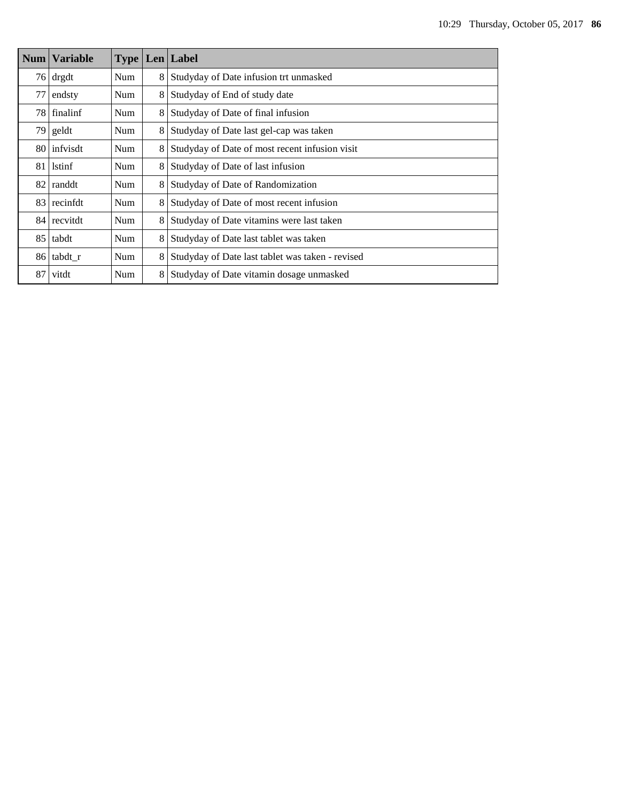| Num             | <b>Variable</b> |            |   | <b>Type Len Label</b>                            |  |  |  |
|-----------------|-----------------|------------|---|--------------------------------------------------|--|--|--|
|                 | $76$ drgdt      | Num        | 8 | Studyday of Date infusion trt unmasked           |  |  |  |
| 77              | endsty          | Num        | 8 | Studyday of End of study date                    |  |  |  |
|                 | 78   finalinf   | Num        | 8 | Studyday of Date of final infusion               |  |  |  |
|                 | $79$ geldt      | Num        | 8 | Studyday of Date last gel-cap was taken          |  |  |  |
|                 | 80 infvisdt     | Num        | 8 | Studyday of Date of most recent infusion visit   |  |  |  |
| 81              | <b>lstinf</b>   | <b>Num</b> | 8 | Studyday of Date of last infusion                |  |  |  |
| 82 <sup>1</sup> | randdt          | Num        | 8 | Studyday of Date of Randomization                |  |  |  |
| 83              | recinfdt        | Num        | 8 | Studyday of Date of most recent infusion         |  |  |  |
| 84 <sup>°</sup> | recvitdt        | Num        | 8 | Studyday of Date vitamins were last taken        |  |  |  |
| 85 <sup>1</sup> | tabdt           | Num        | 8 | Studyday of Date last tablet was taken           |  |  |  |
|                 | 86 tabdt r      | Num        | 8 | Studyday of Date last tablet was taken - revised |  |  |  |
| 87              | vitdt           | Num        | 8 | Studyday of Date vitamin dosage unmasked         |  |  |  |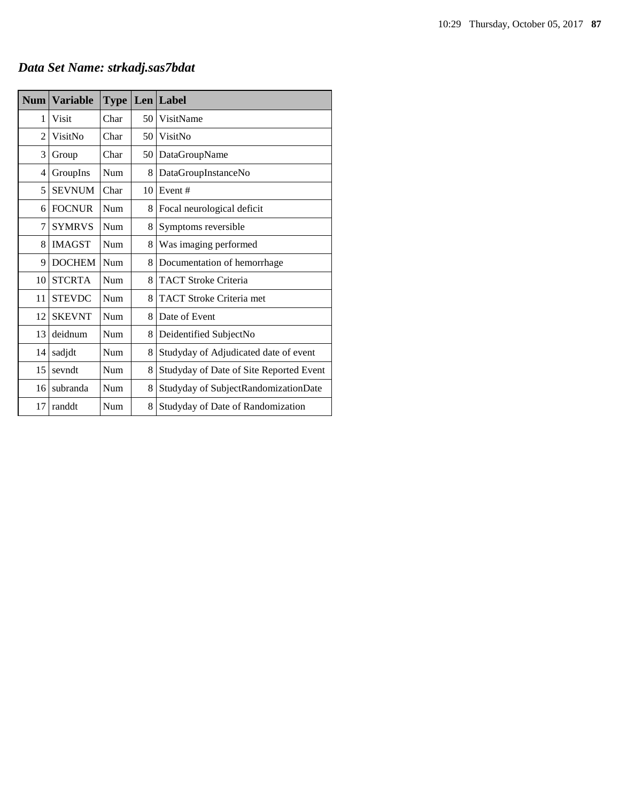## *Data Set Name: strkadj.sas7bdat*

| <b>Num</b> | <b>Variable</b> | <b>Type</b> | Len | Label                                   |
|------------|-----------------|-------------|-----|-----------------------------------------|
| 1          | Visit           | Char        | 50  | VisitName                               |
| 2          | VisitNo         | Char        | 50  | VisitNo                                 |
| 3          | Group           | Char        | 50  | DataGroupName                           |
| 4          | GroupIns        | Num         | 8   | DataGroupInstanceNo                     |
| 5          | <b>SEVNUM</b>   | Char        | 10  | Event#                                  |
| 6          | <b>FOCNUR</b>   | Num         | 8   | Focal neurological deficit              |
| 7          | <b>SYMRVS</b>   | Num         | 8   | Symptoms reversible                     |
| 8          | <b>IMAGST</b>   | Num         | 8   | Was imaging performed                   |
| 9          | <b>DOCHEM</b>   | Num         | 8   | Documentation of hemorrhage             |
| 10         | <b>STCRTA</b>   | Num         | 8   | <b>TACT Stroke Criteria</b>             |
| 11         | <b>STEVDC</b>   | Num         | 8   | <b>TACT Stroke Criteria met</b>         |
| 12         | <b>SKEVNT</b>   | Num         | 8   | Date of Event                           |
| 13         | deidnum         | Num         | 8   | Deidentified SubjectNo                  |
| 14         | sadjdt          | Num         | 8   | Studyday of Adjudicated date of event   |
| 15         | sevndt          | Num         | 8   | Studyday of Date of Site Reported Event |
| 16         | subranda        | Num         | 8   | Studyday of SubjectRandomizationDate    |
| 17         | randdt          | Num         | 8   | Studyday of Date of Randomization       |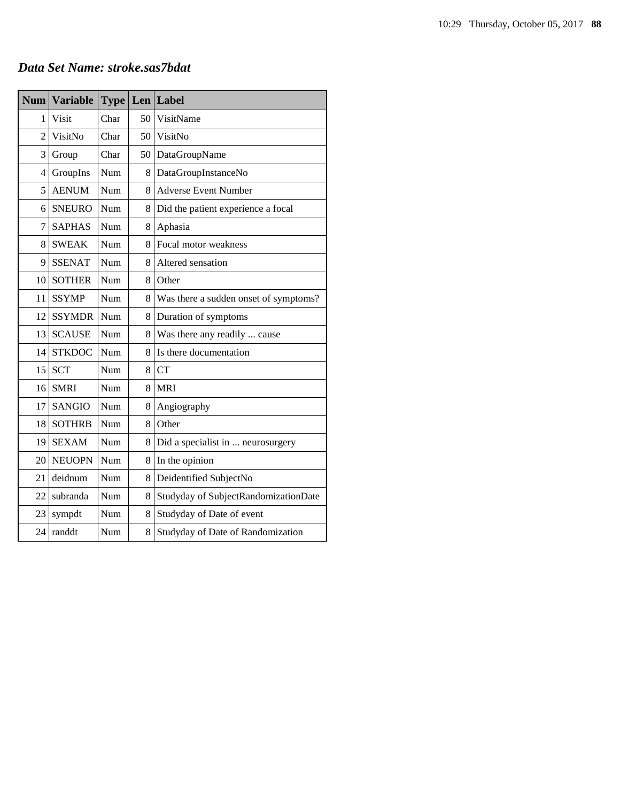| <b>Num</b>     | <b>Variable</b> | <b>Type</b> |                 | Len Label                             |
|----------------|-----------------|-------------|-----------------|---------------------------------------|
| 1              | Visit           | Char        | 50              | VisitName                             |
| $\overline{2}$ | VisitNo         | Char        | 50 <sub>1</sub> | VisitNo                               |
| 3              | Group           | Char        | 50              | DataGroupName                         |
| 4              | GroupIns        | Num         | 8               | DataGroupInstanceNo                   |
| 5              | <b>AENUM</b>    | Num         | 8               | <b>Adverse Event Number</b>           |
| 6              | <b>SNEURO</b>   | Num         | 8               | Did the patient experience a focal    |
| 7              | <b>SAPHAS</b>   | Num         | 8               | Aphasia                               |
| 8              | <b>SWEAK</b>    | Num         | 8               | Focal motor weakness                  |
| 9              | <b>SSENAT</b>   | Num         | 8               | Altered sensation                     |
| 10             | <b>SOTHER</b>   | Num         | 8               | Other                                 |
| 11             | <b>SSYMP</b>    | Num         | 8               | Was there a sudden onset of symptoms? |
| 12             | <b>SSYMDR</b>   | Num         | 8               | Duration of symptoms                  |
| 13             | <b>SCAUSE</b>   | Num         | 8               | Was there any readily  cause          |
| 14             | <b>STKDOC</b>   | Num         | 8               | Is there documentation                |
| 15             | <b>SCT</b>      | Num         | 8               | <b>CT</b>                             |
| 16             | <b>SMRI</b>     | Num         | 8               | <b>MRI</b>                            |
| 17             | <b>SANGIO</b>   | Num         | 8               | Angiography                           |
| 18             | <b>SOTHRB</b>   | Num         | 8               | Other                                 |
| 19             | <b>SEXAM</b>    | Num         | 8               | Did a specialist in  neurosurgery     |
| 20             | <b>NEUOPN</b>   | Num         | 8               | In the opinion                        |
| 21             | deidnum         | Num         | 8               | Deidentified SubjectNo                |
| 22             | subranda        | Num         | 8               | Studyday of SubjectRandomizationDate  |
| 23             | sympdt          | Num         | 8               | Studyday of Date of event             |
| 24             | randdt          | Num         | 8               | Studyday of Date of Randomization     |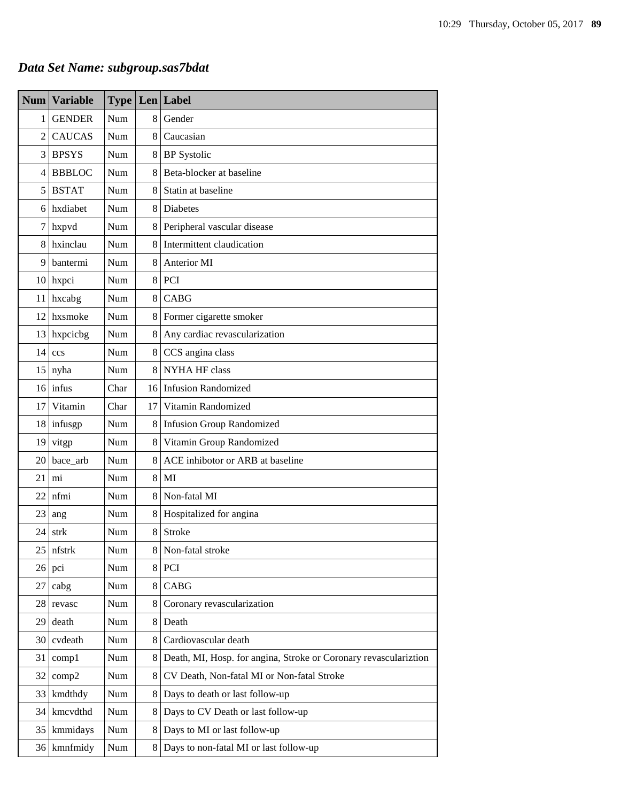# *Data Set Name: subgroup.sas7bdat*

| <b>Num</b>    | <b>Variable</b> |            |         | <b>Type Len Label</b>                                            |  |
|---------------|-----------------|------------|---------|------------------------------------------------------------------|--|
| 1             | <b>GENDER</b>   | Num        | 8       | Gender                                                           |  |
| 2             | <b>CAUCAS</b>   | Num        | 8       | Caucasian                                                        |  |
| 3             | <b>BPSYS</b>    | Num        | 8       | <b>BP</b> Systolic                                               |  |
| 4             | <b>BBBLOC</b>   | Num        | 8       | Beta-blocker at baseline                                         |  |
| 5             | <b>BSTAT</b>    | Num        | 8       | Statin at baseline                                               |  |
| 6             | hxdiabet        | Num        | 8       | <b>Diabetes</b>                                                  |  |
| $\tau$        | hxpvd           | Num        | 8       | Peripheral vascular disease                                      |  |
| 8             | hxinclau        | Num        | 8       | Intermittent claudication                                        |  |
| 9             | bantermi        | Num        | 8       | Anterior MI                                                      |  |
| <sup>10</sup> | hxpci           | Num        | 8       | PCI                                                              |  |
| 11            | hxcabg          | Num        | 8       | CABG                                                             |  |
| 12            | hxsmoke         | <b>Num</b> | 8       | Former cigarette smoker                                          |  |
| 13            | hxpcicbg        | Num        | $\,8\,$ | Any cardiac revascularization                                    |  |
| 14            | ccs             | Num        | 8       | CCS angina class                                                 |  |
| 15            | nyha            | Num        | 8       | NYHA HF class                                                    |  |
|               | $16$ infus      | Char       |         | 16 Infusion Randomized                                           |  |
| 17            | Vitamin         | Char       | 17      | Vitamin Randomized                                               |  |
|               | 18 infusgp      | Num        | 8       | <b>Infusion Group Randomized</b>                                 |  |
| 19            | vitgp           | Num        | 8       | Vitamin Group Randomized                                         |  |
| 20            | bace_arb        | Num        | 8       | ACE inhibotor or ARB at baseline                                 |  |
| 21            | mi              | Num        | 8       | MI                                                               |  |
| 22            | nfmi            | Num        | 8       | Non-fatal MI                                                     |  |
| 23            | ang             | Num        | 8       | Hospitalized for angina                                          |  |
| 24            | strk            | Num        | 8       | <b>Stroke</b>                                                    |  |
| 25            | nfstrk          | Num        | 8       | Non-fatal stroke                                                 |  |
| 26            | pci             | Num        | 8       | PCI                                                              |  |
| 27            | cabg            | Num        | 8       | <b>CABG</b>                                                      |  |
| 28            | revasc          | Num        | 8       | Coronary revascularization                                       |  |
| 29            | death           | Num        | 8       | Death                                                            |  |
| 30            | cvdeath         | Num        | 8       | Cardiovascular death                                             |  |
| 31            | comp1           | Num        | 8       | Death, MI, Hosp. for angina, Stroke or Coronary revasculariztion |  |
| 32            | comp2           | Num        | 8       | CV Death, Non-fatal MI or Non-fatal Stroke                       |  |
| 33            | kmdthdy         | Num        | 8       | Days to death or last follow-up                                  |  |
| 34            | kmcvdthd        | Num        | 8       | Days to CV Death or last follow-up                               |  |
| 35            | kmmidays        | Num        | 8       | Days to MI or last follow-up                                     |  |
| 36            | kmnfmidy        | Num        | 8       | Days to non-fatal MI or last follow-up                           |  |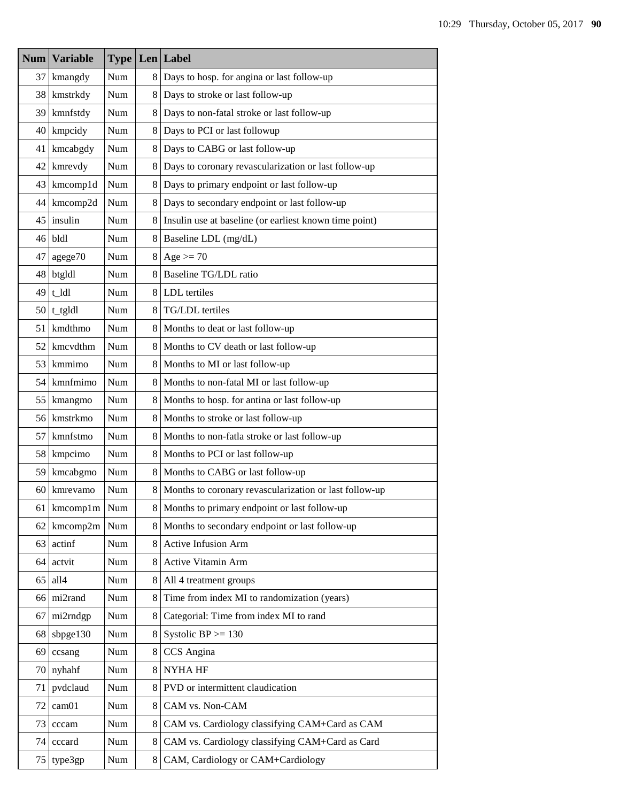| Num | <b>Variable</b> |     |   | <b>Type Len Label</b>                                  |  |
|-----|-----------------|-----|---|--------------------------------------------------------|--|
| 37  | kmangdy         | Num | 8 | Days to hosp. for angina or last follow-up             |  |
| 38  | kmstrkdy        | Num | 8 | Days to stroke or last follow-up                       |  |
| 39  | kmnfstdy        | Num | 8 | Days to non-fatal stroke or last follow-up             |  |
| 40  | kmpcidy         | Num | 8 | Days to PCI or last followup                           |  |
| 41  | kmcabgdy        | Num | 8 | Days to CABG or last follow-up                         |  |
| 42  | kmrevdy         | Num | 8 | Days to coronary revascularization or last follow-up   |  |
| 43  | kmcomp1d        | Num | 8 | Days to primary endpoint or last follow-up             |  |
| 44  | kmcomp2d        | Num | 8 | Days to secondary endpoint or last follow-up           |  |
| 45  | insulin         | Num | 8 | Insulin use at baseline (or earliest known time point) |  |
| 46  | bldl            | Num | 8 | Baseline LDL (mg/dL)                                   |  |
| 47  | agege70         | Num | 8 | Age $>= 70$                                            |  |
| 48  | btgldl          | Num | 8 | Baseline TG/LDL ratio                                  |  |
| 49  | t ldl           | Num | 8 | LDL tertiles                                           |  |
| 50  | t_tgldl         | Num | 8 | TG/LDL tertiles                                        |  |
| 51  | kmdthmo         | Num | 8 | Months to deat or last follow-up                       |  |
| 52  | kmcvdthm        | Num | 8 | Months to CV death or last follow-up                   |  |
| 53  | kmmimo          | Num | 8 | Months to MI or last follow-up                         |  |
| 54  | kmnfmimo        | Num | 8 | Months to non-fatal MI or last follow-up               |  |
| 55  | kmangmo         | Num | 8 | Months to hosp. for antina or last follow-up           |  |
|     | 56 kmstrkmo     | Num | 8 | Months to stroke or last follow-up                     |  |
| 57  | kmnfstmo        | Num | 8 | Months to non-fatla stroke or last follow-up           |  |
| 58  | kmpcimo         | Num | 8 | Months to PCI or last follow-up                        |  |
| 59  | kmcabgmo        | Num | 8 | Months to CABG or last follow-up                       |  |
| 60  | kmrevamo        | Num | 8 | Months to coronary revascularization or last follow-up |  |
| 61  | kmcomp1m        | Num |   | Months to primary endpoint or last follow-up           |  |
| 62  | kmcomp2m        | Num | 8 | Months to secondary endpoint or last follow-up         |  |
| 63  | actinf          | Num | 8 | Active Infusion Arm                                    |  |
| 64  | actvit          | Num | 8 | Active Vitamin Arm                                     |  |
| 65  | all4            | Num | 8 | All 4 treatment groups                                 |  |
| 66  | mi2rand         | Num | 8 | Time from index MI to randomization (years)            |  |
| 67  | mi2rndgp        | Num | 8 | Categorial: Time from index MI to rand                 |  |
| 68  | sbpge130        | Num | 8 | Systolic $BP \ge 130$                                  |  |
| 69  | ccsang          | Num | 8 | CCS Angina                                             |  |
| 70  | nyhahf          | Num | 8 | <b>NYHAHF</b>                                          |  |
| 71  | pvdclaud        | Num | 8 | PVD or intermittent claudication                       |  |
| 72  | cam01           | Num | 8 | CAM vs. Non-CAM                                        |  |
| 73  | cccam           | Num | 8 | CAM vs. Cardiology classifying CAM+Card as CAM         |  |
| 74  | cccard          | Num | 8 | CAM vs. Cardiology classifying CAM+Card as Card        |  |
| 75  | type3gp         | Num | 8 | CAM, Cardiology or CAM+Cardiology                      |  |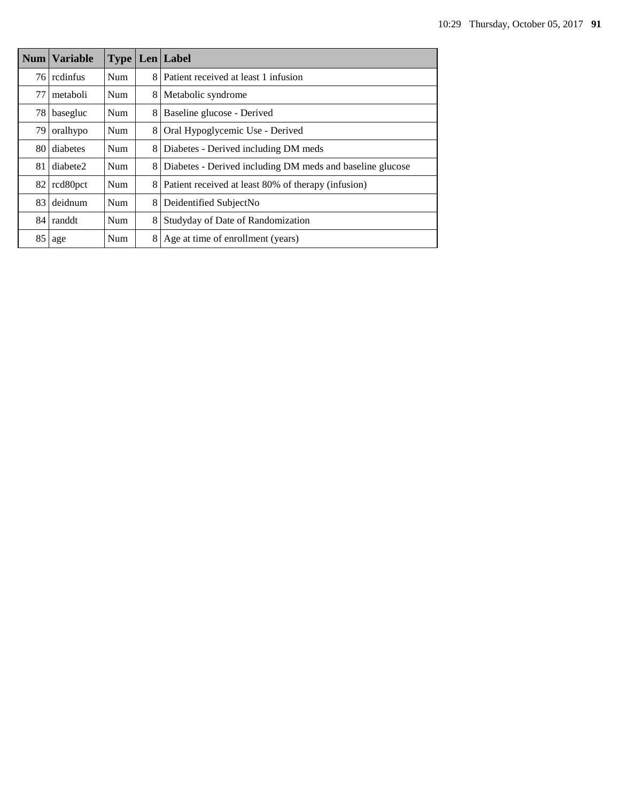|    | <b>Num Variable</b> |            |   | <b>Type Len Label</b>                                     |  |
|----|---------------------|------------|---|-----------------------------------------------------------|--|
|    | 76 redinfus         | <b>Num</b> | 8 | Patient received at least 1 infusion                      |  |
| 77 | metaboli            | Num        | 8 | Metabolic syndrome                                        |  |
| 78 | basegluc            | Num        | 8 | Baseline glucose - Derived                                |  |
| 79 | oralhypo            | <b>Num</b> | 8 | Oral Hypoglycemic Use - Derived                           |  |
| 80 | diabetes            | Num        | 8 | Diabetes - Derived including DM meds                      |  |
| 81 | diabete2            | <b>Num</b> | 8 | Diabetes - Derived including DM meds and baseline glucose |  |
| 82 | rcd80pct            | Num        | 8 | Patient received at least 80% of therapy (infusion)       |  |
|    | 83 deidnum          | <b>Num</b> | 8 | Deidentified SubjectNo                                    |  |
|    | 84 randdt           | <b>Num</b> | 8 | Studyday of Date of Randomization                         |  |
| 85 | age                 | Num        | 8 | Age at time of enrollment (years)                         |  |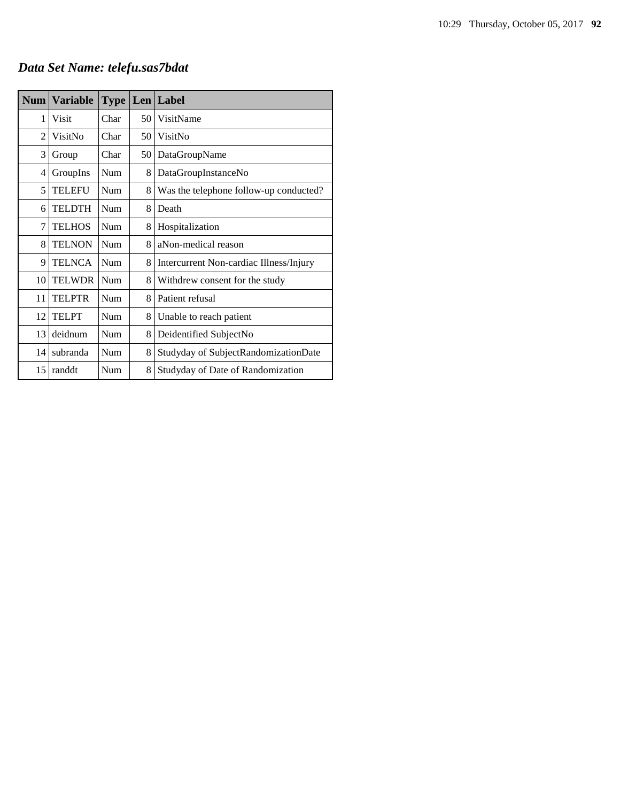# *Data Set Name: telefu.sas7bdat*

| <b>Num</b> | <b>Variable</b> | <b>Type</b> |    | Len Label                               |
|------------|-----------------|-------------|----|-----------------------------------------|
| 1          | Visit           | Char        | 50 | VisitName                               |
| 2          | VisitNo         | Char        | 50 | VisitNo                                 |
| 3          | Group           | Char        | 50 | DataGroupName                           |
| 4          | GroupIns        | Num         | 8  | DataGroupInstanceNo                     |
| 5          | <b>TELEFU</b>   | Num         | 8  | Was the telephone follow-up conducted?  |
| 6          | <b>TELDTH</b>   | Num         | 8  | Death                                   |
| 7          | <b>TELHOS</b>   | Num         | 8  | Hospitalization                         |
| 8          | <b>TELNON</b>   | Num         | 8  | aNon-medical reason                     |
| 9          | <b>TELNCA</b>   | Num         | 8  | Intercurrent Non-cardiac Illness/Injury |
| 10         | <b>TELWDR</b>   | Num         | 8  | Withdrew consent for the study          |
| 11         | <b>TELPTR</b>   | Num         | 8  | Patient refusal                         |
| 12         | <b>TELPT</b>    | Num         | 8  | Unable to reach patient                 |
| 13         | deidnum         | Num         | 8  | Deidentified SubjectNo                  |
| 14         | subranda        | Num         | 8  | Studyday of SubjectRandomizationDate    |
| 15         | randdt          | Num         | 8  | Studyday of Date of Randomization       |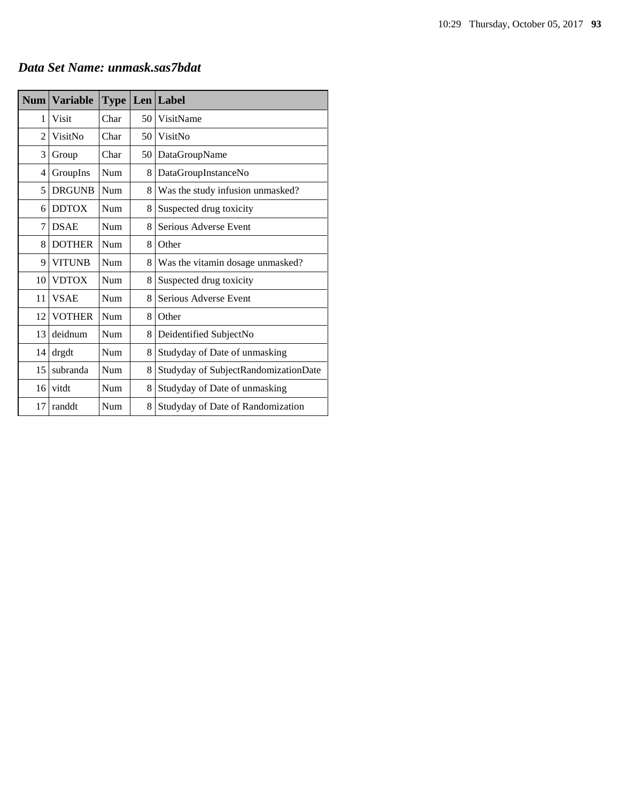|  | Data Set Name: unmask.sas7bdat |
|--|--------------------------------|
|--|--------------------------------|

| <b>Num</b> | <b>Variable</b> | <b>Type</b> |    | Len Label                            |
|------------|-----------------|-------------|----|--------------------------------------|
| 1          | Visit           | Char        | 50 | VisitName                            |
| 2          | VisitNo         | Char        | 50 | VisitNo                              |
| 3          | Group           | Char        | 50 | DataGroupName                        |
| 4          | GroupIns        | Num         | 8  | DataGroupInstanceNo                  |
| 5          | <b>DRGUNB</b>   | Num         | 8  | Was the study infusion unmasked?     |
| 6          | <b>DDTOX</b>    | Num         | 8  | Suspected drug toxicity              |
| 7          | <b>DSAE</b>     | Num         | 8  | Serious Adverse Event                |
| 8          | <b>DOTHER</b>   | Num         | 8  | Other                                |
| 9          | <b>VITUNB</b>   | Num         | 8  | Was the vitamin dosage unmasked?     |
| 10         | <b>VDTOX</b>    | Num         | 8  | Suspected drug toxicity              |
| 11         | <b>VSAE</b>     | Num         | 8  | Serious Adverse Event                |
| 12         | <b>VOTHER</b>   | Num         | 8  | Other                                |
| 13         | deidnum         | Num         | 8  | Deidentified SubjectNo               |
| 14         | drgdt           | Num         | 8  | Studyday of Date of unmasking        |
| 15         | subranda        | Num         | 8  | Studyday of SubjectRandomizationDate |
| 16         | vitdt           | Num         | 8  | Studyday of Date of unmasking        |
| 17         | randdt          | Num         | 8  | Studyday of Date of Randomization    |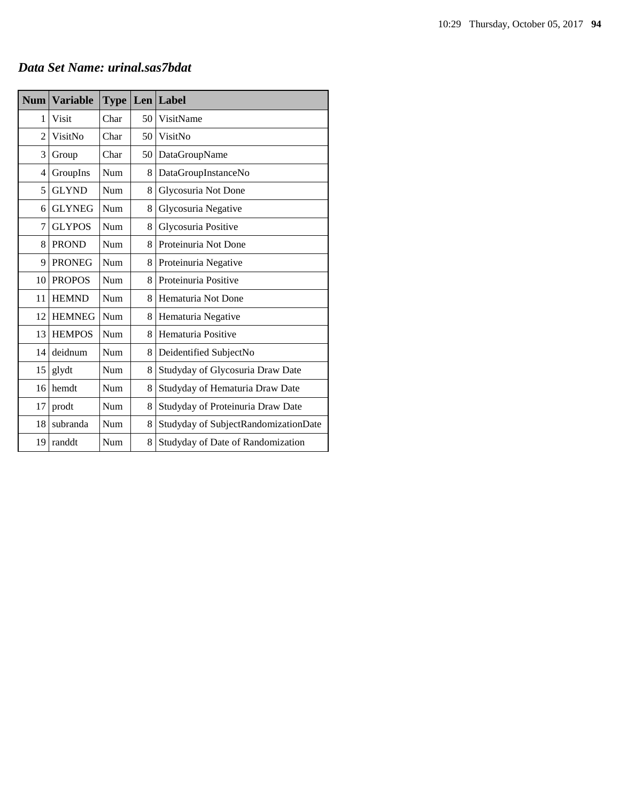### *Data Set Name: urinal.sas7bdat*

| <b>Num</b>     | <b>Variable</b> | <b>Type</b> |    | $Len$ Label                          |
|----------------|-----------------|-------------|----|--------------------------------------|
| 1              | Visit           | Char        | 50 | VisitName                            |
| $\overline{2}$ | VisitNo         | Char        | 50 | VisitNo                              |
| 3              | Group           | Char        | 50 | DataGroupName                        |
| 4              | GroupIns        | Num         | 8  | DataGroupInstanceNo                  |
| 5              | <b>GLYND</b>    | Num         | 8  | Glycosuria Not Done                  |
| 6              | <b>GLYNEG</b>   | Num         | 8  | Glycosuria Negative                  |
| 7              | <b>GLYPOS</b>   | Num         | 8  | Glycosuria Positive                  |
| 8              | <b>PROND</b>    | Num         | 8  | Proteinuria Not Done                 |
| 9              | <b>PRONEG</b>   | Num         | 8  | Proteinuria Negative                 |
| 10             | <b>PROPOS</b>   | Num         | 8  | Proteinuria Positive                 |
| 11             | <b>HEMND</b>    | Num         | 8  | Hematuria Not Done                   |
| 12             | <b>HEMNEG</b>   | Num         | 8  | Hematuria Negative                   |
| 13             | <b>HEMPOS</b>   | Num         | 8  | Hematuria Positive                   |
| 14             | deidnum         | Num         | 8  | Deidentified SubjectNo               |
| 15             | glydt           | Num         | 8  | Studyday of Glycosuria Draw Date     |
| 16             | hemdt           | Num         | 8  | Studyday of Hematuria Draw Date      |
| 17             | prodt           | Num         | 8  | Studyday of Proteinuria Draw Date    |
| 18             | subranda        | Num         | 8  | Studyday of SubjectRandomizationDate |
| 19             | randdt          | Num         | 8  | Studyday of Date of Randomization    |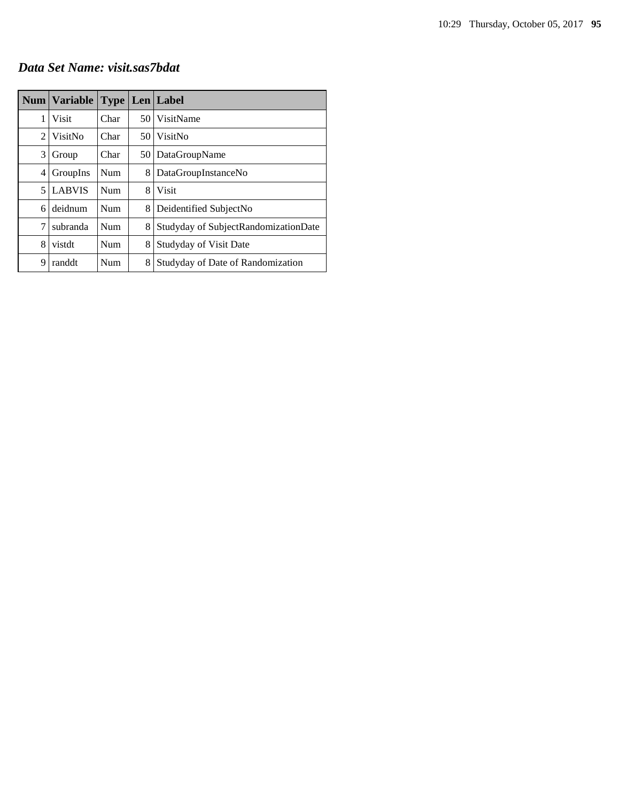### *Data Set Name: visit.sas7bdat*

|                | <b>Num   Variable</b> |            |      | <b>Type Len Label</b>                |
|----------------|-----------------------|------------|------|--------------------------------------|
| 1              | <b>Visit</b>          | Char       | 50 l | VisitName                            |
| $\mathfrak{D}$ | VisitNo               | Char       | 50 l | VisitNo                              |
| 3              | Group                 | Char       |      | 50   DataGroupName                   |
| 4              | GroupIns              | Num        | 8    | DataGroupInstanceNo                  |
| 5              | <b>LABVIS</b>         | <b>Num</b> | 8    | <b>Visit</b>                         |
| 6              | deidnum               | Num        | 8    | Deidentified SubjectNo               |
| 7              | subranda              | Num        | 8    | Studyday of SubjectRandomizationDate |
| 8              | vistdt                | Num        | 8    | Studyday of Visit Date               |
| 9              | randdt                | Num        | 8    | Studyday of Date of Randomization    |